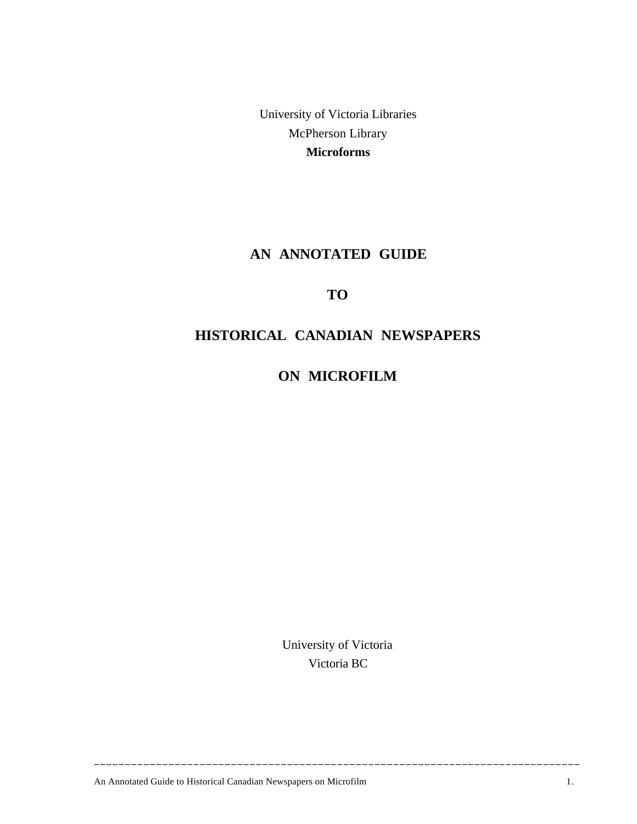University of Victoria Libraries McPherson Library **Microforms**

# **AN ANNOTATED GUIDE**

# **TO**

# **HISTORICAL CANADIAN NEWSPAPERS**

**ON MICROFILM**

University of Victoria Victoria BC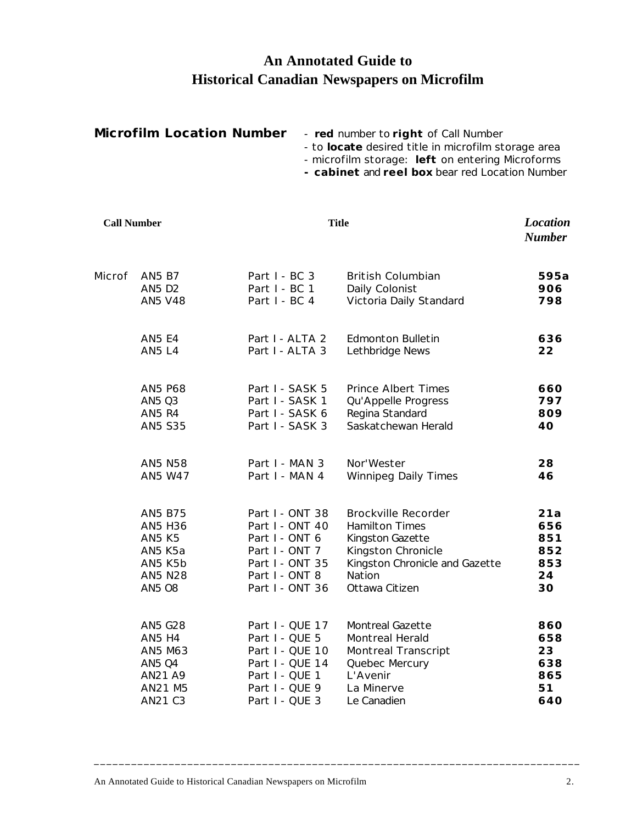# **An Annotated Guide to Historical Canadian Newspapers on Microfilm**

| <b>Microfilm Location Number</b> | - red number to right of Call Number                |
|----------------------------------|-----------------------------------------------------|
|                                  | - to locate desired title in microfilm storage area |
|                                  | - microfilm storage: left on entering Microforms    |
|                                  | - cabinet and reel box bear red Location Number     |

**Call Number Title** *Location Number* Microf AN5 B7 Part I - BC 3 *British Columbian* **595a** AN5 D2 Part I - BC 1 *Daily Colonist* **906** AN5 V48 Part I - BC 4 *Victoria Daily Standard* **798** AN5 E4 Part I - ALTA 2 *Edmonton Bulletin* **636** AN5 L4 Part I - ALTA 3 *Lethbridge News* **22** AN5 P68 Part I - SASK 5 *Prince Albert Times* **660** AN5 Q3 Part I - SASK 1 *Qu'Appelle Progress* **797** AN5 R4 Part I - SASK 6 *Regina Standard* **809** AN5 S35 Part I - SASK 3 *Saskatchewan Herald* **40** AN5 N58 Part I - MAN 3 *Nor'Wester* **28** AN5 W47 Part I - MAN 4 *Winnipeg Daily Times* **46** AN5 B75 Part I - ONT 38 *Brockville Recorder* **21a** AN5 H36 Part I - ONT 40 *Hamilton Times* **656** AN5 K5 Part I - ONT 6 *Kingston Gazette* **851** AN5 K5a Part I - ONT 7 *Kingston Chronicle* **852** AN5 K5b Part I - ONT 35 *Kingston Chronicle and Gazette* **853** AN5 N28 Part I - ONT 8 *Nation* **24** AN5 O8 Part I - ONT 36 *Ottawa Citizen* **30** AN5 G28 Part I - QUE 17 *Montreal Gazette* **860**

| AN5 G28 | Part I - QUE 17 | <i>Montreal Gazette</i>    | 860 |
|---------|-----------------|----------------------------|-----|
| AN5 H4  | Part I - QUE 5  | <b>Montreal Herald</b>     | 658 |
| AN5 M63 | Part I - QUE 10 | <b>Montreal Transcript</b> | 23  |
| AN5 Q4  | Part I - QUE 14 | Quebec Mercury             | 638 |
| AN21 A9 | Part I - QUE 1  | L'Avenir                   | 865 |
| AN21 M5 | Part I - QUE 9  | La Minerve                 | 51  |
| AN21 C3 | Part I - OUE 3  | Le Canadien                | 640 |
|         |                 |                            |     |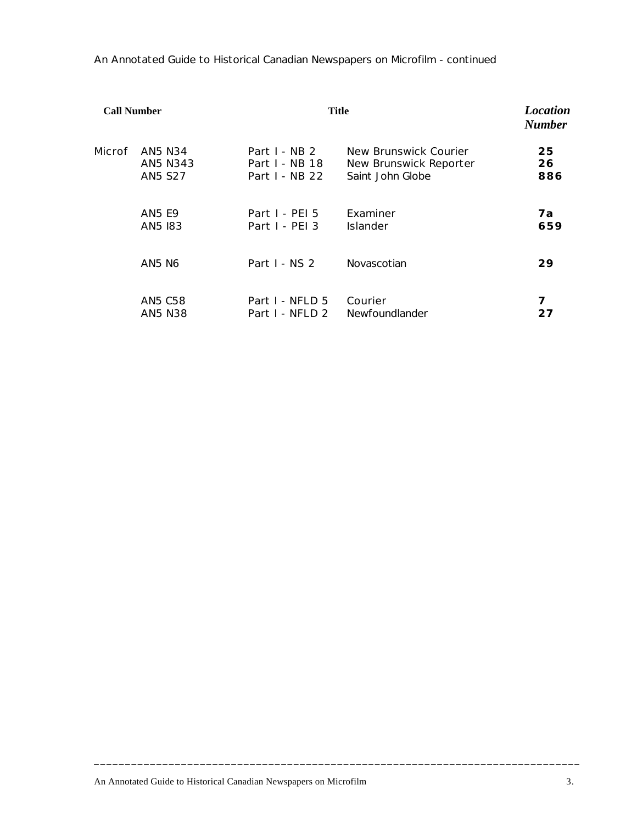An Annotated Guide to Historical Canadian Newspapers on Microfilm - continued

| <b>Call Number</b> |                | <b>Title</b>    |                               | <b>Location</b><br><b>Number</b> |
|--------------------|----------------|-----------------|-------------------------------|----------------------------------|
| Microf             | AN5 N34        | Part $I - NB$ 2 | <b>New Brunswick Courier</b>  | 25                               |
|                    | AN5 N343       | Part I - NB 18  | <b>New Brunswick Reporter</b> | 26                               |
|                    | <b>AN5 S27</b> | Part I - NB 22  | Saint John Globe              | 886                              |
|                    | <b>AN5 E9</b>  | Part I - PEI 5  | Examiner                      | 7a                               |
|                    | AN5 183        | Part I - PEI 3  | Islander                      | 659                              |
|                    | AN5 N6         | Part I - NS 2   | Novascotian                   | 29                               |
|                    | <b>AN5 C58</b> | Part I - NFLD 5 | Courier                       | 7                                |
|                    | AN5 N38        | Part I - NFLD 2 | Newfoundlander                | 27                               |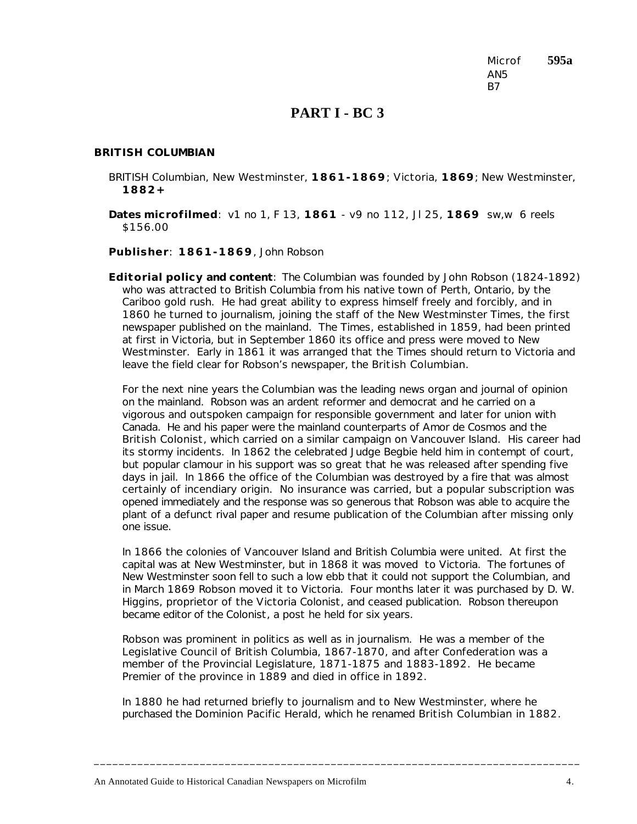Microf **595a** AN5 B7

## **PART I - BC 3**

#### *BRITISH COLUMBIAN*

- BRITISH Columbian, New Westminster, **1861-1869**; Victoria, **1869**; New Westminster, **1882+**
- **Dates microfilmed**: v1 no 1, F 13, **1861** v9 no 112, Jl 25, **1869** sw,w 6 reels \$156.00

**Publisher**: **1861-1869**, John Robson

**Editorial policy and content**: The *Columbian* was founded by John Robson (1824-1892) who was attracted to British Columbia from his native town of Perth, Ontario, by the Cariboo gold rush. He had great ability to express himself freely and forcibly, and in 1860 he turned to journalism, joining the staff of the *New Westminster Times*, the first newspaper published on the mainland. The *Times*, established in 1859, had been printed at first in Victoria, but in September 1860 its office and press were moved to New Westminster. Early in 1861 it was arranged that the *Times* should return to Victoria and leave the field clear for Robson's newspaper, the *British Columbian*.

For the next nine years the *Columbian* was the leading news organ and journal of opinion on the mainland. Robson was an ardent reformer and democrat and he carried on a vigorous and outspoken campaign for responsible government and later for union with Canada. He and his paper were the mainland counterparts of Amor de Cosmos and the *British Colonist*, which carried on a similar campaign on Vancouver Island. His career had its stormy incidents. In 1862 the celebrated Judge Begbie held him in contempt of court, but popular clamour in his support was so great that he was released after spending five days in jail. In 1866 the office of the *Columbian* was destroyed by a fire that was almost certainly of incendiary origin. No insurance was carried, but a popular subscription was opened immediately and the response was so generous that Robson was able to acquire the plant of a defunct rival paper and resume publication of the *Columbian* after missing only one issue.

In 1866 the colonies of Vancouver Island and British Columbia were united. At first the capital was at New Westminster, but in 1868 it was moved to Victoria. The fortunes of New Westminster soon fell to such a low ebb that it could not support the *Columbian*, and in March 1869 Robson moved it to Victoria. Four months later it was purchased by D. W. Higgins, proprietor of the Victoria *Colonist*, and ceased publication. Robson thereupon became editor of the *Colonist*, a post he held for six years.

Robson was prominent in politics as well as in journalism. He was a member of the Legislative Council of British Columbia, 1867-1870, and after Confederation was a member of the Provincial Legislature, 1871-1875 and 1883-1892. He became Premier of the province in 1889 and died in office in 1892.

In 1880 he had returned briefly to journalism and to New Westminster, where he purchased the *Dominion Pacific Herald*, which he renamed *British Columbian* in 1882.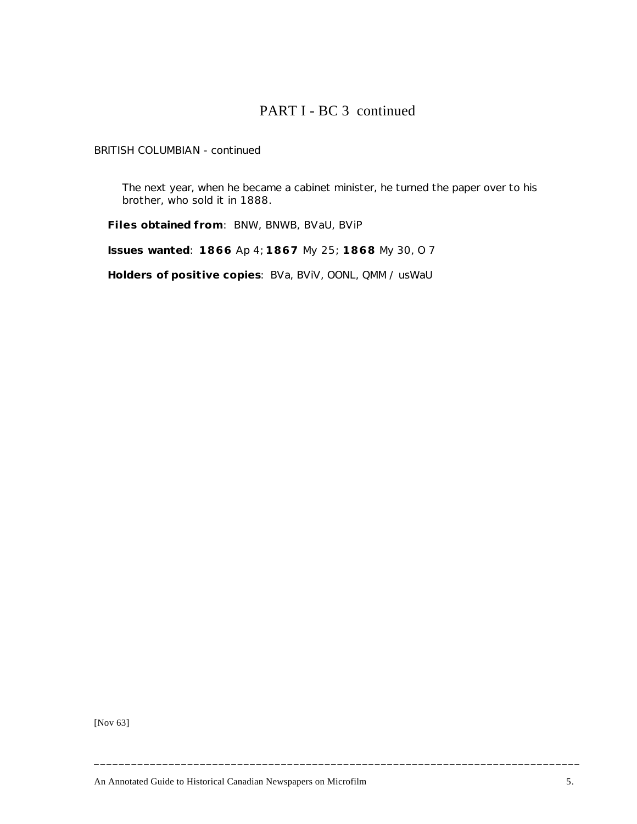# PART I - BC 3 continued

*BRITISH COLUMBIAN* - continued

The next year, when he became a cabinet minister, he turned the paper over to his brother, who sold it in 1888.

**Files obtained from**: BNW, BNWB, BVaU, BViP

**Issues wanted**: **1866** Ap 4; **1867** My 25; **1868** My 30, O 7

**Holders of positive copies**: BVa, BViV, OONL, QMM / usWaU

[Nov 63]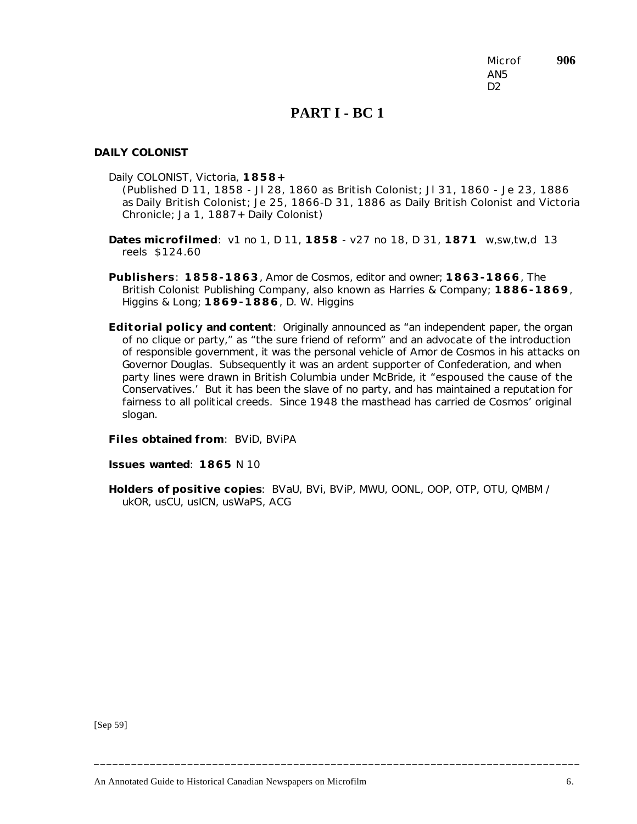Microf **906** AN5 D<sub>2</sub>

## **PART I - BC 1**

#### *DAILY COLONIST*

Daily COLONIST, Victoria, **1858+**

(Published D 11, 1858 - Jl 28, 1860 as *British Colonist*; Jl 31, 1860 - Je 23, 1886 as *Daily British Colonist*; Je 25, 1866-D 31, 1886 as *Daily British Colonist and Victoria Chronicle*; Ja 1, 1887+ *Daily Colonist*)

- **Dates microfilmed**: v1 no 1, D 11, **1858** v27 no 18, D 31, **1871** w,sw,tw,d 13 reels \$124.60
- **Publishers**: **1858-1863**, Amor de Cosmos, editor and owner; **1863-1866**, The British Colonist Publishing Company, also known as Harries & Company; **1886-1869**, Higgins & Long; **1869-1886**, D. W. Higgins
- **Editorial policy and content**: Originally announced as "an independent paper, the organ of no clique or party," as "the sure friend of reform" and an advocate of the introduction of responsible government, it was the personal vehicle of Amor de Cosmos in his attacks on Governor Douglas. Subsequently it was an ardent supporter of Confederation, and when party lines were drawn in British Columbia under McBride, it "espoused the cause of the Conservatives.' But it has been the slave of no party, and has maintained a reputation for fairness to all political creeds. Since 1948 the masthead has carried de Cosmos' original slogan.

**Files obtained from**: BViD, BViPA

**Issues wanted**: **1865** N 10

**Holders of positive copies**: BVaU, BVi, BViP, MWU, OONL, OOP, OTP, OTU, QMBM / ukOR, usCU, usICN, usWaPS, ACG

**\_\_\_\_\_\_\_\_\_\_\_\_\_\_\_\_\_\_\_\_\_\_\_\_\_\_\_\_\_\_\_\_\_\_\_\_\_\_\_\_\_\_\_\_\_\_\_\_\_\_\_\_\_\_\_\_\_\_\_\_\_\_\_\_\_\_\_\_\_\_\_\_\_\_\_\_\_\_**

[Sep 59]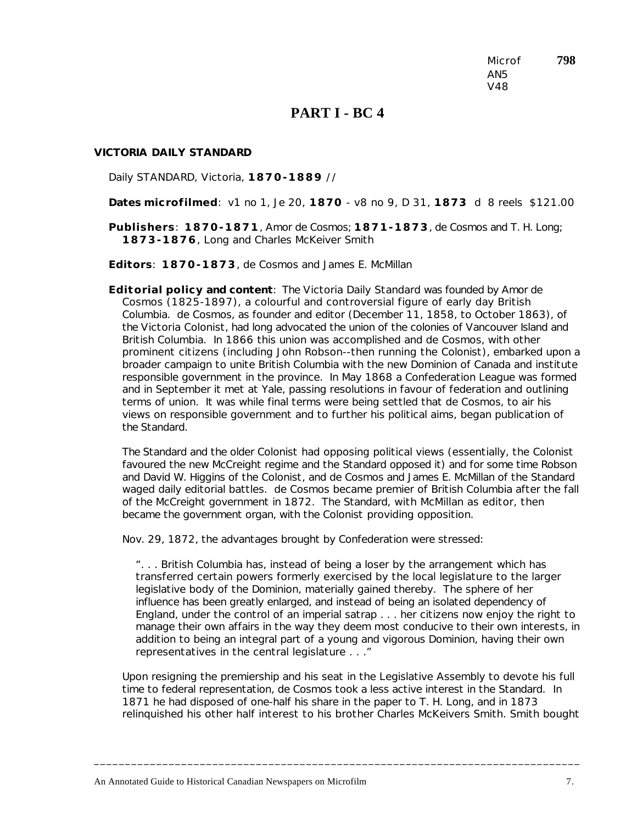Microf **798** AN5 V48

### **PART I - BC 4**

#### *VICTORIA DAILY STANDARD*

Daily STANDARD, Victoria, **1870-1889** //

**Dates microfilmed**: v1 no 1, Je 20, **1870** - v8 no 9, D 31, **1873** d 8 reels \$121.00

**Publishers**: **1870-1871**, Amor de Cosmos; **1871-1873**, de Cosmos and T. H. Long; **1873-1876**, Long and Charles McKeiver Smith

**Editors**: **1870-1873**, de Cosmos and James E. McMillan

**Editorial policy and content**: The *Victoria Daily Standard* was founded by Amor de Cosmos (1825-1897), a colourful and controversial figure of early day British Columbia. de Cosmos, as founder and editor (December 11, 1858, to October 1863), of the *Victoria Colonist*, had long advocated the union of the colonies of Vancouver Island and British Columbia. In 1866 this union was accomplished and de Cosmos, with other prominent citizens (including John Robson--then running the *Colonist*), embarked upon a broader campaign to unite British Columbia with the new Dominion of Canada and institute responsible government in the province. In May 1868 a Confederation League was formed and in September it met at Yale, passing resolutions in favour of federation and outlining terms of union. It was while final terms were being settled that de Cosmos, to air his views on responsible government and to further his political aims, began publication of the *Standard*.

The *Standard* and the older *Colonist* had opposing political views (essentially, the *Colonist* favoured the new McCreight regime and the *Standard* opposed it) and for some time Robson and David W. Higgins of the *Colonist*, and de Cosmos and James E. McMillan of the *Standard* waged daily editorial battles. de Cosmos became premier of British Columbia after the fall of the McCreight government in 1872. The *Standard*, with McMillan as editor, then became the government organ, with the *Colonist* providing opposition.

Nov. 29, 1872, the advantages brought by Confederation were stressed:

". . . British Columbia has, instead of being a loser by the arrangement which has transferred certain powers formerly exercised by the local legislature to the larger legislative body of the Dominion, materially gained thereby. The sphere of her influence has been greatly enlarged, and instead of being an isolated dependency of England, under the control of an imperial satrap . . . her citizens now enjoy the right to manage their own affairs in the way they deem most conducive to their own interests, in addition to being an integral part of a young and vigorous Dominion, having their own representatives in the central legislature . . ."

Upon resigning the premiership and his seat in the Legislative Assembly to devote his full time to federal representation, de Cosmos took a less active interest in the *Standard*. In 1871 he had disposed of one-half his share in the paper to T. H. Long, and in 1873 relinquished his other half interest to his brother Charles McKeivers Smith. Smith bought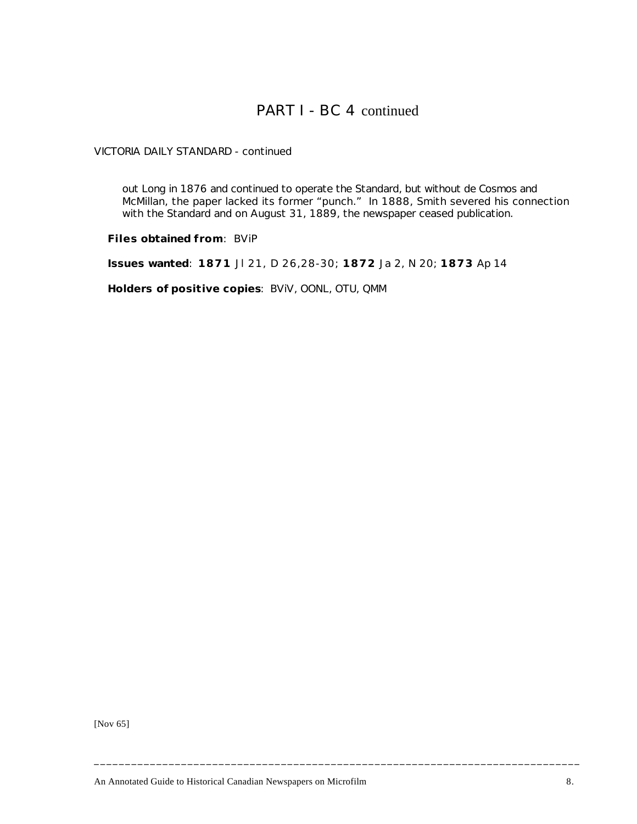# PART I - BC 4 continued

*VICTORIA DAILY STANDARD* - continued

out Long in 1876 and continued to operate the *Standard*, but without de Cosmos and McMillan, the paper lacked its former "punch." In 1888, Smith severed his connection with the *Standard* and on August 31, 1889, the newspaper ceased publication.

**Files obtained from**: BViP

**Issues wanted**: **1871** Jl 21, D 26,28-30; **1872** Ja 2, N 20; **1873** Ap 14

**Holders of positive copies**: BViV, OONL, OTU, QMM

[Nov 65]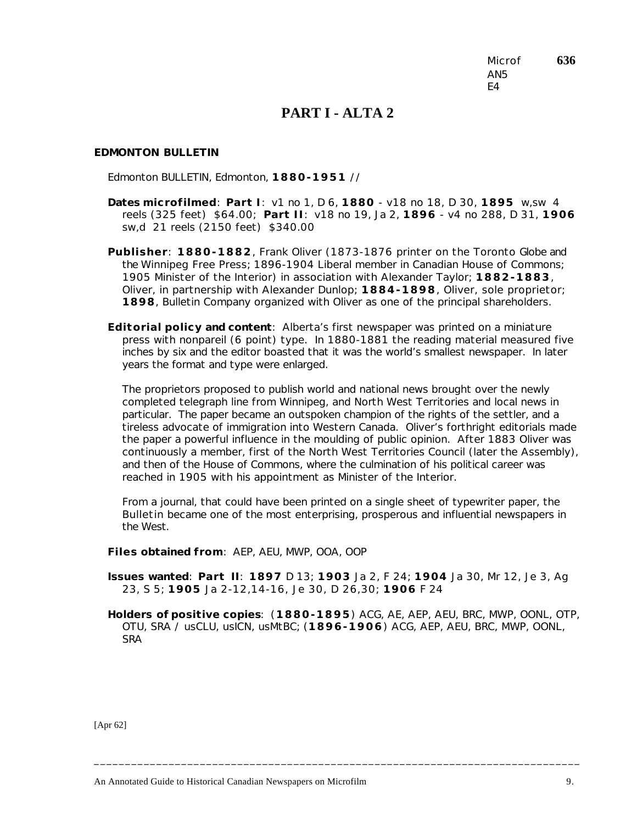Microf **636** AN5 E4

# **PART I - ALTA 2**

#### *EDMONTON BULLETIN*

Edmonton BULLETIN, Edmonton, **1880-1951** //

- **Dates microfilmed**: **Part I**: v1 no 1, D 6, **1880** v18 no 18, D 30, **1895** w,sw 4 reels (325 feet) \$64.00; **Part I I**: v18 no 19, Ja 2, **1896** - v4 no 288, D 31, **1906** sw,d 21 reels (2150 feet) \$340.00
- **Publisher**: **1880-1882**, Frank Oliver (1873-1876 printer on the Toronto *Globe* and the *Winnipeg Free Press*; 1896-1904 Liberal member in Canadian House of Commons; 1905 Minister of the Interior) in association with Alexander Taylor; **1882-1883**, Oliver, in partnership with Alexander Dunlop; **1884-1898**, Oliver, sole proprietor; **1898**, Bulletin Company organized with Oliver as one of the principal shareholders.
- **Editorial policy and content**: Alberta's first newspaper was printed on a miniature press with nonpareil (6 point) type. In 1880-1881 the reading material measured five inches by six and the editor boasted that it was the world's smallest newspaper. In later years the format and type were enlarged.

The proprietors proposed to publish world and national news brought over the newly completed telegraph line from Winnipeg, and North West Territories and local news in particular. The paper became an outspoken champion of the rights of the settler, and a tireless advocate of immigration into Western Canada. Oliver's forthright editorials made the paper a powerful influence in the moulding of public opinion. After 1883 Oliver was continuously a member, first of the North West Territories Council (later the Assembly), and then of the House of Commons, where the culmination of his political career was reached in 1905 with his appointment as Minister of the Interior.

From a journal, that could have been printed on a single sheet of typewriter paper, the *Bulletin* became one of the most enterprising, prosperous and influential newspapers in the West.

**Files obtained from**: AEP, AEU, MWP, OOA, OOP

**Issues wanted**: **Part II**: **1897** D 13; **1903** Ja 2, F 24; **1904** Ja 30, Mr 12, Je 3, Ag 23, S 5; **1905** Ja 2-12,14-16, Je 30, D 26,30; **1906** F 24

**Holders of positive copies**: (**1880-1895**) ACG, AE, AEP, AEU, BRC, MWP, OONL, OTP, OTU, SRA / usCLU, usICN, usMtBC; (**1896-1906**) ACG, AEP, AEU, BRC, MWP, OONL, **SRA** 

**\_\_\_\_\_\_\_\_\_\_\_\_\_\_\_\_\_\_\_\_\_\_\_\_\_\_\_\_\_\_\_\_\_\_\_\_\_\_\_\_\_\_\_\_\_\_\_\_\_\_\_\_\_\_\_\_\_\_\_\_\_\_\_\_\_\_\_\_\_\_\_\_\_\_\_\_\_\_**

[Apr 62]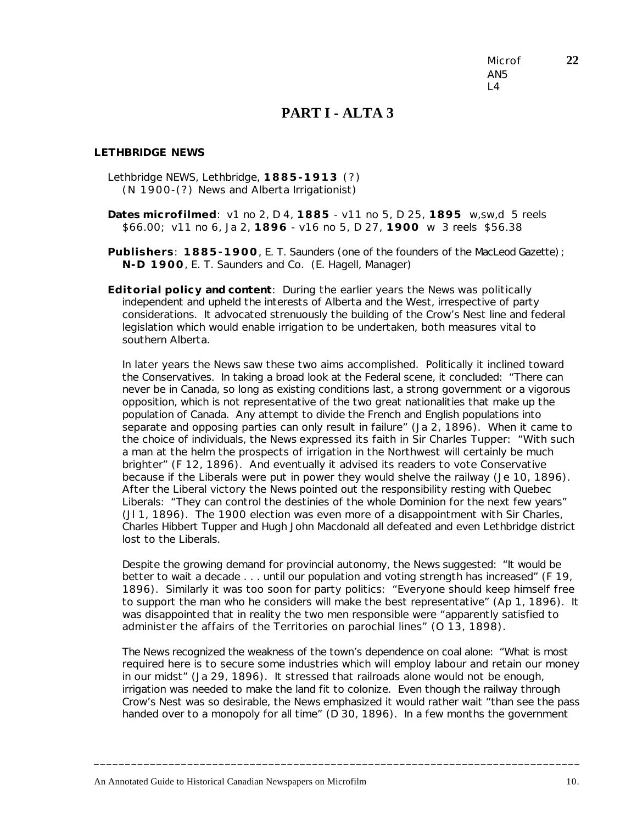Microf **22** AN5  $\overline{4}$ 

## **PART I - ALTA 3**

#### *LETHBRIDGE NEWS*

Lethbridge NEWS, Lethbridge, **1885-1913** (?) (N 1900-(?) *News and Alberta Irrigationist*)

**Dates microfilmed**: v1 no 2, D 4, **1885** - v11 no 5, D 25, **1895** w,sw,d 5 reels \$66.00; v11 no 6, Ja 2, **1896** - v16 no 5, D 27, **1900** w 3 reels \$56.38

**Publishers**: **1885-1900**, E. T. Saunders (one of the founders of the *MacLeod Gazette*); **N-D 1900**, E. T. Saunders and Co. (E. Hagell, Manager)

**Editorial policy and content**: During the earlier years the *News* was politically independent and upheld the interests of Alberta and the West, irrespective of party considerations. It advocated strenuously the building of the Crow's Nest line and federal legislation which would enable irrigation to be undertaken, both measures vital to southern Alberta.

In later years the *News* saw these two aims accomplished. Politically it inclined toward the Conservatives. In taking a broad look at the Federal scene, it concluded: "There can never be in Canada, so long as existing conditions last, a strong government or a vigorous opposition, which is not representative of the two great nationalities that make up the population of Canada. Any attempt to divide the French and English populations into separate and opposing parties can only result in failure" (Ja 2, 1896). When it came to the choice of individuals, the *News* expressed its faith in Sir Charles Tupper: "With such a man at the helm the prospects of irrigation in the Northwest will certainly be much brighter" (F 12, 1896). And eventually it advised its readers to vote Conservative because if the Liberals were put in power they would shelve the railway (Je 10, 1896). After the Liberal victory the *News* pointed out the responsibility resting with Quebec Liberals: "They can control the destinies of the whole Dominion for the next few years" (Jl 1, 1896). The 1900 election was even more of a disappointment with Sir Charles, Charles Hibbert Tupper and Hugh John Macdonald all defeated and even Lethbridge district lost to the Liberals.

Despite the growing demand for provincial autonomy, the *News* suggested: "It would be better to wait a decade . . . until our population and voting strength has increased" (F 19, 1896). Similarly it was too soon for party politics: "Everyone should keep himself free to support the man who he considers will make the best representative" (Ap 1, 1896). It was disappointed that in reality the two men responsible were "apparently satisfied to administer the affairs of the Territories on parochial lines" (O 13, 1898).

The *News* recognized the weakness of the town's dependence on coal alone: "What is most required here is to secure some industries which will employ labour and retain our money in our midst" (Ja 29, 1896). It stressed that railroads alone would not be enough, irrigation was needed to make the land fit to colonize. Even though the railway through Crow's Nest was so desirable, the *News* emphasized it would rather wait "than see the pass handed over to a monopoly for all time" (D 30, 1896). In a few months the government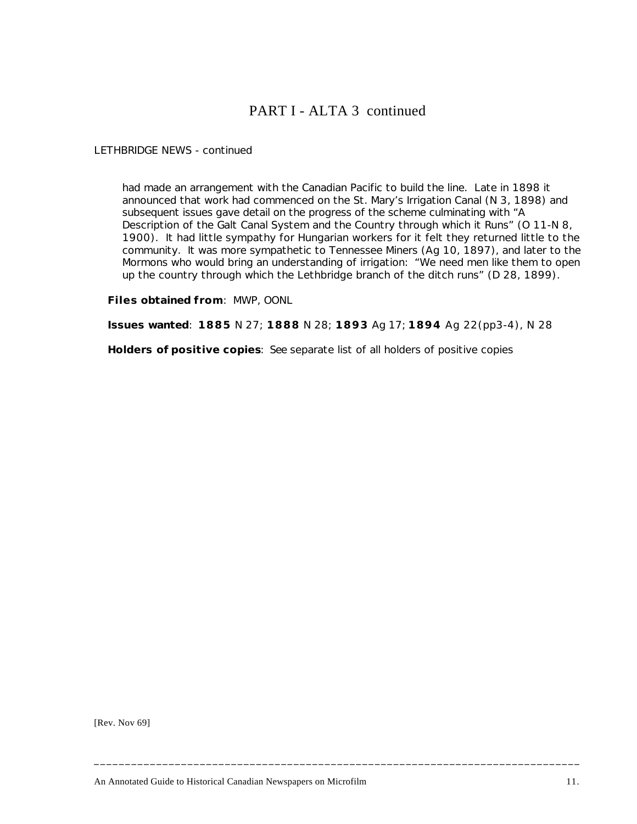# PART I - ALTA 3 continued

*LETHBRIDGE NEWS* - continued

had made an arrangement with the Canadian Pacific to build the line. Late in 1898 it announced that work had commenced on the St. Mary's Irrigation Canal (N 3, 1898) and subsequent issues gave detail on the progress of the scheme culminating with "A Description of the Galt Canal System and the Country through which it Runs" (O 11-N 8, 1900). It had little sympathy for Hungarian workers for it felt they returned little to the community. It was more sympathetic to Tennessee Miners (Ag 10, 1897), and later to the Mormons who would bring an understanding of irrigation: "We need men like them to open up the country through which the Lethbridge branch of the ditch runs" (D 28, 1899).

**Files obtained from**: MWP, OONL

**Issues wanted**: **1885** N 27; **1888** N 28; **1893** Ag 17; **1894** Ag 22(pp3-4), N 28

**\_\_\_\_\_\_\_\_\_\_\_\_\_\_\_\_\_\_\_\_\_\_\_\_\_\_\_\_\_\_\_\_\_\_\_\_\_\_\_\_\_\_\_\_\_\_\_\_\_\_\_\_\_\_\_\_\_\_\_\_\_\_\_\_\_\_\_\_\_\_\_\_\_\_\_\_\_\_**

**Holders of positive copies**: *See* separate list of all holders of positive copies

[Rev. Nov 69]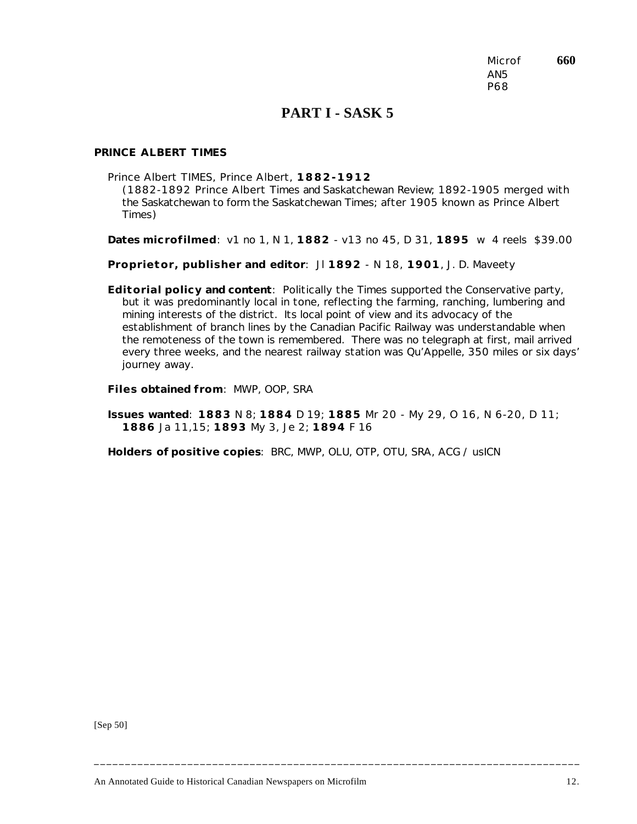Microf **660** AN5 P68

## **PART I - SASK 5**

### *PRINCE ALBERT TIMES*

Prince Albert TIMES, Prince Albert, **1882-1912**

(1882-1892 Prince Albert *Times* and *Saskatchewan Review*; 1892-1905 merged with the Saskatchewan to form the *Saskatchewan Times*; after 1905 known as Prince Albert *Times*)

**Dates microfilmed**: v1 no 1, N 1, **1882** - v13 no 45, D 31, **1895** w 4 reels \$39.00

**Proprietor, publisher and editor**: Jl **1892** - N 18, **1901**, J. D. Maveety

**Editorial policy and content**: Politically the *Times* supported the Conservative party, but it was predominantly local in tone, reflecting the farming, ranching, lumbering and mining interests of the district. Its local point of view and its advocacy of the establishment of branch lines by the Canadian Pacific Railway was understandable when the remoteness of the town is remembered. There was no telegraph at first, mail arrived every three weeks, and the nearest railway station was Qu'Appelle, 350 miles or six days' journey away.

**Files obtained from**: MWP, OOP, SRA

**Issues wanted**: **1883** N 8; **1884** D 19; **1885** Mr 20 - My 29, O 16, N 6-20, D 11; **1886** Ja 11,15; **1893** My 3, Je 2; **1894** F 16

**\_\_\_\_\_\_\_\_\_\_\_\_\_\_\_\_\_\_\_\_\_\_\_\_\_\_\_\_\_\_\_\_\_\_\_\_\_\_\_\_\_\_\_\_\_\_\_\_\_\_\_\_\_\_\_\_\_\_\_\_\_\_\_\_\_\_\_\_\_\_\_\_\_\_\_\_\_\_**

**Holders of positive copies**: BRC, MWP, OLU, OTP, OTU, SRA, ACG / usICN

[Sep 50]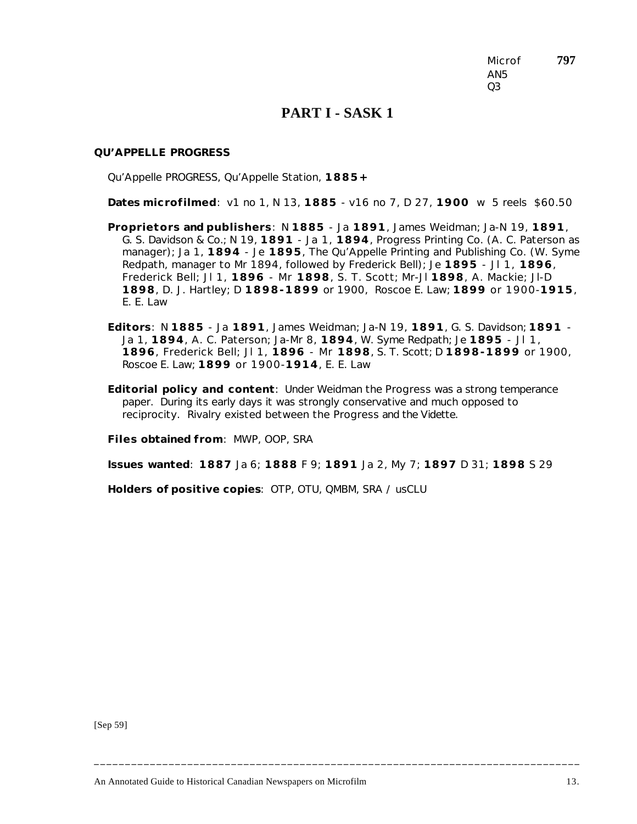Microf **797** AN5 Q3

### **PART I - SASK 1**

#### *QU'APPELLE PROGRESS*

Qu'Appelle PROGRESS, Qu'Appelle Station, **1885+**

**Dates microfilmed**: v1 no 1, N 13, **1885** - v16 no 7, D 27, **1900** w 5 reels \$60.50

- **Proprietors and publishers**: N **1885** Ja **1891**, James Weidman; Ja-N 19, **1891**, G. S. Davidson & Co.; N 19, **1891** - Ja 1, **1894**, Progress Printing Co. (A. C. Paterson as manager); Ja 1, **1894** - Je **1895**, The Qu'Appelle Printing and Publishing Co. (W. Syme Redpath, manager to Mr 1894, followed by Frederick Bell); Je **1895** - Jl 1, **1896**, Frederick Bell; Jl 1, **1896** - Mr **1898**, S. T. Scott; Mr-Jl **1898**, A. Mackie; Jl-D **1898**, D. J. Hartley; D **1898-1899** or 1900, Roscoe E. Law; **1899** or 1900-**1915**, E. E. Law
- **Editors**: N **1885** Ja **1891**, James Weidman; Ja-N 19, **1891**, G. S. Davidson; **1891** Ja 1, **1894**, A. C. Paterson; Ja-Mr 8, **1894**, W. Syme Redpath; Je **1895** - Jl 1, **1896**, Frederick Bell; Jl 1, **1896** - Mr **1898**, S. T. Scott; D **1898-1899** or 1900, Roscoe E. Law; **1899** or 1900-**1914**, E. E. Law
- **Editorial policy and content**: Under Weidman the *Progress* was a strong temperance paper. During its early days it was strongly conservative and much opposed to reciprocity. Rivalry existed between the *Progress* and the *Vidette*.

**Files obtained from**: MWP, OOP, SRA

**Issues wanted**: **1887** Ja 6; **1888** F 9; **1891** Ja 2, My 7; **1897** D 31; **1898** S 29

**\_\_\_\_\_\_\_\_\_\_\_\_\_\_\_\_\_\_\_\_\_\_\_\_\_\_\_\_\_\_\_\_\_\_\_\_\_\_\_\_\_\_\_\_\_\_\_\_\_\_\_\_\_\_\_\_\_\_\_\_\_\_\_\_\_\_\_\_\_\_\_\_\_\_\_\_\_\_**

**Holders of positive copies**: OTP, OTU, QMBM, SRA / usCLU

[Sep 59]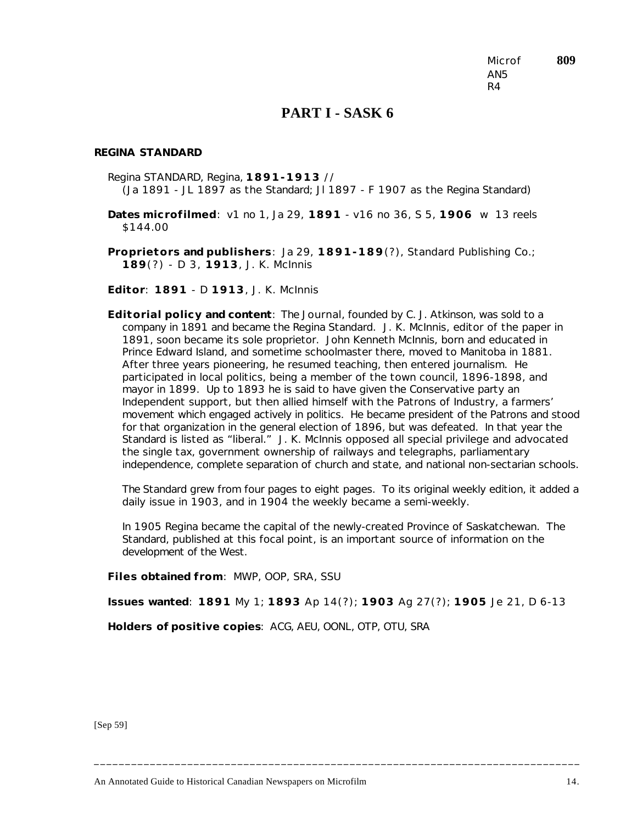Microf **809** AN5 R4

## **PART I - SASK 6**

#### *REGINA STANDARD*

Regina STANDARD, Regina, **1891-1913** // (Ja 1891 - JL 1897 as the *Standard*; Jl 1897 - F 1907 as the *Regina Standard*)

**Dates microfilmed**: v1 no 1, Ja 29, **1891** - v16 no 36, S 5, **1906** w 13 reels \$144.00

**Proprietors and publishers**: Ja 29, **1891-189**(?), Standard Publishing Co.; **189**(?) - D 3, **1913**, J. K. McInnis

**Editor**: **1891** - D **1913**, J. K. McInnis

**Editorial policy and content**: The *Journal*, founded by C. J. Atkinson, was sold to a company in 1891 and became the *Regina Standard*. J. K. McInnis, editor of the paper in 1891, soon became its sole proprietor. John Kenneth McInnis, born and educated in Prince Edward Island, and sometime schoolmaster there, moved to Manitoba in 1881. After three years pioneering, he resumed teaching, then entered journalism. He participated in local politics, being a member of the town council, 1896-1898, and mayor in 1899. Up to 1893 he is said to have given the Conservative party an Independent support, but then allied himself with the Patrons of Industry, a farmers' movement which engaged actively in politics. He became president of the Patrons and stood for that organization in the general election of 1896, but was defeated. In that year the *Standard* is listed as "liberal." J. K. McInnis opposed all special privilege and advocated the single tax, government ownership of railways and telegraphs, parliamentary independence, complete separation of church and state, and national non-sectarian schools.

The *Standard* grew from four pages to eight pages. To its original weekly edition, it added a daily issue in 1903, and in 1904 the weekly became a semi-weekly.

In 1905 Regina became the capital of the newly-created Province of Saskatchewan. The *Standard*, published at this focal point, is an important source of information on the development of the West.

**Files obtained from**: MWP, OOP, SRA, SSU

**Issues wanted**: **1891** My 1; **1893** Ap 14(?); **1903** Ag 27(?); **1905** Je 21, D 6-13

**\_\_\_\_\_\_\_\_\_\_\_\_\_\_\_\_\_\_\_\_\_\_\_\_\_\_\_\_\_\_\_\_\_\_\_\_\_\_\_\_\_\_\_\_\_\_\_\_\_\_\_\_\_\_\_\_\_\_\_\_\_\_\_\_\_\_\_\_\_\_\_\_\_\_\_\_\_\_**

**Holders of positive copies**: ACG, AEU, OONL, OTP, OTU, SRA

[Sep 59]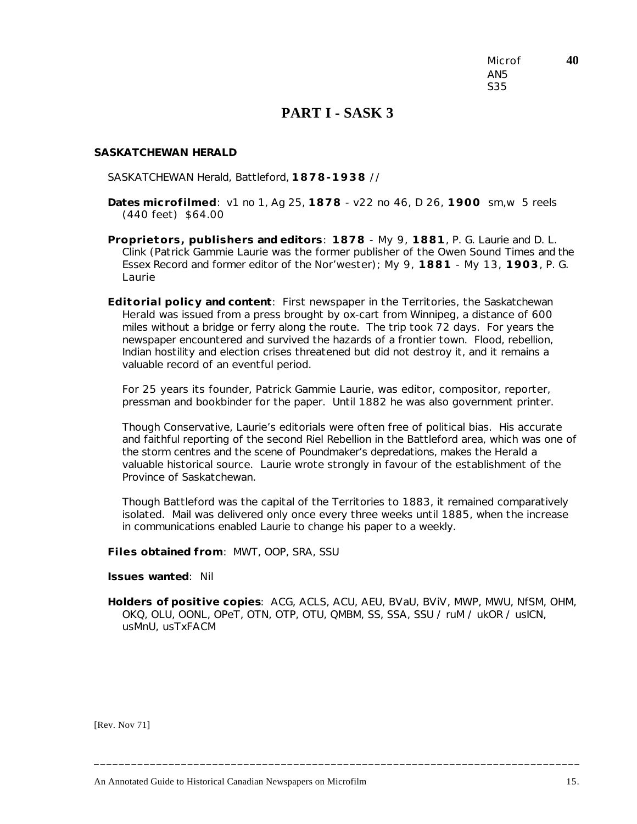Microf **40** AN5 S35

### **PART I - SASK 3**

#### *SASKATCHEWAN HERALD*

SASKATCHEWAN Herald, Battleford, **1878-1938** //

- **Dates microfilmed**: v1 no 1, Ag 25, **1878** v22 no 46, D 26, **1900** sm,w 5 reels (440 feet) \$64.00
- **Proprietors, publishers and editors**: **1878** My 9, **1881**, P. G. Laurie and D. L. Clink (Patrick Gammie Laurie was the former publisher of the Owen Sound *Times* and the Essex *Record* and former editor of the *Nor'wester*); My 9, **1881** - My 13, **1903**, P. G. Laurie
- **Editorial policy and content**: First newspaper in the Territories, the *Saskatchewan Herald* was issued from a press brought by ox-cart from Winnipeg, a distance of 600 miles without a bridge or ferry along the route. The trip took 72 days. For years the newspaper encountered and survived the hazards of a frontier town. Flood, rebellion, Indian hostility and election crises threatened but did not destroy it, and it remains a valuable record of an eventful period.

For 25 years its founder, Patrick Gammie Laurie, was editor, compositor, reporter, pressman and bookbinder for the paper. Until 1882 he was also government printer.

Though Conservative, Laurie's editorials were often free of political bias. His accurate and faithful reporting of the second Riel Rebellion in the Battleford area, which was one of the storm centres and the scene of Poundmaker's depredations, makes the *Herald* a valuable historical source. Laurie wrote strongly in favour of the establishment of the Province of Saskatchewan.

Though Battleford was the capital of the Territories to 1883, it remained comparatively isolated. Mail was delivered only once every three weeks until 1885, when the increase in communications enabled Laurie to change his paper to a weekly.

**Files obtained from**: MWT, OOP, SRA, SSU

**Issues wanted**: Nil

**Holders of positive copies**: ACG, ACLS, ACU, AEU, BVaU, BViV, MWP, MWU, NfSM, OHM, OKQ, OLU, OONL, OPeT, OTN, OTP, OTU, QMBM, SS, SSA, SSU / ruM / ukOR / usICN, usMnU, usTxFACM

**\_\_\_\_\_\_\_\_\_\_\_\_\_\_\_\_\_\_\_\_\_\_\_\_\_\_\_\_\_\_\_\_\_\_\_\_\_\_\_\_\_\_\_\_\_\_\_\_\_\_\_\_\_\_\_\_\_\_\_\_\_\_\_\_\_\_\_\_\_\_\_\_\_\_\_\_\_\_**

[Rev. Nov 71]

An Annotated Guide to Historical Canadian Newspapers on Microfilm 15.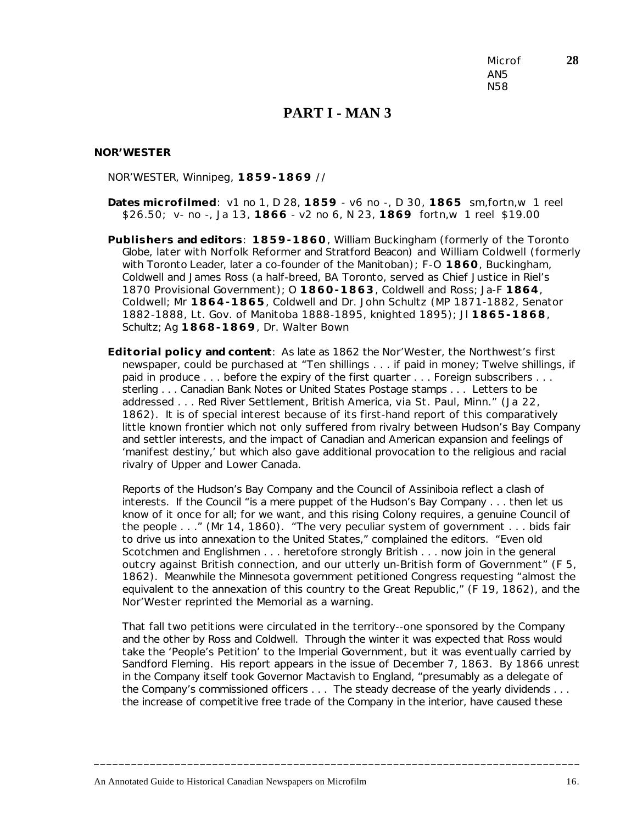Microf **28** AN5 N58

### **PART I - MAN 3**

#### *NOR'WESTER*

NOR'WESTER, Winnipeg, **1859-1869** //

- **Dates microfilmed**: v1 no 1, D 28, **1859** v6 no -, D 30, **1865** sm,fortn,w 1 reel \$26.50; v- no -, Ja 13, **1866** - v2 no 6, N 23, **1869** fortn,w 1 reel \$19.00
- **Publishers and editors**: **1859-1860**, William Buckingham (formerly of the Toronto *Globe*, later with Norfolk *Reformer* and Stratford *Beacon*) and William Coldwell (formerly with Toronto *Leader*, later a co-founder of the *Manitoban*); F-O **1860**, Buckingham, Coldwell and James Ross (a half-breed, BA Toronto, served as Chief Justice in Riel's 1870 Provisional Government); O **1860-1863**, Coldwell and Ross; Ja-F **1864**, Coldwell; Mr **1864-1865**, Coldwell and Dr. John Schultz (MP 1871-1882, Senator 1882-1888, Lt. Gov. of Manitoba 1888-1895, knighted 1895); Jl **1865-1868**, Schultz; Ag **1868-1869**, Dr. Walter Bown
- **Editorial policy and content**: As late as 1862 the *Nor'Wester*, the Northwest's first newspaper, could be purchased at "Ten shillings . . . if paid in money; Twelve shillings, if paid in produce . . . before the expiry of the first quarter . . . Foreign subscribers . . . sterling . . . Canadian Bank Notes or United States Postage stamps . . . Letters to be addressed . . . Red River Settlement, British America, *via* St. Paul, Minn." (Ja 22, 1862). It is of special interest because of its first-hand report of this comparatively little known frontier which not only suffered from rivalry between Hudson's Bay Company and settler interests, and the impact of Canadian and American expansion and feelings of 'manifest destiny,' but which also gave additional provocation to the religious and racial rivalry of Upper and Lower Canada.

Reports of the Hudson's Bay Company and the Council of Assiniboia reflect a clash of interests. If the Council "is a mere puppet of the Hudson's Bay Company . . . then let us know of it once for all; for we want, and this rising Colony requires, a genuine Council of the people . . ." (Mr 14, 1860). "The very peculiar system of government . . . bids fair to drive us into annexation to the United States," complained the editors. "Even old Scotchmen and Englishmen . . . heretofore strongly British . . . now join in the general outcry against British connection, and our utterly un-British form of Government" (F 5, 1862). Meanwhile the Minnesota government petitioned Congress requesting "almost the equivalent to the annexation of this country to the Great Republic," (F 19, 1862), and the *Nor'Wester* reprinted the Memorial as a warning.

That fall two petitions were circulated in the territory--one sponsored by the Company and the other by Ross and Coldwell. Through the winter it was expected that Ross would take the 'People's Petition' to the Imperial Government, but it was eventually carried by Sandford Fleming. His report appears in the issue of December 7, 1863. By 1866 unrest in the Company itself took Governor Mactavish to England, "presumably as a delegate of the Company's commissioned officers . . . The steady decrease of the yearly dividends . . . the increase of competitive free trade of the Company in the interior, have caused these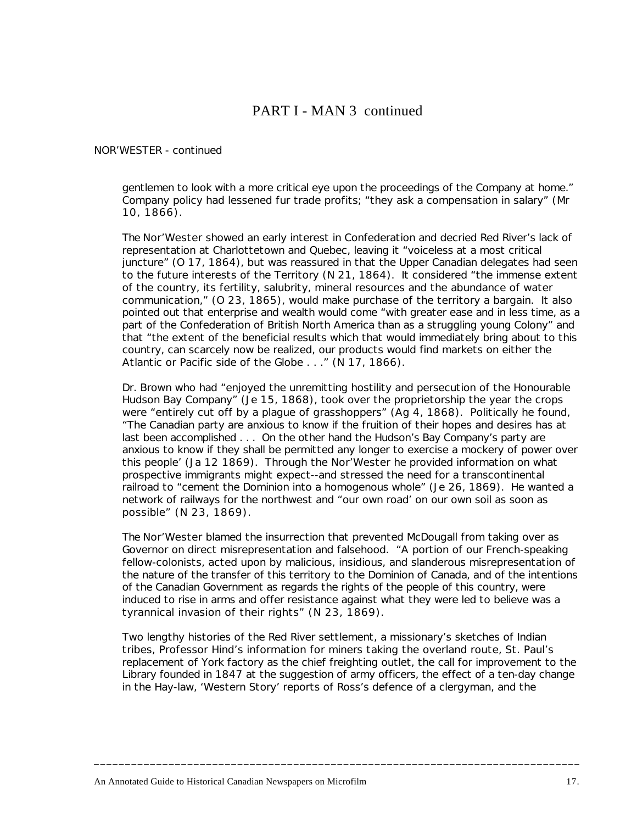# PART I - MAN 3 continued

### *NOR'WESTER* - continued

gentlemen to look with a more critical eye upon the proceedings of the Company at home." Company policy had lessened fur trade profits; "they ask a compensation in salary" (Mr 10, 1866).

The *Nor'Wester* showed an early interest in Confederation and decried Red River's lack of representation at Charlottetown and Quebec, leaving it "voiceless at a most critical juncture" (O 17, 1864), but was reassured in that the Upper Canadian delegates had seen to the future interests of the Territory (N 21, 1864). It considered "the immense extent of the country, its fertility, salubrity, mineral resources and the abundance of water communication," (O 23, 1865), would make purchase of the territory a bargain. It also pointed out that enterprise and wealth would come "with greater ease and in less time, as a part of the Confederation of British North America than as a struggling young Colony" and that "the extent of the beneficial results which that would immediately bring about to this country, can scarcely now be realized, our products would find markets on either the Atlantic or Pacific side of the Globe . . ." (N 17, 1866).

Dr. Brown who had "enjoyed the unremitting hostility and persecution of the Honourable Hudson Bay Company" (Je 15, 1868), took over the proprietorship the year the crops were "entirely cut off by a plague of grasshoppers" (Ag 4, 1868). Politically he found, "The Canadian party are anxious to know if the fruition of their hopes and desires has at last been accomplished . . . On the other hand the Hudson's Bay Company's party are anxious to know if they shall be permitted any longer to exercise a mockery of power over this people' (Ja 12 1869). Through the *Nor'Wester* he provided information on what prospective immigrants might expect--and stressed the need for a transcontinental railroad to "cement the Dominion into a homogenous whole" (Je 26, 1869). He wanted a network of railways for the northwest and "our own road' on our own soil as soon as possible" (N 23, 1869).

The *Nor'Wester* blamed the insurrection that prevented McDougall from taking over as Governor on direct misrepresentation and falsehood. "A portion of our French-speaking fellow-colonists, acted upon by malicious, insidious, and slanderous misrepresentation of the nature of the transfer of this territory to the Dominion of Canada, and of the intentions of the Canadian Government as regards the rights of the people of this country, were induced to rise in arms and offer resistance against what they were led to believe was a tyrannical invasion of their rights" (N 23, 1869).

Two lengthy histories of the Red River settlement, a missionary's sketches of Indian tribes, Professor Hind's information for miners taking the overland route, St. Paul's replacement of York factory as the chief freighting outlet, the call for improvement to the Library founded in 1847 at the suggestion of army officers, the effect of a ten-day change in the Hay-law, 'Western Story' reports of Ross's defence of a clergyman, and the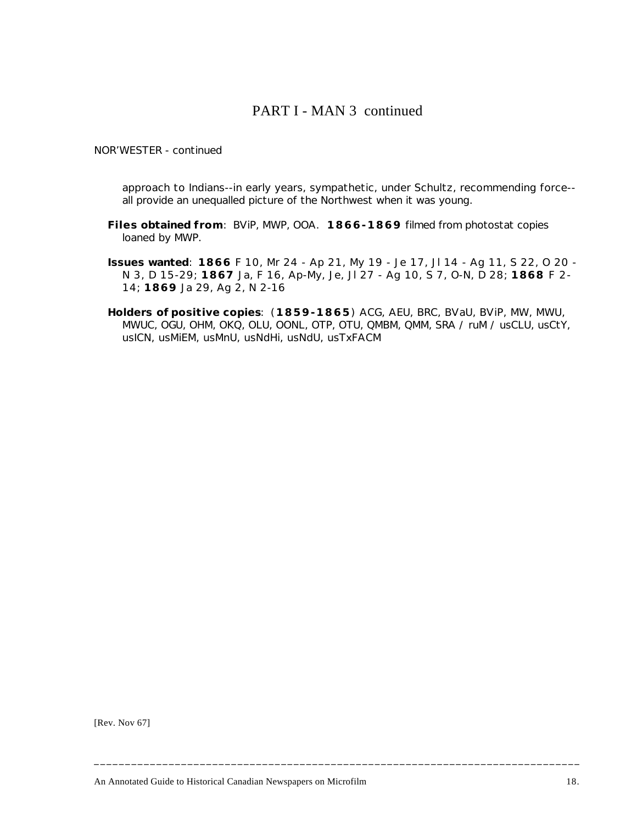## PART I - MAN 3 continued

### *NOR'WESTER* - continued

approach to Indians--in early years, sympathetic, under Schultz, recommending force- all provide an unequalled picture of the Northwest when it was young.

- **Files obtained from**: BViP, MWP, OOA. **1866-1869** filmed from photostat copies loaned by MWP.
- **Issues wanted**: **1866** F 10, Mr 24 Ap 21, My 19 Je 17, Jl 14 Ag 11, S 22, O 20 N 3, D 15-29; **1867** Ja, F 16, Ap-My, Je, Jl 27 - Ag 10, S 7, O-N, D 28; **1868** F 2- 14; **1869** Ja 29, Ag 2, N 2-16
- **Holders of positive copies**: (**1859-1865**) ACG, AEU, BRC, BVaU, BViP, MW, MWU, MWUC, OGU, OHM, OKQ, OLU, OONL, OTP, OTU, QMBM, QMM, SRA / ruM / usCLU, usCtY, usICN, usMiEM, usMnU, usNdHi, usNdU, usTxFACM

**\_\_\_\_\_\_\_\_\_\_\_\_\_\_\_\_\_\_\_\_\_\_\_\_\_\_\_\_\_\_\_\_\_\_\_\_\_\_\_\_\_\_\_\_\_\_\_\_\_\_\_\_\_\_\_\_\_\_\_\_\_\_\_\_\_\_\_\_\_\_\_\_\_\_\_\_\_\_**

[Rev. Nov 67]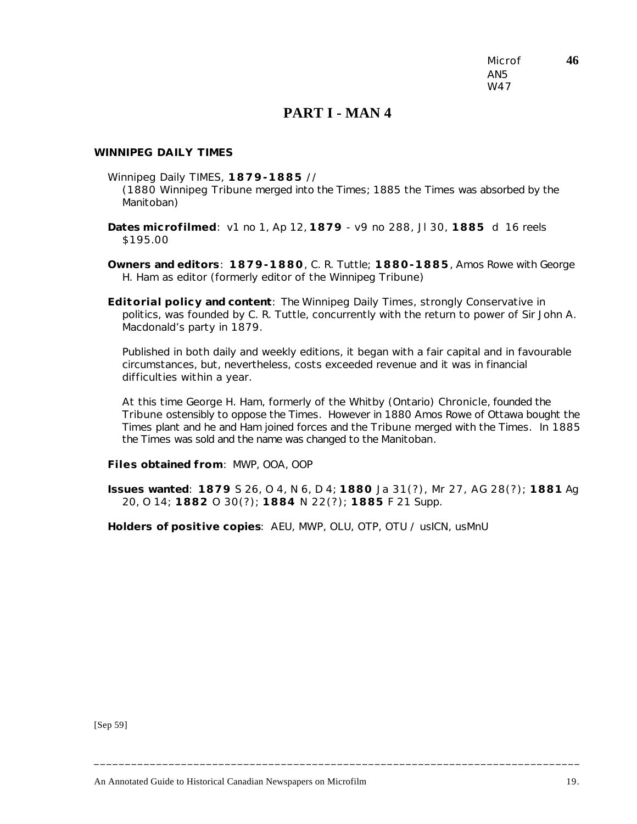Microf **46** AN5 W47

### **PART I - MAN 4**

#### *WINNIPEG DAILY TIMES*

Winnipeg Daily TIMES, **1879-1885** //

(1880 Winnipeg *Tribune* merged into the *Times*; 1885 the *Times* was absorbed by the *Manitoban*)

**Dates microfilmed**: v1 no 1, Ap 12, **1879** - v9 no 288, Jl 30, **1885** d 16 reels \$195.00

**Owners and editors**: **1879-1880**, C. R. Tuttle; **1880-1885**, Amos Rowe with George H. Ham as editor (formerly editor of the Winnipeg *Tribune*)

**Editorial policy and content**: The *Winnipeg Daily Times*, strongly Conservative in politics, was founded by C. R. Tuttle, concurrently with the return to power of Sir John A. Macdonald's party in 1879.

Published in both daily and weekly editions, it began with a fair capital and in favourable circumstances, but, nevertheless, costs exceeded revenue and it was in financial difficulties within a year.

At this time George H. Ham, formerly of the Whitby (Ontario) *Chronicle*, founded the *Tribune* ostensibly to oppose the *Times*. However in 1880 Amos Rowe of Ottawa bought the *Times* plant and he and Ham joined forces and the *Tribune* merged with the *Times*. In 1885 the *Times* was sold and the name was changed to the *Manitoban*.

**Files obtained from**: MWP, OOA, OOP

**Issues wanted**: **1879** S 26, O 4, N 6, D 4; **1880** Ja 31(?), Mr 27, AG 28(?); **1881** Ag 20, O 14; **1882** O 30(?); **1884** N 22(?); **1885** F 21 Supp.

**\_\_\_\_\_\_\_\_\_\_\_\_\_\_\_\_\_\_\_\_\_\_\_\_\_\_\_\_\_\_\_\_\_\_\_\_\_\_\_\_\_\_\_\_\_\_\_\_\_\_\_\_\_\_\_\_\_\_\_\_\_\_\_\_\_\_\_\_\_\_\_\_\_\_\_\_\_\_**

**Holders of positive copies**: AEU, MWP, OLU, OTP, OTU / usICN, usMnU

[Sep 59]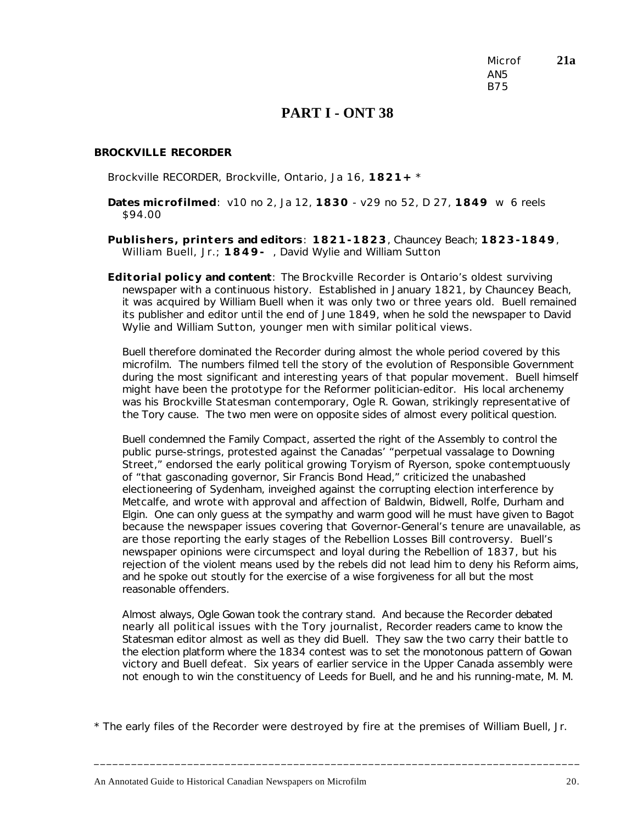Microf **21a** AN5 B75

### **PART I - ONT 38**

### *BROCKVILLE RECORDER*

Brockville RECORDER, Brockville, Ontario, Ja 16, **1821+** \*

- **Dates microfilmed**: v10 no 2, Ja 12, **1830** v29 no 52, D 27, **1849** w 6 reels \$94.00
- **Publishers, printers and editors**: **1821-1823**, Chauncey Beach; **1823-1849**, William Buell, Jr.; **1849-** , David Wylie and William Sutton
- **Editorial policy and content**: The *Brockville Recorder* is Ontario's oldest surviving newspaper with a continuous history. Established in January 1821, by Chauncey Beach, it was acquired by William Buell when it was only two or three years old. Buell remained its publisher and editor until the end of June 1849, when he sold the newspaper to David Wylie and William Sutton, younger men with similar political views.

Buell therefore dominated the *Recorder* during almost the whole period covered by this microfilm. The numbers filmed tell the story of the evolution of Responsible Government during the most significant and interesting years of that popular movement. Buell himself might have been the prototype for the Reformer politician-editor. His local archenemy was his *Brockville Statesman* contemporary, Ogle R. Gowan, strikingly representative of the Tory cause. The two men were on opposite sides of almost every political question.

Buell condemned the Family Compact, asserted the right of the Assembly to control the public purse-strings, protested against the Canadas' "perpetual vassalage to Downing Street," endorsed the early political growing Toryism of Ryerson, spoke contemptuously of "that gasconading governor, Sir Francis Bond Head," criticized the unabashed electioneering of Sydenham, inveighed against the corrupting election interference by Metcalfe, and wrote with approval and affection of Baldwin, Bidwell, Rolfe, Durham and Elgin. One can only guess at the sympathy and warm good will he must have given to Bagot because the newspaper issues covering that Governor-General's tenure are unavailable, as are those reporting the early stages of the Rebellion Losses Bill controversy. Buell's newspaper opinions were circumspect and loyal during the Rebellion of 1837, but his rejection of the violent means used by the rebels did not lead him to deny his Reform aims, and he spoke out stoutly for the exercise of a wise forgiveness for all but the most reasonable offenders.

Almost always, Ogle Gowan took the contrary stand. And because the *Recorder* debated nearly all political issues with the Tory journalist, *Recorder* readers came to know the *Statesman* editor almost as well as they did Buell. They saw the two carry their battle to the election platform where the 1834 contest was to set the monotonous pattern of Gowan victory and Buell defeat. Six years of earlier service in the Upper Canada assembly were not enough to win the constituency of Leeds for Buell, and he and his running-mate, M. M.

\* The early files of the *Recorder* were destroyed by fire at the premises of William Buell, Jr.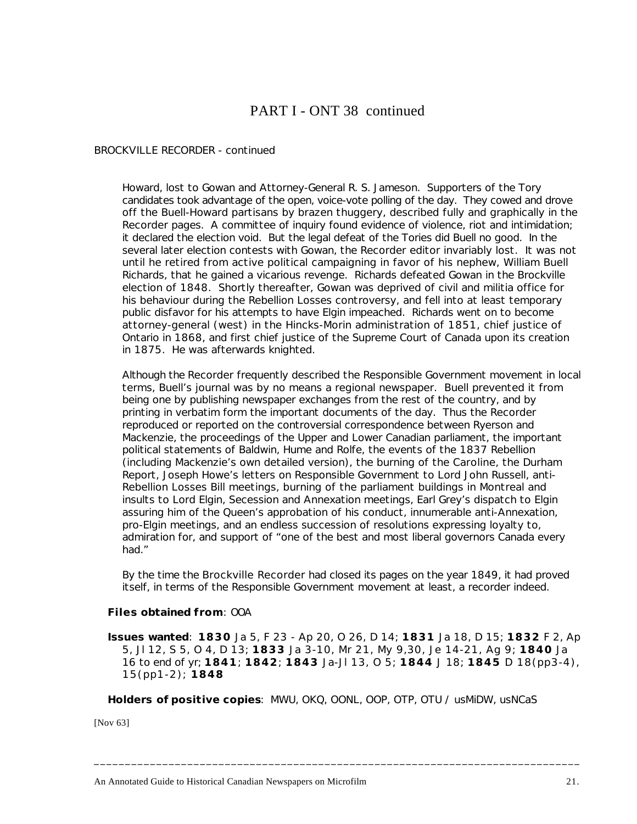# PART I - ONT 38 continued

#### *BROCKVILLE RECORDER* - continued

Howard, lost to Gowan and Attorney-General R. S. Jameson. Supporters of the Tory candidates took advantage of the open, voice-vote polling of the day. They cowed and drove off the Buell-Howard partisans by brazen thuggery, described fully and graphically in the *Recorder* pages. A committee of inquiry found evidence of violence, riot and intimidation; it declared the election void. But the legal defeat of the Tories did Buell no good. In the several later election contests with Gowan, the *Recorder* editor invariably lost. It was not until he retired from active political campaigning in favor of his nephew, William Buell Richards, that he gained a vicarious revenge. Richards defeated Gowan in the Brockville election of 1848. Shortly thereafter, Gowan was deprived of civil and militia office for his behaviour during the Rebellion Losses controversy, and fell into at least temporary public disfavor for his attempts to have Elgin impeached. Richards went on to become attorney-general (west) in the Hincks-Morin administration of 1851, chief justice of Ontario in 1868, and first chief justice of the Supreme Court of Canada upon its creation in 1875. He was afterwards knighted.

Although the *Recorder* frequently described the Responsible Government movement in local terms, Buell's journal was by no means a regional newspaper. Buell prevented it from being one by publishing newspaper exchanges from the rest of the country, and by printing in verbatim form the important documents of the day. Thus the *Recorder* reproduced or reported on the controversial correspondence between Ryerson and Mackenzie, the proceedings of the Upper and Lower Canadian parliament, the important political statements of Baldwin, Hume and Rolfe, the events of the 1837 Rebellion (including Mackenzie's own detailed version), the burning of the *Caroline*, the Durham Report, Joseph Howe's letters on Responsible Government to Lord John Russell, anti-Rebellion Losses Bill meetings, burning of the parliament buildings in Montreal and insults to Lord Elgin, Secession and Annexation meetings, Earl Grey's dispatch to Elgin assuring him of the Queen's approbation of his conduct, innumerable anti-Annexation, pro-Elgin meetings, and an endless succession of resolutions expressing loyalty to, admiration for, and support of "one of the best and most liberal governors Canada every had."

By the time the *Brockville Recorder* had closed its pages on the year 1849, it had proved itself, in terms of the Responsible Government movement at least, a recorder indeed.

#### **Files obtained from**: OOA

**Issues wanted**: **1830** Ja 5, F 23 - Ap 20, O 26, D 14; **1831** Ja 18, D 15; **1832** F 2, Ap 5, Jl 12, S 5, O 4, D 13; **1833** Ja 3-10, Mr 21, My 9,30, Je 14-21, Ag 9; **1840** Ja 16 to end of yr; **1841**; **1842**; **1843** Ja-Jl 13, O 5; **1844** J 18; **1845** D 18(pp3-4), 15(pp1-2); **1848**

**Holders of positive copies**: MWU, OKQ, OONL, OOP, OTP, OTU / usMiDW, usNCaS

**\_\_\_\_\_\_\_\_\_\_\_\_\_\_\_\_\_\_\_\_\_\_\_\_\_\_\_\_\_\_\_\_\_\_\_\_\_\_\_\_\_\_\_\_\_\_\_\_\_\_\_\_\_\_\_\_\_\_\_\_\_\_\_\_\_\_\_\_\_\_\_\_\_\_\_\_\_\_**

[Nov 63]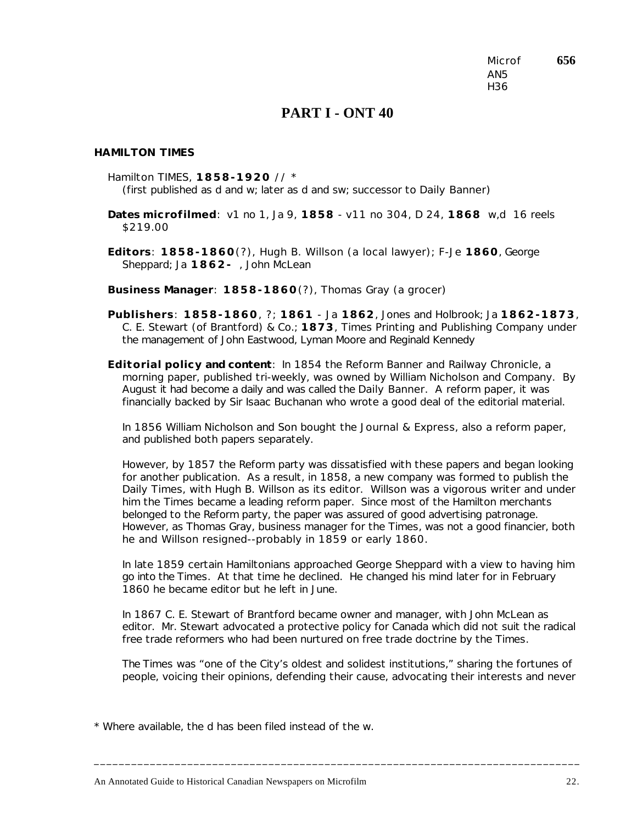Microf **656** AN5 H36

## **PART I - ONT 40**

#### *HAMILTON TIMES*

Hamilton TIMES, **1858-1920** // \* (first published as d and w; later as d and sw; successor to *Daily Banner*)

**Dates microfilmed**: v1 no 1, Ja 9, **1858** - v11 no 304, D 24, **1868** w,d 16 reels \$219.00

**Editors**: **1858-1860**(?), Hugh B. Willson (a local lawyer); F-Je **1860**, George Sheppard; Ja **1862-** , John McLean

**Business Manager**: **1858-1860**(?), Thomas Gray (a grocer)

**Publishers**: **1858-1860**, ?; **1861** - Ja **1862**, Jones and Holbrook; Ja **1862-1873**, C. E. Stewart (of Brantford) & Co.; **1873**, Times Printing and Publishing Company under the management of John Eastwood, Lyman Moore and Reginald Kennedy

**Editorial policy and content**: In 1854 the *Reform Banner and Railway Chronicle*, a morning paper, published tri-weekly, was owned by William Nicholson and Company. By August it had become a daily and was called the *Daily Banner*. A reform paper, it was financially backed by Sir Isaac Buchanan who wrote a good deal of the editorial material.

In 1856 William Nicholson and Son bought the *Journal & Express*, also a reform paper, and published both papers separately.

However, by 1857 the Reform party was dissatisfied with these papers and began looking for another publication. As a result, in 1858, a new company was formed to publish the *Daily Times*, with Hugh B. Willson as its editor. Willson was a vigorous writer and under him the *Times* became a leading reform paper. Since most of the Hamilton merchants belonged to the Reform party, the paper was assured of good advertising patronage. However, as Thomas Gray, business manager for the *Times*, was not a good financier, both he and Willson resigned--probably in 1859 or early 1860.

In late 1859 certain Hamiltonians approached George Sheppard with a view to having him go into the *Times*. At that time he declined. He changed his mind later for in February 1860 he became editor but he left in June.

In 1867 C. E. Stewart of Brantford became owner and manager, with John McLean as editor. Mr. Stewart advocated a protective policy for Canada which did not suit the radical free trade reformers who had been nurtured on free trade doctrine by the *Times*.

The *Times* was "one of the City's oldest and solidest institutions," sharing the fortunes of people, voicing their opinions, defending their cause, advocating their interests and never

**\_\_\_\_\_\_\_\_\_\_\_\_\_\_\_\_\_\_\_\_\_\_\_\_\_\_\_\_\_\_\_\_\_\_\_\_\_\_\_\_\_\_\_\_\_\_\_\_\_\_\_\_\_\_\_\_\_\_\_\_\_\_\_\_\_\_\_\_\_\_\_\_\_\_\_\_\_\_**

\* Where available, the d has been filed instead of the w.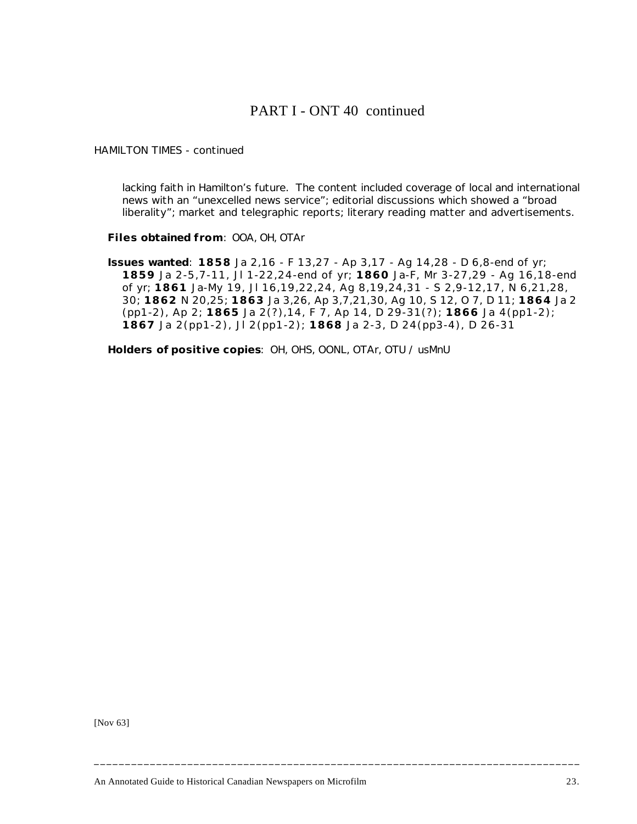## PART I - ONT 40 continued

### *HAMILTON TIMES* - continued

lacking faith in Hamilton's future. The content included coverage of local and international news with an "unexcelled news service"; editorial discussions which showed a "broad liberality"; market and telegraphic reports; literary reading matter and advertisements.

**Files obtained from**: OOA, OH, OTAr

**Issues wanted**: **1858** Ja 2,16 - F 13,27 - Ap 3,17 - Ag 14,28 - D 6,8-end of yr; **1859** Ja 2-5,7-11, Jl 1-22,24-end of yr; **1860** Ja-F, Mr 3-27,29 - Ag 16,18-end of yr; **1861** Ja-My 19, Jl 16,19,22,24, Ag 8,19,24,31 - S 2,9-12,17, N 6,21,28, 30; **1862** N 20,25; **1863** Ja 3,26, Ap 3,7,21,30, Ag 10, S 12, O 7, D 11; **1864** Ja 2 (pp1-2), Ap 2; **1865** Ja 2(?),14, F 7, Ap 14, D 29-31(?); **1866** Ja 4(pp1-2); **1867** Ja 2(pp1-2), Jl 2(pp1-2); **1868** Ja 2-3, D 24(pp3-4), D 26-31

**\_\_\_\_\_\_\_\_\_\_\_\_\_\_\_\_\_\_\_\_\_\_\_\_\_\_\_\_\_\_\_\_\_\_\_\_\_\_\_\_\_\_\_\_\_\_\_\_\_\_\_\_\_\_\_\_\_\_\_\_\_\_\_\_\_\_\_\_\_\_\_\_\_\_\_\_\_\_**

**Holders of positive copies**: OH, OHS, OONL, OTAr, OTU / usMnU

[Nov 63]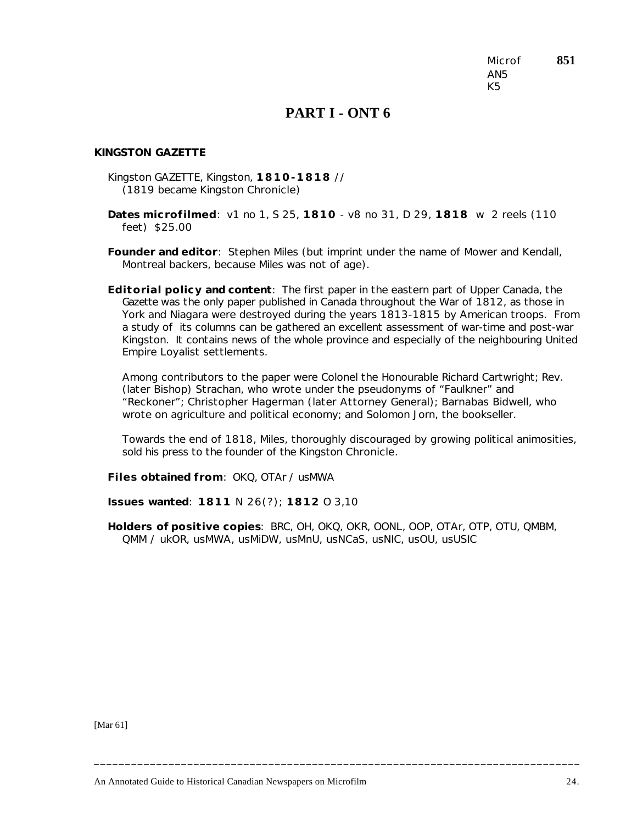Microf **851** AN5 K5

## **PART I - ONT 6**

#### *KINGSTON GAZETTE*

- Kingston GAZETTE, Kingston, **1810-1818** // (1819 became Kingston *Chronicle*)
- **Dates microfilmed**: v1 no 1, S 25, **1810** v8 no 31, D 29, **1818** w 2 reels (110 feet) \$25.00
- **Founder and editor**: Stephen Miles (but imprint under the name of Mower and Kendall, Montreal backers, because Miles was not of age).
- **Editorial policy and content**: The first paper in the eastern part of Upper Canada, the *Gazette* was the only paper published in Canada throughout the War of 1812, as those in York and Niagara were destroyed during the years 1813-1815 by American troops. From a study of its columns can be gathered an excellent assessment of war-time and post-war Kingston. It contains news of the whole province and especially of the neighbouring United Empire Loyalist settlements.

Among contributors to the paper were Colonel the Honourable Richard Cartwright; Rev. (later Bishop) Strachan, who wrote under the pseudonyms of "Faulkner" and "Reckoner"; Christopher Hagerman (later Attorney General); Barnabas Bidwell, who wrote on agriculture and political economy; and Solomon Jorn, the bookseller.

Towards the end of 1818, Miles, thoroughly discouraged by growing political animosities, sold his press to the founder of the Kingston *Chronicle*.

**Files obtained from**: OKQ, OTAr / usMWA

**Issues wanted**: **1811** N 26(?); **1812** O 3,10

**Holders of positive copies**: BRC, OH, OKQ, OKR, OONL, OOP, OTAr, OTP, OTU, QMBM, QMM / ukOR, usMWA, usMiDW, usMnU, usNCaS, usNIC, usOU, usUSIC

**\_\_\_\_\_\_\_\_\_\_\_\_\_\_\_\_\_\_\_\_\_\_\_\_\_\_\_\_\_\_\_\_\_\_\_\_\_\_\_\_\_\_\_\_\_\_\_\_\_\_\_\_\_\_\_\_\_\_\_\_\_\_\_\_\_\_\_\_\_\_\_\_\_\_\_\_\_\_**

[Mar 61]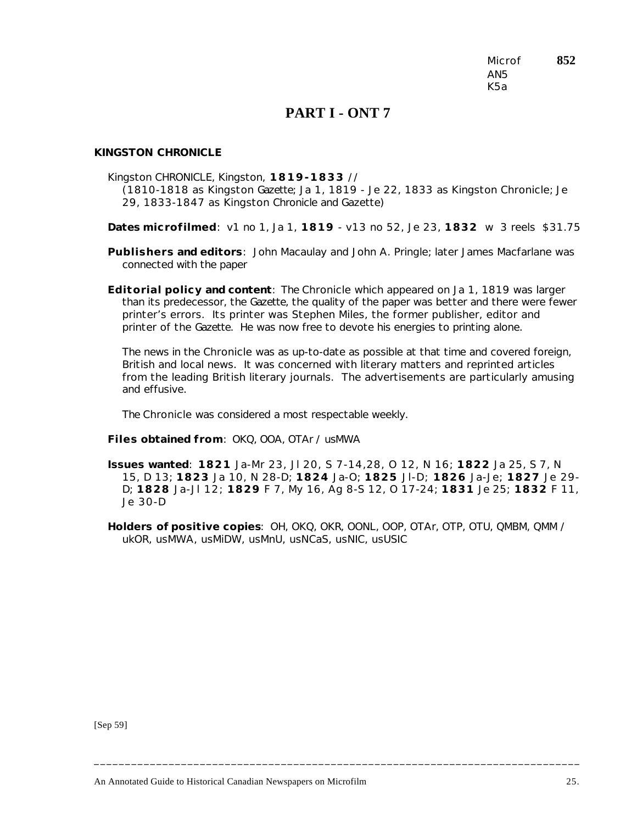Microf **852** AN5 K5a

## **PART I - ONT 7**

### *KINGSTON CHRONICLE*

Kingston CHRONICLE, Kingston, **1819-1833** // (1810-1818 as Kingston *Gazette*; Ja 1, 1819 - Je 22, 1833 as Kingston *Chronicle*; Je 29, 1833-1847 as Kingston *Chronicle and Gazette*)

**Dates microfilmed**: v1 no 1, Ja 1, **1819** - v13 no 52, Je 23, **1832** w 3 reels \$31.75

**Publishers and editors**: John Macaulay and John A. Pringle; later James Macfarlane was connected with the paper

**Editorial policy and content**: The *Chronicle* which appeared on Ja 1, 1819 was larger than its predecessor, the *Gazette*, the quality of the paper was better and there were fewer printer's errors. Its printer was Stephen Miles, the former publisher, editor and printer of the *Gazette*. He was now free to devote his energies to printing alone.

The news in the *Chronicle* was as up-to-date as possible at that time and covered foreign, British and local news. It was concerned with literary matters and reprinted articles from the leading British literary journals. The advertisements are particularly amusing and effusive.

The *Chronicle* was considered a most respectable weekly.

**Files obtained from**: OKQ, OOA, OTAr / usMWA

**Issues wanted**: **1821** Ja-Mr 23, Jl 20, S 7-14,28, O 12, N 16; **1822** Ja 25, S 7, N 15, D 13; **1823** Ja 10, N 28-D; **1824** Ja-O; **1825** Jl-D; **1826** Ja-Je; **1827** Je 29- D; **1828** Ja-Jl 12; **1829** F 7, My 16, Ag 8-S 12, O 17-24; **1831** Je 25; **1832** F 11, Je 30-D

**Holders of positive copies**: OH, OKQ, OKR, OONL, OOP, OTAr, OTP, OTU, QMBM, QMM / ukOR, usMWA, usMiDW, usMnU, usNCaS, usNIC, usUSIC

**\_\_\_\_\_\_\_\_\_\_\_\_\_\_\_\_\_\_\_\_\_\_\_\_\_\_\_\_\_\_\_\_\_\_\_\_\_\_\_\_\_\_\_\_\_\_\_\_\_\_\_\_\_\_\_\_\_\_\_\_\_\_\_\_\_\_\_\_\_\_\_\_\_\_\_\_\_\_**

[Sep 59]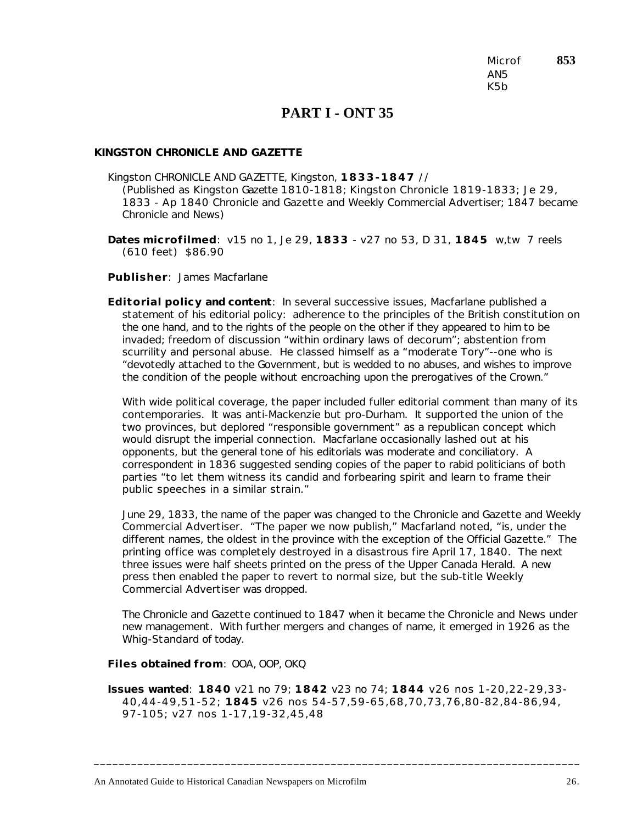Microf **853** AN5 K5b

## **PART I - ONT 35**

#### *KINGSTON CHRONICLE AND GAZETTE*

Kingston CHRONICLE AND GAZETTE, Kingston, **1833-1847** // (Published as Kingston *Gazette* 1810-1818; Kingston *Chronicle* 1819-1833; Je 29, 1833 - Ap 1840 *Chronicle and Gazette and Weekly Commercial Advertiser*; 1847 became *Chronicle and News*)

**Dates microfilmed**: v15 no 1, Je 29, **1833** - v27 no 53, D 31, **1845** w,tw 7 reels (610 feet) \$86.90

**Publisher**: James Macfarlane

**Editorial policy and content**: In several successive issues, Macfarlane published a statement of his editorial policy: adherence to the principles of the British constitution on the one hand, and to the rights of the people on the other if they appeared to him to be invaded; freedom of discussion "within ordinary laws of decorum"; abstention from scurrility and personal abuse. He classed himself as a "moderate Tory"--one who is "devotedly attached to the Government, but is wedded to no abuses, and wishes to improve the condition of the people without encroaching upon the prerogatives of the Crown."

With wide political coverage, the paper included fuller editorial comment than many of its contemporaries. It was anti-Mackenzie but pro-Durham. It supported the union of the two provinces, but deplored "responsible government" as a republican concept which would disrupt the imperial connection. Macfarlane occasionally lashed out at his opponents, but the general tone of his editorials was moderate and conciliatory. A correspondent in 1836 suggested sending copies of the paper to rabid politicians of both parties "to let them witness its candid and forbearing spirit and learn to frame their public speeches in a similar strain."

June 29, 1833, the name of the paper was changed to the *Chronicle and Gazette and Weekly Commercial Advertiser*. "The paper we now publish," Macfarland noted, "is, under the different names, the oldest in the province with the exception of the Official Gazette." The printing office was completely destroyed in a disastrous fire April 17, 1840. The next three issues were half sheets printed on the press of the *Upper Canada Herald*. A new press then enabled the paper to revert to normal size, but the sub-title *Weekly Commercial Advertiser* was dropped.

The *Chronicle and Gazette* continued to 1847 when it became the *Chronicle and News* under new management. With further mergers and changes of name, it emerged in 1926 as the *Whig-Standard* of today.

**Files obtained from**: OOA, OOP, OKQ

**Issues wanted**: **1840** v21 no 79; **1842** v23 no 74; **1844** v26 nos 1-20,22-29,33- 40,44-49,51-52; **1845** v26 nos 54-57,59-65,68,70,73,76,80-82,84-86,94, 97-105; v27 nos 1-17,19-32,45,48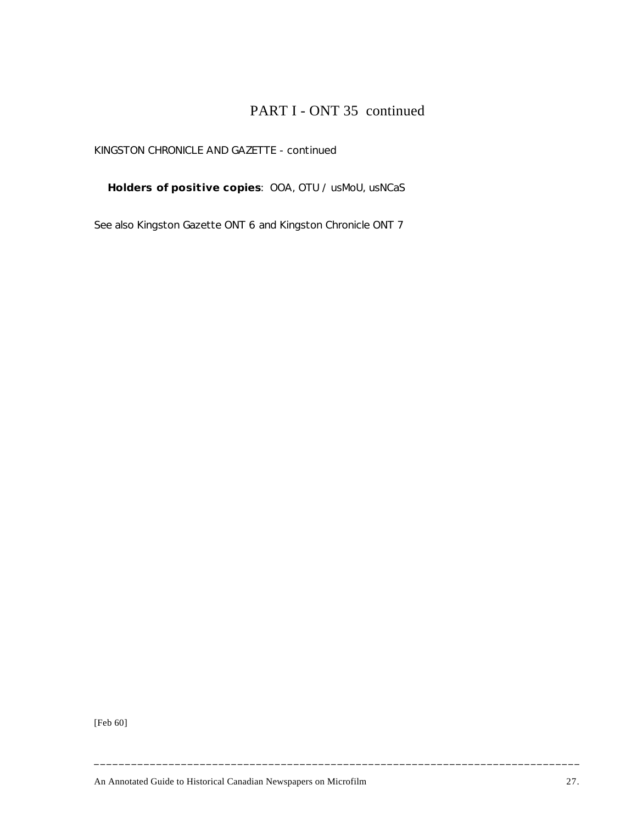# PART I - ONT 35 continued

### *KINGSTON CHRONICLE AND GAZETTE* - continued

**Holders of positive copies**: OOA, OTU / usMoU, usNCaS

*See also* Kingston Gazette ONT 6 and Kingston Chronicle ONT 7

[Feb 60]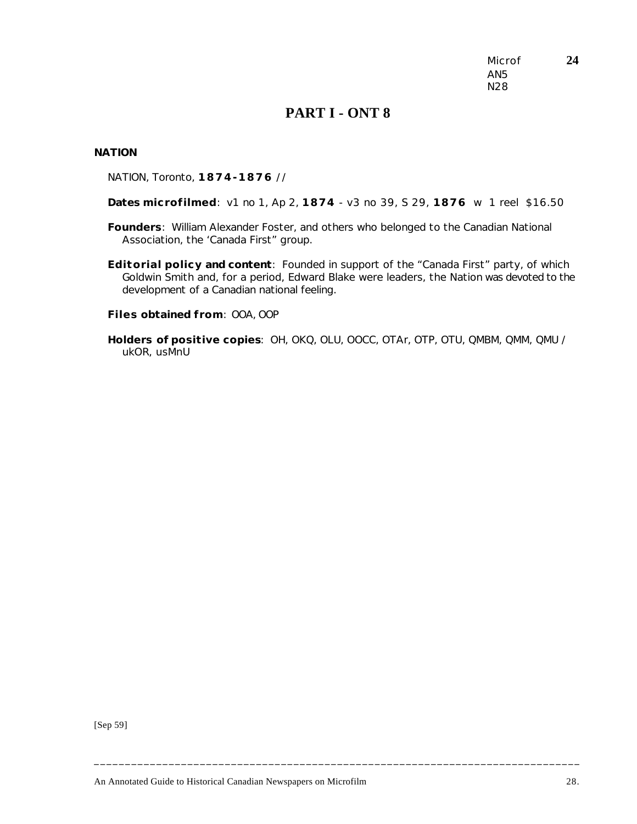Microf **24** AN5 N28

## **PART I - ONT 8**

#### *NATION*

NATION, Toronto, **1874-1876** //

**Dates microfilmed**: v1 no 1, Ap 2, **1874** - v3 no 39, S 29, **1876** w 1 reel \$16.50

- **Founders**: William Alexander Foster, and others who belonged to the Canadian National Association, the 'Canada First" group.
- **Editorial policy and content**: Founded in support of the "Canada First" party, of which Goldwin Smith and, for a period, Edward Blake were leaders, the *Nation* was devoted to the development of a Canadian national feeling.

**Files obtained from**: OOA, OOP

**Holders of positive copies**: OH, OKQ, OLU, OOCC, OTAr, OTP, OTU, QMBM, QMM, QMU / ukOR, usMnU

[Sep 59]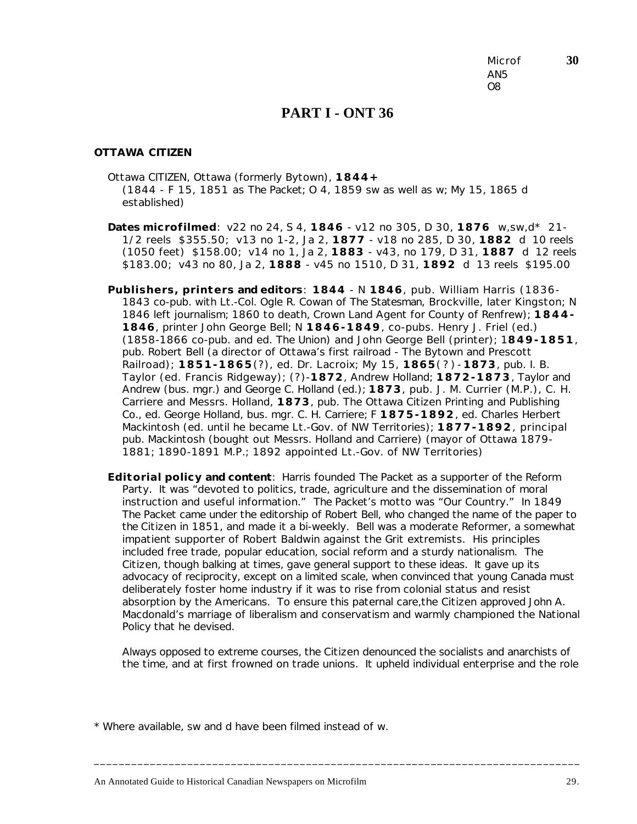Microf **30** AN5 O8

### **PART I - ONT 36**

#### *OTTAWA CITIZEN*

- Ottawa CITIZEN, Ottawa (formerly Bytown), **1844+** (1844 - F 15, 1851 as *The Packet*; O 4, 1859 sw as well as w; My 15, 1865 d established)
- **Dates microfilmed**: v22 no 24, S 4, **1846** v12 no 305, D 30, **1876** w,sw,d\* 21- 1/2 reels \$355.50; v13 no 1-2, Ja 2, **1877** - v18 no 285, D 30, **1882** d 10 reels (1050 feet) \$158.00; v14 no 1, Ja 2, **1883** - v43, no 179, D 31, **1887** d 12 reels \$183.00; v43 no 80, Ja 2, **1888** - v45 no 1510, D 31, **1892** d 13 reels \$195.00
- **Publishers, printers and editors**: **1844** N **1846**, pub. William Harris (1836- 1843 co-pub. with Lt.-Col. Ogle R. Cowan of *The Statesman*, Brockville, later Kingston; N 1846 left journalism; 1860 to death, Crown Land Agent for County of Renfrew); **1844- 1846**, printer John George Bell; N **1846-1849**, co-pubs. Henry J. Friel (ed.) (1858-1866 co-pub. and ed. *The Union*) and John George Bell (printer); 1**849-1851**, pub. Robert Bell (a director of Ottawa's first railroad - The Bytown and Prescott Railroad); **1851-1865**(?), ed. Dr. Lacroix; My 15, **1865**(?)- **1873**, pub. I. B. Taylor (ed. Francis Ridgeway); (?)-**1872**, Andrew Holland; **1872-1873**, Taylor and Andrew (bus. mgr.) and George C. Holland (ed.); **1873**, pub. J. M. Currier (M.P.), C. H. Carriere and Messrs. Holland, **1873**, pub. The Ottawa Citizen Printing and Publishing Co., ed. George Holland, bus. mgr. C. H. Carriere; F **1875-1892**, ed. Charles Herbert Mackintosh (ed. until he became Lt.-Gov. of NW Territories); **1877-1892**, principal pub. Mackintosh (bought out Messrs. Holland and Carriere) (mayor of Ottawa 1879- 1881; 1890-1891 M.P.; 1892 appointed Lt.-Gov. of NW Territories)
- **Editorial policy and content**: Harris founded *The Packet* as a supporter of the Reform Party. It was "devoted to politics, trade, agriculture and the dissemination of moral instruction and useful information." *The Packet*'s motto was "Our Country." In 1849 *The Packet* came under the editorship of Robert Bell, who changed the name of the paper to the *Citizen* in 1851, and made it a bi-weekly. Bell was a moderate Reformer, a somewhat impatient supporter of Robert Baldwin against the Grit extremists. His principles included free trade, popular education, social reform and a sturdy nationalism. The *Citizen*, though balking at times, gave general support to these ideas. It gave up its advocacy of reciprocity, except on a limited scale, when convinced that young Canada must deliberately foster home industry if it was to rise from colonial status and resist absorption by the Americans. To ensure this paternal care,the *Citizen* approved John A. Macdonald's marriage of liberalism and conservatism and warmly championed the National Policy that he devised.

Always opposed to extreme courses, the *Citizen* denounced the socialists and anarchists of the time, and at first frowned on trade unions. It upheld individual enterprise and the role

**\_\_\_\_\_\_\_\_\_\_\_\_\_\_\_\_\_\_\_\_\_\_\_\_\_\_\_\_\_\_\_\_\_\_\_\_\_\_\_\_\_\_\_\_\_\_\_\_\_\_\_\_\_\_\_\_\_\_\_\_\_\_\_\_\_\_\_\_\_\_\_\_\_\_\_\_\_\_**

\* Where available, sw and d have been filmed instead of w.

An Annotated Guide to Historical Canadian Newspapers on Microfilm 29.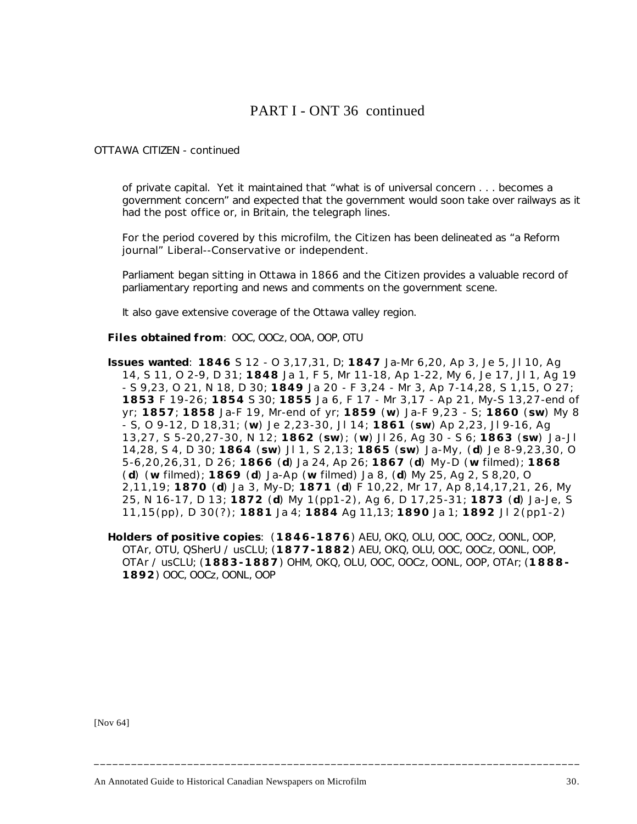## PART I - ONT 36 continued

#### *OTTAWA CITIZEN* - continued

of private capital. Yet it maintained that "what is of universal concern . . . becomes a government concern" and expected that the government would soon take over railways as it had the post office or, in Britain, the telegraph lines.

For the period covered by this microfilm, the *Citizen* has been delineated as "a Reform journal" Liberal--Conservative or independent.

Parliament began sitting in Ottawa in 1866 and the *Citizen* provides a valuable record of parliamentary reporting and news and comments on the government scene.

It also gave extensive coverage of the Ottawa valley region.

**Files obtained from**: OOC, OOCz, OOA, OOP, OTU

- **Issues wanted**: **1846** S 12 O 3,17,31, D; **1847** Ja-Mr 6,20, Ap 3, Je 5, Jl 10, Ag 14, S 11, O 2-9, D 31; **1848** Ja 1, F 5, Mr 11-18, Ap 1-22, My 6, Je 17, Jl 1, Ag 19 - S 9,23, O 21, N 18, D 30; **1849** Ja 20 - F 3,24 - Mr 3, Ap 7-14,28, S 1,15, O 27; **1853** F 19-26; **1854** S 30; **1855** Ja 6, F 17 - Mr 3,17 - Ap 21, My-S 13,27-end of yr; **1857**; **1858** Ja-F 19, Mr-end of yr; **1859** (**w**) Ja-F 9,23 - S; **1860** (**sw**) My 8 - S, O 9-12, D 18,31; (**w**) Je 2,23-30, Jl 14; **1861** (**sw**) Ap 2,23, Jl 9-16, Ag 13,27, S 5-20,27-30, N 12; **1862** (**sw**); (**w**) Jl 26, Ag 30 - S 6; **1863** (**sw**) Ja-Jl 14,28, S 4, D 30; **1864** (**sw**) Jl 1, S 2,13; **1865** (**sw**) Ja-My, (**d**) Je 8-9,23,30, O 5-6,20,26,31, D 26; **1866** (**d**) Ja 24, Ap 26; **1867** (**d**) My-D (**w** filmed); **1868** ( **d**) (**w** filmed); **1869** (**d**) Ja-Ap (**w** filmed) Ja 8, (**d**) My 25, Ag 2, S 8,20, O 2,11,19; **1870** (**d**) Ja 3, My-D; **1871** (**d**) F 10,22, Mr 17, Ap 8,14,17,21, 26, My 25, N 16-17, D 13; **1872** (**d**) My 1(pp1-2), Ag 6, D 17,25-31; **1873** (**d**) Ja-Je, S 11,15(pp), D 30(?); **1881** Ja 4; **1884** Ag 11,13; **1890** Ja 1; **1892** Jl 2(pp1-2)
- **Holders of positive copies**: (**1846-1876**) AEU, OKQ, OLU, OOC, OOCz, OONL, OOP, OTAr, OTU, QSherU / usCLU; (**1877-1882**) AEU, OKQ, OLU, OOC, OOCz, OONL, OOP, OTAr / usCLU; (**1883-1887**) OHM, OKQ, OLU, OOC, OOCz, OONL, OOP, OTAr; (**1888- 1892**) OOC, OOCz, OONL, OOP

**\_\_\_\_\_\_\_\_\_\_\_\_\_\_\_\_\_\_\_\_\_\_\_\_\_\_\_\_\_\_\_\_\_\_\_\_\_\_\_\_\_\_\_\_\_\_\_\_\_\_\_\_\_\_\_\_\_\_\_\_\_\_\_\_\_\_\_\_\_\_\_\_\_\_\_\_\_\_**

[Nov 64]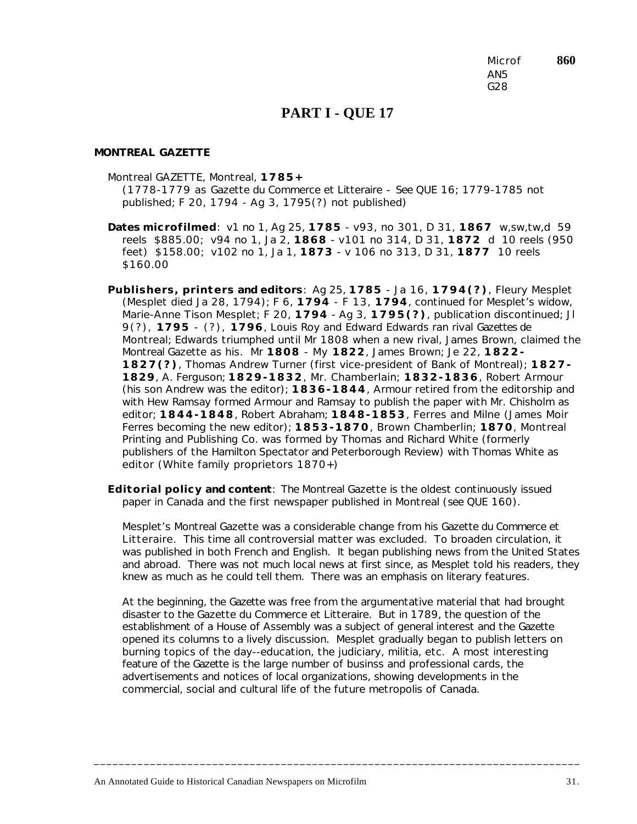Microf **860** AN5 G28

## **PART I - QUE 17**

#### *MONTREAL GAZETTE*

Montreal GAZETTE, Montreal, **1785+**

(1778-1779 as *Gazette du Commerce et Litteraire* - *See* QUE 16; 1779-1785 not published; F 20, 1794 - Ag 3, 1795(?) not published)

- **Dates microfilmed**: v1 no 1, Ag 25, **1785** v93, no 301, D 31, **1867** w,sw,tw,d 59 reels \$885.00; v94 no 1, Ja 2, **1868** - v101 no 314, D 31, **1872** d 10 reels (950 feet) \$158.00; v102 no 1, Ja 1, **1873** - v 106 no 313, D 31, **1877** 10 reels \$160.00
- **Publishers, printers and editors**: Ag 25, **1785** Ja 16, **1794(?)**, Fleury Mesplet (Mesplet died Ja 28, 1794); F 6, **1794** - F 13, **1794**, continued for Mesplet's widow, Marie-Anne Tison Mesplet; F 20, **1794** - Ag 3, **1795(?)**, publication discontinued; Jl 9(?), **1795** - (?), **1796**, Louis Roy and Edward Edwards ran rival *Gazettes de Montreal*; Edwards triumphed until Mr 1808 when a new rival, James Brown, claimed the *Montreal Gazette* as his. Mr **1808** - My **1822**, James Brown; Je 22, **1822- 1827(?)**, Thomas Andrew Turner (first vice-president of Bank of Montreal); **1827- 1829**, A. Ferguson; **1829-1832**, Mr. Chamberlain; **1832-1836**, Robert Armour (his son Andrew was the editor); **1836-1844**, Armour retired from the editorship and with Hew Ramsay formed Armour and Ramsay to publish the paper with Mr. Chisholm as editor; **1844-1848**, Robert Abraham; **1848-1853**, Ferres and Milne (James Moir Ferres becoming the new editor); **1853-1870**, Brown Chamberlin; **1870**, Montreal Printing and Publishing Co. was formed by Thomas and Richard White (formerly publishers of the *Hamilton Spectator* and *Peterborough Review*) with Thomas White as editor (White family proprietors 1870+)
- **Editorial policy and content**: The *Montreal Gazette* is the oldest continuously issued paper in Canada and the first newspaper published in Montreal (*see* QUE 160).

Mesplet's *Montreal Gazette* was a considerable change from his *Gazette du Commerce et Litteraire*. This time all controversial matter was excluded. To broaden circulation, it was published in both French and English. It began publishing news from the United States and abroad. There was not much local news at first since, as Mesplet told his readers, they knew as much as he could tell them. There was an emphasis on literary features.

At the beginning, the *Gazette* was free from the argumentative material that had brought disaster to the *Gazette du Commerce et Litteraire*. But in 1789, the question of the establishment of a House of Assembly was a subject of general interest and the *Gazette* opened its columns to a lively discussion. Mesplet gradually began to publish letters on burning topics of the day--education, the judiciary, militia, etc. A most interesting feature of the *Gazette* is the large number of businss and professional cards, the advertisements and notices of local organizations, showing developments in the commercial, social and cultural life of the future metropolis of Canada.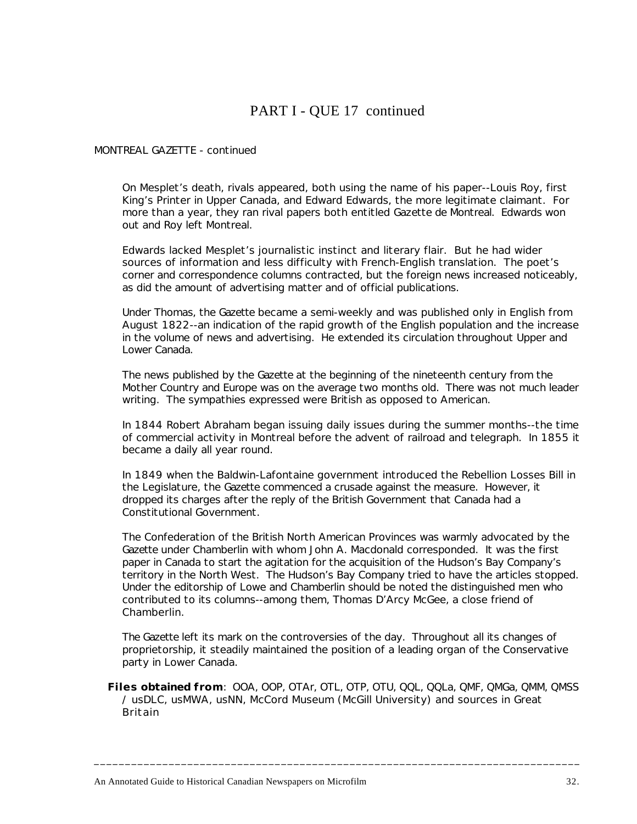# PART I - QUE 17 continued

### *MONTREAL GAZETTE* - continued

On Mesplet's death, rivals appeared, both using the name of his paper--Louis Roy, first King's Printer in Upper Canada, and Edward Edwards, the more legitimate claimant. For more than a year, they ran rival papers both entitled *Gazette de Montreal*. Edwards won out and Roy left Montreal.

Edwards lacked Mesplet's journalistic instinct and literary flair. But he had wider sources of information and less difficulty with French-English translation. The poet's corner and correspondence columns contracted, but the foreign news increased noticeably, as did the amount of advertising matter and of official publications.

Under Thomas, the *Gazette* became a semi-weekly and was published only in English from August 1822--an indication of the rapid growth of the English population and the increase in the volume of news and advertising. He extended its circulation throughout Upper and Lower Canada.

The news published by the *Gazette* at the beginning of the nineteenth century from the Mother Country and Europe was on the average two months old. There was not much leader writing. The sympathies expressed were British as opposed to American.

In 1844 Robert Abraham began issuing daily issues during the summer months--the time of commercial activity in Montreal before the advent of railroad and telegraph. In 1855 it became a daily all year round.

In 1849 when the Baldwin-Lafontaine government introduced the Rebellion Losses Bill in the Legislature, the *Gazette* commenced a crusade against the measure. However, it dropped its charges after the reply of the British Government that Canada had a Constitutional Government.

The Confederation of the British North American Provinces was warmly advocated by the *Gazette* under Chamberlin with whom John A. Macdonald corresponded. It was the first paper in Canada to start the agitation for the acquisition of the Hudson's Bay Company's territory in the North West. The Hudson's Bay Company tried to have the articles stopped. Under the editorship of Lowe and Chamberlin should be noted the distinguished men who contributed to its columns--among them, Thomas D'Arcy McGee, a close friend of Chamberlin.

The *Gazette* left its mark on the controversies of the day. Throughout all its changes of proprietorship, it steadily maintained the position of a leading organ of the Conservative party in Lower Canada.

**Files obtained from**: OOA, OOP, OTAr, OTL, OTP, OTU, QQL, QQLa, QMF, QMGa, QMM, QMSS / usDLC, usMWA, usNN, McCord Museum (McGill University) and sources in Great Britain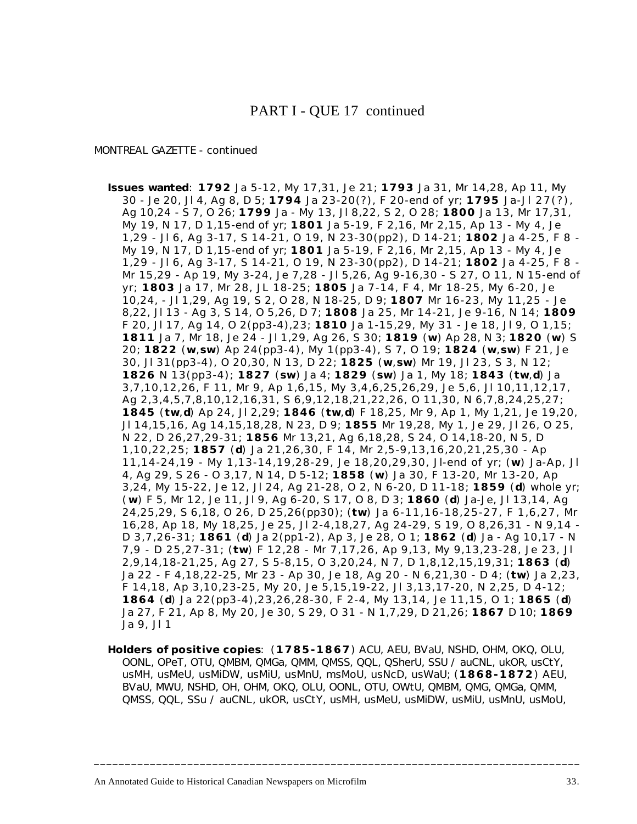### PART I - QUE 17 continued

### *MONTREAL GAZETTE* - continued

- **Issues wanted**: **1792** Ja 5-12, My 17,31, Je 21; **1793** Ja 31, Mr 14,28, Ap 11, My 30 - Je 20, Jl 4, Ag 8, D 5; **1794** Ja 23-20(?), F 20-end of yr; **1795** Ja-Jl 27(?), Ag 10,24 - S 7, O 26; **1799** Ja - My 13, Jl 8,22, S 2, O 28; **1800** Ja 13, Mr 17,31, My 19, N 17, D 1,15-end of yr; **1801** Ja 5-19, F 2,16, Mr 2,15, Ap 13 - My 4, Je 1,29 - Jl 6, Ag 3-17, S 14-21, O 19, N 23-30(pp2), D 14-21; **1802** Ja 4-25, F 8 - My 19, N 17, D 1,15-end of yr; **1801** Ja 5-19, F 2,16, Mr 2,15, Ap 13 - My 4, Je 1,29 - Jl 6, Ag 3-17, S 14-21, O 19, N 23-30(pp2), D 14-21; **1802** Ja 4-25, F 8 - Mr 15,29 - Ap 19, My 3-24, Je 7,28 - Jl 5,26, Ag 9-16,30 - S 27, O 11, N 15-end of yr; **1803** Ja 17, Mr 28, JL 18-25; **1805** Ja 7-14, F 4, Mr 18-25, My 6-20, Je 10,24, - Jl 1,29, Ag 19, S 2, O 28, N 18-25, D 9; **1807** Mr 16-23, My 11,25 - Je 8,22, Jl 13 - Ag 3, S 14, O 5,26, D 7; **1808** Ja 25, Mr 14-21, Je 9-16, N 14; **1809** F 20, Jl 17, Ag 14, O 2(pp3-4),23; **1810** Ja 1-15,29, My 31 - Je 18, Jl 9, O 1,15; **1811** Ja 7, Mr 18, Je 24 - Jl 1,29, Ag 26, S 30; **1819** (**w**) Ap 28, N 3; **1820** (**w**) S 20; **1822** (**w**,**sw**) Ap 24(pp3-4), My 1(pp3-4), S 7, O 19; **1824** (**w**,**sw**) F 21, Je 30, Jl 31(pp3-4), O 20,30, N 13, D 22; **1825** (**w**,**sw**) Mr 19, Jl 23, S 3, N 12; **1826** N 13(pp3-4); **1827** (**sw**) Ja 4; **1829** (**sw**) Ja 1, My 18; **1843** (**tw**,**d**) Ja 3,7,10,12,26, F 11, Mr 9, Ap 1,6,15, My 3,4,6,25,26,29, Je 5,6, Jl 10,11,12,17, Ag 2,3,4,5,7,8,10,12,16,31, S 6,9,12,18,21,22,26, O 11,30, N 6,7,8,24,25,27; **1845** (**tw**,**d**) Ap 24, Jl 2,29; **1846** (**tw**,**d**) F 18,25, Mr 9, Ap 1, My 1,21, Je 19,20, Jl 14,15,16, Ag 14,15,18,28, N 23, D 9; **1855** Mr 19,28, My 1, Je 29, Jl 26, O 25, N 22, D 26,27,29-31; **1856** Mr 13,21, Ag 6,18,28, S 24, O 14,18-20, N 5, D 1,10,22,25; **1857** (**d**) Ja 21,26,30, F 14, Mr 2,5-9,13,16,20,21,25,30 - Ap 11,14-24,19 - My 1,13-14,19,28-29, Je 18,20,29,30, Jl-end of yr; (**w**) Ja-Ap, Jl 4, Ag 29, S 26 - O 3,17, N 14, D 5-12; **1858** (**w**) Ja 30, F 13-20, Mr 13-20, Ap 3,24, My 15-22, Je 12, Jl 24, Ag 21-28, O 2, N 6-20, D 11-18; **1859** (**d**) whole yr; ( **w**) F 5, Mr 12, Je 11, Jl 9, Ag 6-20, S 17, O 8, D 3; **1860** (**d**) Ja-Je, Jl 13,14, Ag 24,25,29, S 6,18, O 26, D 25,26(pp30); (**tw**) Ja 6-11,16-18,25-27, F 1,6,27, Mr 16,28, Ap 18, My 18,25, Je 25, Jl 2-4,18,27, Ag 24-29, S 19, O 8,26,31 - N 9,14 - D 3,7,26-31; **1861** (**d**) Ja 2(pp1-2), Ap 3, Je 28, O 1; **1862** (**d**) Ja - Ag 10,17 - N 7,9 - D 25,27-31; (**tw**) F 12,28 - Mr 7,17,26, Ap 9,13, My 9,13,23-28, Je 23, Jl 2,9,14,18-21,25, Ag 27, S 5-8,15, O 3,20,24, N 7, D 1,8,12,15,19,31; **1863** (**d**) Ja 22 - F 4,18,22-25, Mr 23 - Ap 30, Je 18, Ag 20 - N 6,21,30 - D 4; (**tw**) Ja 2,23, F 14,18, Ap 3,10,23-25, My 20, Je 5,15,19-22, Jl 3,13,17-20, N 2,25, D 4-12; **1864** (**d**) Ja 22(pp3-4),23,26,28-30, F 2-4, My 13,14, Je 11,15, O 1; **1865** (**d**) Ja 27, F 21, Ap 8, My 20, Je 30, S 29, O 31 - N 1,7,29, D 21,26; **1867** D 10; **1869** Ja 9, Jl 1
- **Holders of positive copies**: (**1785-1867**) ACU, AEU, BVaU, NSHD, OHM, OKQ, OLU, OONL, OPeT, OTU, QMBM, QMGa, QMM, QMSS, QQL, QSherU, SSU / auCNL, ukOR, usCtY, usMH, usMeU, usMiDW, usMiU, usMnU, msMoU, usNcD, usWaU; (**1868-1872**) AEU, BVaU, MWU, NSHD, OH, OHM, OKQ, OLU, OONL, OTU, OWtU, QMBM, QMG, QMGa, QMM, QMSS, QQL, SSu / auCNL, ukOR, usCtY, usMH, usMeU, usMiDW, usMiU, usMnU, usMoU,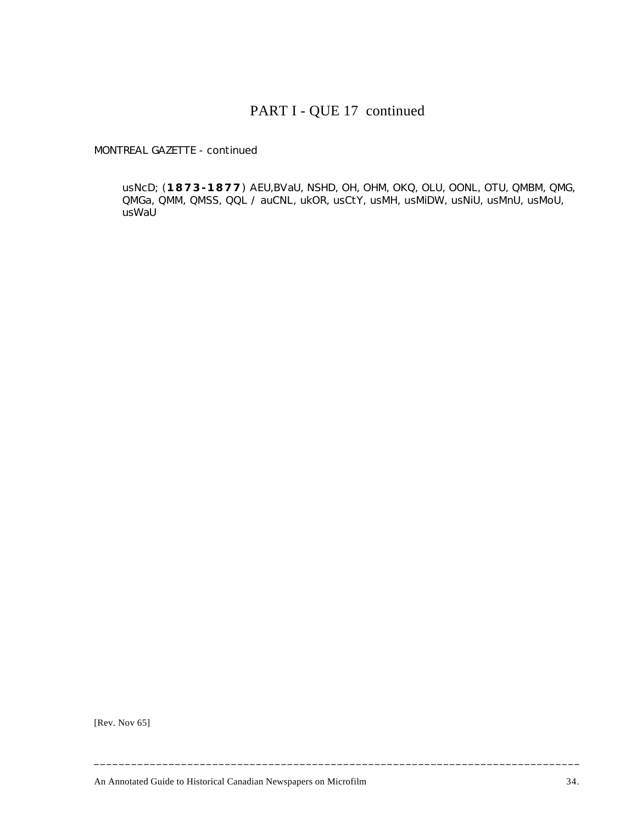# PART I - QUE 17 continued

*MONTREAL GAZETTE* - continued

usNcD; (**1873-1877**) AEU,BVaU, NSHD, OH, OHM, OKQ, OLU, OONL, OTU, QMBM, QMG, QMGa, QMM, QMSS, QQL / auCNL, ukOR, usCtY, usMH, usMiDW, usNiU, usMnU, usMoU, usWaU

[Rev. Nov 65]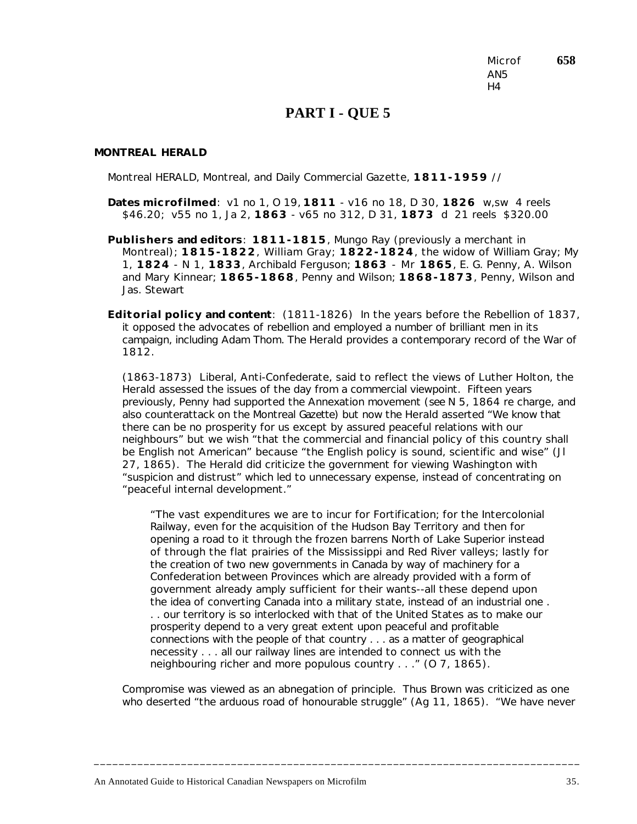Microf **658** AN5  $H<sub>4</sub>$ 

### **PART I - QUE 5**

#### *MONTREAL HERALD*

Montreal HERALD, Montreal, and Daily Commercial Gazette, **1811-1959** //

- **Dates microfilmed**: v1 no 1, O 19, **1811** v16 no 18, D 30, **1826** w,sw 4 reels \$46.20; v55 no 1, Ja 2, **1863** - v65 no 312, D 31, **1873** d 21 reels \$320.00
- **Publishers and editors**: **1811-1815**, Mungo Ray (previously a merchant in Montreal); **1815-1822**, William Gray; **1822-1824**, the widow of William Gray; My 1, **1824** - N 1, **1833**, Archibald Ferguson; **1863** - Mr **1865**, E. G. Penny, A. Wilson and Mary Kinnear; **1865-1868**, Penny and Wilson; **1868-1873**, Penny, Wilson and Jas. Stewart

**Editorial policy and content**: (1811-1826) In the years before the Rebellion of 1837, it opposed the advocates of rebellion and employed a number of brilliant men in its campaign, including Adam Thom. The *Herald* provides a contemporary record of the War of 1812.

(1863-1873) Liberal, Anti-Confederate, said to reflect the views of Luther Holton, the *Herald* assessed the issues of the day from a commercial viewpoint. Fifteen years previously, Penny had supported the Annexation movement (*see* N 5, 1864 re charge, and also counterattack on the Montreal *Gazette*) but now the *Herald* asserted "We know that there can be no prosperity for us except by assured peaceful relations with our neighbours" but we wish "that the commercial and financial policy of this country shall be English not American" because "the English policy is sound, scientific and wise" (Jl 27, 1865). The *Herald* did criticize the government for viewing Washington with "suspicion and distrust" which led to unnecessary expense, instead of concentrating on "peaceful internal development."

"The vast expenditures we are to incur for Fortification; for the Intercolonial Railway, even for the acquisition of the Hudson Bay Territory and then for opening a road to it through the frozen barrens North of Lake Superior instead of through the flat prairies of the Mississippi and Red River valleys; lastly for the creation of two new governments in Canada by way of machinery for a Confederation between Provinces which are already provided with a form of government already amply sufficient for their wants--all these depend upon the idea of converting Canada into a military state, instead of an industrial one . . . our territory is so interlocked with that of the United States as to make our prosperity depend to a very great extent upon peaceful and profitable connections with the people of that country . . . as a matter of geographical necessity . . . all our railway lines are intended to connect us with the neighbouring richer and more populous country . . ." (O 7, 1865).

Compromise was viewed as an abnegation of principle. Thus Brown was criticized as one who deserted "the arduous road of honourable struggle" (Ag 11, 1865). "We have never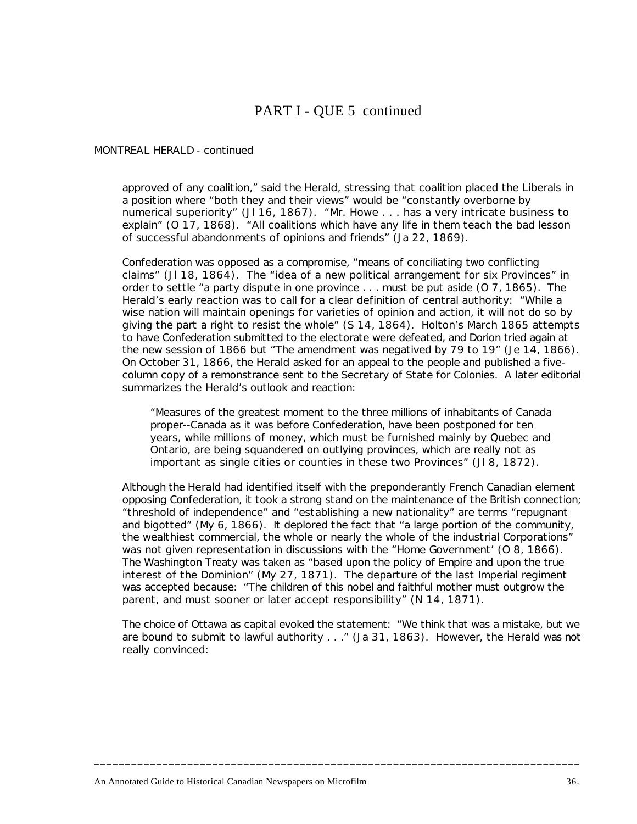# PART I - QUE 5 continued

### *MONTREAL HERALD* - continued

approved of any coalition," said the *Herald*, stressing that coalition placed the Liberals in a position where "both they and their views" would be "constantly overborne by numerical superiority" (Jl 16, 1867). "Mr. Howe . . . has a very intricate business to explain" (O 17, 1868). "All coalitions which have any life in them teach the bad lesson of successful abandonments of opinions and friends" (Ja 22, 1869).

Confederation was opposed as a compromise, "means of conciliating two conflicting claims" (Jl 18, 1864). The "idea of a new political arrangement for six Provinces" in order to settle "a party dispute in one province . . . must be put aside (O 7, 1865). The *Herald*'s early reaction was to call for a clear definition of central authority: "While a wise nation will maintain openings for varieties of opinion and action, it will not do so by giving the part a right to resist the whole" (S 14, 1864). Holton's March 1865 attempts to have Confederation submitted to the electorate were defeated, and Dorion tried again at the new session of 1866 but "The amendment was negatived by 79 to 19" (Je 14, 1866). On October 31, 1866, the *Herald* asked for an appeal to the people and published a fivecolumn copy of a remonstrance sent to the Secretary of State for Colonies. A later editorial summarizes the *Herald*'s outlook and reaction:

"Measures of the greatest moment to the three millions of inhabitants of Canada proper--Canada as it was before Confederation, have been postponed for ten years, while millions of money, which must be furnished mainly by Quebec and Ontario, are being squandered on outlying provinces, which are really not as important as single cities or counties in these two Provinces" (Jl 8, 1872).

Although the *Herald* had identified itself with the preponderantly French Canadian element opposing Confederation, it took a strong stand on the maintenance of the British connection; "threshold of independence" and "establishing a new nationality" are terms "repugnant and bigotted" (My 6, 1866). It deplored the fact that "a large portion of the community, the wealthiest commercial, the whole or nearly the whole of the industrial Corporations" was not given representation in discussions with the "Home Government' (O 8, 1866). The Washington Treaty was taken as "based upon the policy of Empire and upon the true interest of the Dominion" (My 27, 1871). The departure of the last Imperial regiment was accepted because: "The children of this nobel and faithful mother must outgrow the parent, and must sooner or later accept responsibility" (N 14, 1871).

The choice of Ottawa as capital evoked the statement: "We think that was a mistake, but we are bound to submit to lawful authority . . ." (Ja 31, 1863). However, the *Herald* was not really convinced: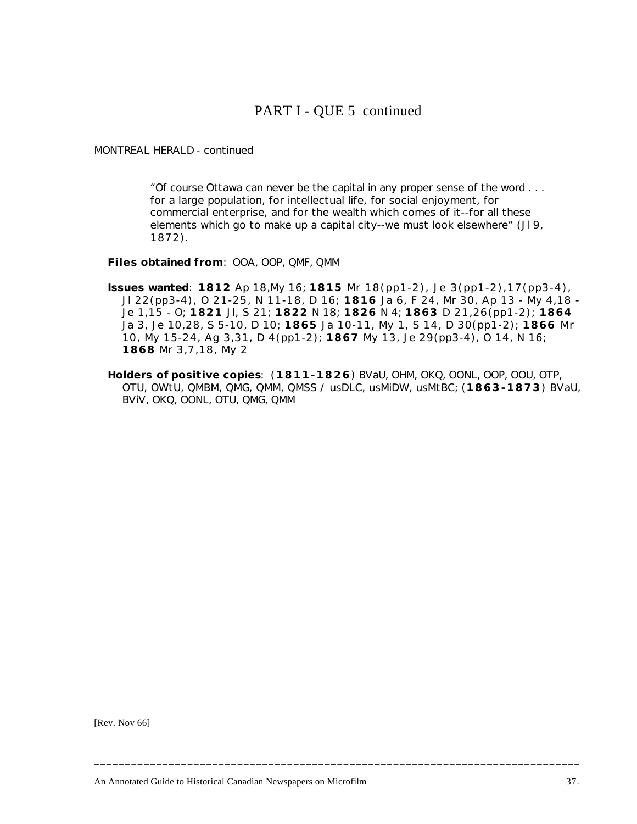# PART I - QUE 5 continued

### *MONTREAL HERALD* - continued

"Of course Ottawa can never be the capital in any proper sense of the word . . . for a large population, for intellectual life, for social enjoyment, for commercial enterprise, and for the wealth which comes of it--for all these elements which go to make up a capital city--we must look elsewhere" (JI 9, 1872).

**Files obtained from**: OOA, OOP, QMF, QMM

- **Issues wanted**: **1812** Ap 18,My 16; **1815** Mr 18(pp1-2), Je 3(pp1-2),17(pp3-4), Jl 22(pp3-4), O 21-25, N 11-18, D 16; **1816** Ja 6, F 24, Mr 30, Ap 13 - My 4,18 - Je 1,15 - O; **1821** Jl, S 21; **1822** N 18; **1826** N 4; **1863** D 21,26(pp1-2); **1864** Ja 3, Je 10,28, S 5-10, D 10; **1865** Ja 10-11, My 1, S 14, D 30(pp1-2); **1866** Mr 10, My 15-24, Ag 3,31, D 4(pp1-2); **1867** My 13, Je 29(pp3-4), O 14, N 16; **1868** Mr 3,7,18, My 2
- **Holders of positive copies**: (**1811-1826**) BVaU, OHM, OKQ, OONL, OOP, OOU, OTP, OTU, OWtU, QMBM, QMG, QMM, QMSS / usDLC, usMiDW, usMtBC; (**1863-1873**) BVaU, BViV, OKQ, OONL, OTU, QMG, QMM

**\_\_\_\_\_\_\_\_\_\_\_\_\_\_\_\_\_\_\_\_\_\_\_\_\_\_\_\_\_\_\_\_\_\_\_\_\_\_\_\_\_\_\_\_\_\_\_\_\_\_\_\_\_\_\_\_\_\_\_\_\_\_\_\_\_\_\_\_\_\_\_\_\_\_\_\_\_\_**

[Rev. Nov 66]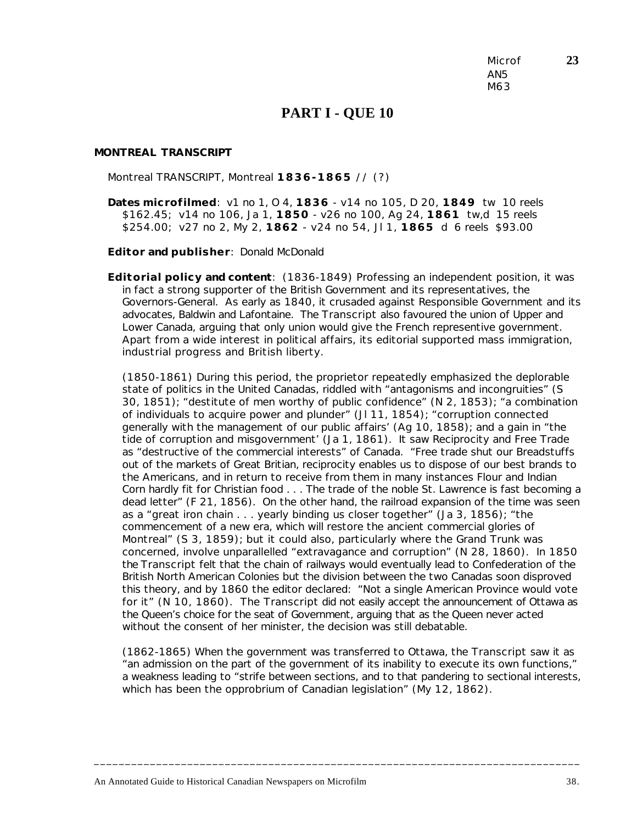Microf **23** AN5 M63

### **PART I - QUE 10**

#### *MONTREAL TRANSCRIPT*

Montreal TRANSCRIPT, Montreal **1836-1865** // (?)

**Dates microfilmed**: v1 no 1, O 4, **1836** - v14 no 105, D 20, **1849** tw 10 reels \$162.45; v14 no 106, Ja 1, **1850** - v26 no 100, Ag 24, **1861** tw,d 15 reels \$254.00; v27 no 2, My 2, **1862** - v24 no 54, Jl 1, **1865** d 6 reels \$93.00

**Editor and publisher**: Donald McDonald

**Editorial policy and content**: (1836-1849) Professing an independent position, it was in fact a strong supporter of the British Government and its representatives, the Governors-General. As early as 1840, it crusaded against Responsible Government and its advocates, Baldwin and Lafontaine. The *Transcript* also favoured the union of Upper and Lower Canada, arguing that only union would give the French representive government. Apart from a wide interest in political affairs, its editorial supported mass immigration, industrial progress and British liberty.

(1850-1861) During this period, the proprietor repeatedly emphasized the deplorable state of politics in the United Canadas, riddled with "antagonisms and incongruities" (S 30, 1851); "destitute of men worthy of public confidence" (N 2, 1853); "a combination of individuals to acquire power and plunder" (Jl 11, 1854); "corruption connected generally with the management of our public affairs' (Ag 10, 1858); and a gain in "the tide of corruption and misgovernment' (Ja 1, 1861). It saw Reciprocity and Free Trade as "destructive of the commercial interests" of Canada. "Free trade shut our Breadstuffs out of the markets of Great Britian, reciprocity enables us to dispose of our best brands to the Americans, and in return to receive from them in many instances Flour and Indian Corn hardly fit for Christian food . . . The trade of the noble St. Lawrence is fast becoming a dead letter" (F 21, 1856). On the other hand, the railroad expansion of the time was seen as a "great iron chain . . . yearly binding us closer together" (Ja 3, 1856); "the commencement of a new era, which will restore the ancient commercial glories of Montreal" (S 3, 1859); but it could also, particularly where the Grand Trunk was concerned, involve unparallelled "extravagance and corruption" (N 28, 1860). In 1850 the *Transcript* felt that the chain of railways would eventually lead to Confederation of the British North American Colonies but the division between the two Canadas soon disproved this theory, and by 1860 the editor declared: "Not a single American Province would vote for it" (N 10, 1860). The *Transcript* did not easily accept the announcement of Ottawa as the Queen's choice for the seat of Government, arguing that as the Queen never acted without the consent of her minister, the decision was still debatable.

(1862-1865) When the government was transferred to Ottawa, the *Transcript* saw it as "an admission on the part of the government of its inability to execute its own functions," a weakness leading to "strife between sections, and to that pandering to sectional interests, which has been the opprobrium of Canadian legislation" (My 12, 1862).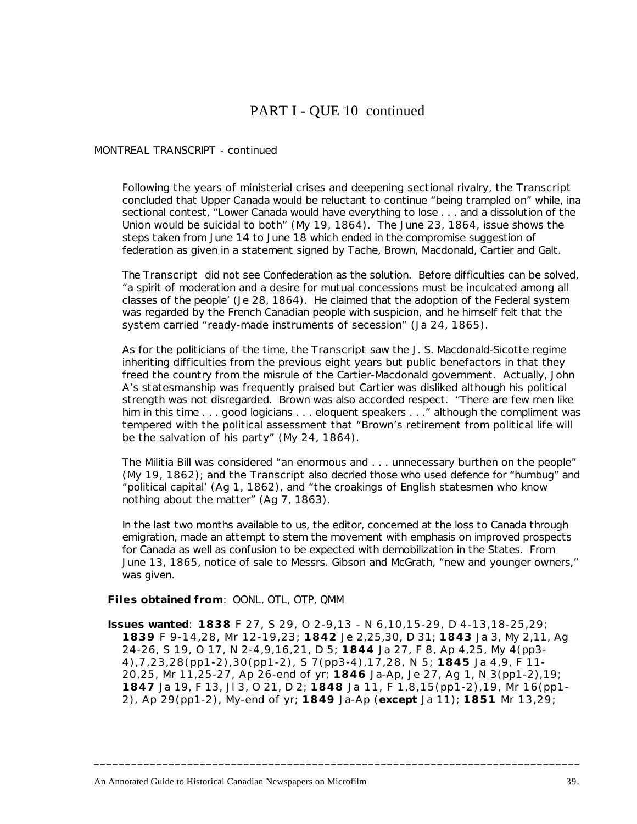# PART I - QUE 10 continued

#### *MONTREAL TRANSCRIPT* - continued

Following the years of ministerial crises and deepening sectional rivalry, the *Transcript* concluded that Upper Canada would be reluctant to continue "being trampled on" while, ina sectional contest, "Lower Canada would have everything to lose . . . and a dissolution of the Union would be suicidal to both" (My 19, 1864). The June 23, 1864, issue shows the steps taken from June 14 to June 18 which ended in the compromise suggestion of federation as given in a statement signed by Tache, Brown, Macdonald, Cartier and Galt.

The *Transcript* did not see Confederation as the solution. Before difficulties can be solved, "a spirit of moderation and a desire for mutual concessions must be inculcated among all classes of the people' (Je 28, 1864). He claimed that the adoption of the Federal system was regarded by the French Canadian people with suspicion, and he himself felt that the system carried "ready-made instruments of secession" (Ja 24, 1865).

As for the politicians of the time, the *Transcript* saw the J. S. Macdonald-Sicotte regime inheriting difficulties from the previous eight years but public benefactors in that they freed the country from the misrule of the Cartier-Macdonald government. Actually, John A's statesmanship was frequently praised but Cartier was disliked although his political strength was not disregarded. Brown was also accorded respect. "There are few men like him in this time . . . good logicians . . . eloquent speakers . . ." although the compliment was tempered with the political assessment that "Brown's retirement from political life will be the salvation of his party" (My 24, 1864).

The Militia Bill was considered "an enormous and . . . unnecessary burthen on the people" (My 19, 1862); and the *Transcript* also decried those who used defence for "humbug" and "political capital' (Ag 1, 1862), and "the croakings of English statesmen who know nothing about the matter" (Ag 7, 1863).

In the last two months available to us, the editor, concerned at the loss to Canada through emigration, made an attempt to stem the movement with emphasis on improved prospects for Canada as well as confusion to be expected with demobilization in the States. From June 13, 1865, notice of sale to Messrs. Gibson and McGrath, "new and younger owners," was given.

**Files obtained from**: OONL, OTL, OTP, QMM

**Issues wanted**: **1838** F 27, S 29, O 2-9,13 - N 6,10,15-29, D 4-13,18-25,29; **1839** F 9-14,28, Mr 12-19,23; **1842** Je 2,25,30, D 31; **1843** Ja 3, My 2,11, Ag 24-26, S 19, O 17, N 2-4,9,16,21, D 5; **1844** Ja 27, F 8, Ap 4,25, My 4(pp3- 4),7,23,28(pp1-2),30(pp1-2), S 7(pp3-4),17,28, N 5; **1845** Ja 4,9, F 11- 20,25, Mr 11,25-27, Ap 26-end of yr; **1846** Ja-Ap, Je 27, Ag 1, N 3(pp1-2),19; **1847** Ja 19, F 13, Jl 3, O 21, D 2; **1848** Ja 11, F 1,8,15(pp1-2),19, Mr 16(pp1- 2), Ap 29(pp1-2), My-end of yr; **1849** Ja-Ap (**except** Ja 11); **1851** Mr 13,29;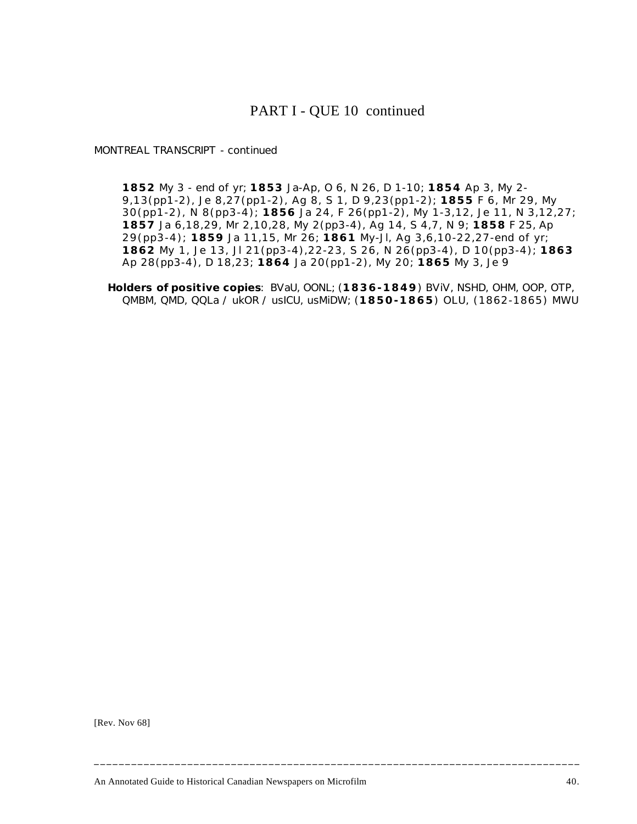## PART I - QUE 10 continued

*MONTREAL TRANSCRIPT* - continued

**1852** My 3 - end of yr; **1853** Ja-Ap, O 6, N 26, D 1-10; **1854** Ap 3, My 2- 9,13(pp1-2), Je 8,27(pp1-2), Ag 8, S 1, D 9,23(pp1-2); **1855** F 6, Mr 29, My 30(pp1-2), N 8(pp3-4); **1856** Ja 24, F 26(pp1-2), My 1-3,12, Je 11, N 3,12,27; **1857** Ja 6,18,29, Mr 2,10,28, My 2(pp3-4), Ag 14, S 4,7, N 9; **1858** F 25, Ap 29(pp3-4); **1859** Ja 11,15, Mr 26; **1861** My-Jl, Ag 3,6,10-22,27-end of yr; **1862** My 1, Je 13, Jl 21(pp3-4),22-23, S 26, N 26(pp3-4), D 10(pp3-4); **1863** Ap 28(pp3-4), D 18,23; **1864** Ja 20(pp1-2), My 20; **1865** My 3, Je 9

**Holders of positive copies**: BVaU, OONL; (**1836-1849**) BViV, NSHD, OHM, OOP, OTP, QMBM, QMD, QQLa / ukOR / usICU, usMiDW; (**1850-1865**) OLU, (1862-1865) MWU

**\_\_\_\_\_\_\_\_\_\_\_\_\_\_\_\_\_\_\_\_\_\_\_\_\_\_\_\_\_\_\_\_\_\_\_\_\_\_\_\_\_\_\_\_\_\_\_\_\_\_\_\_\_\_\_\_\_\_\_\_\_\_\_\_\_\_\_\_\_\_\_\_\_\_\_\_\_\_**

[Rev. Nov 68]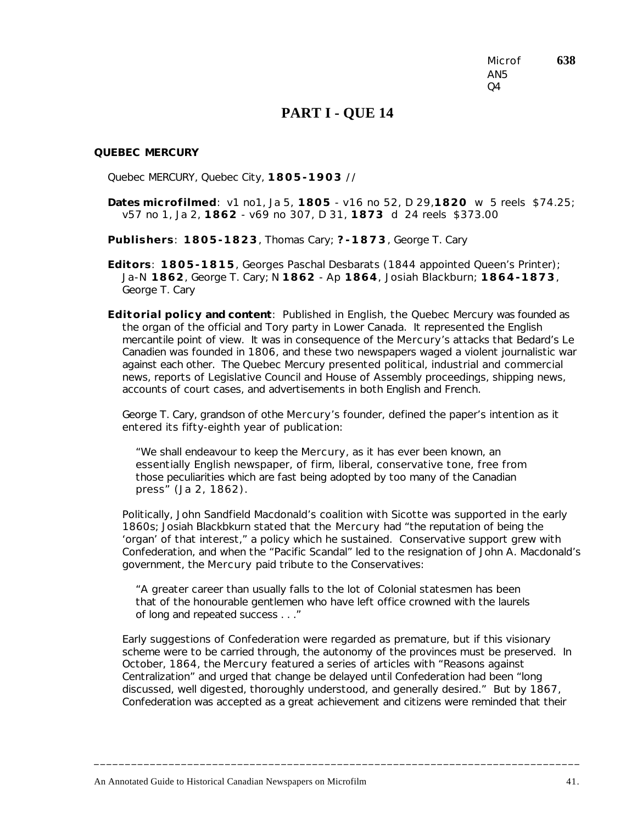Microf **638** AN5  $O<sub>4</sub>$ 

### **PART I - QUE 14**

#### *QUEBEC MERCURY*

Quebec MERCURY, Quebec City, **1805-1903** //

**Dates microfilmed**: v1 no1, Ja 5, **1805** - v16 no 52, D 29,**1820** w 5 reels \$74.25; v57 no 1, Ja 2, **1862** - v69 no 307, D 31, **1873** d 24 reels \$373.00

**Publishers**: **1805-1823**, Thomas Cary; **?-1873**, George T. Cary

**Editors**: **1805-1815**, Georges Paschal Desbarats (1844 appointed Queen's Printer); Ja-N **1862**, George T. Cary; N **1862** - Ap **1864**, Josiah Blackburn; **1864-1873**, George T. Cary

**Editorial policy and content**: Published in English, the *Quebec Mercury* was founded as the organ of the official and Tory party in Lower Canada. It represented the English mercantile point of view. It was in consequence of the *Mercury*'s attacks that Bedard's *Le Canadien* was founded in 1806, and these two newspapers waged a violent journalistic war against each other. The *Quebec Mercury* presented political, industrial and commercial news, reports of Legislative Council and House of Assembly proceedings, shipping news, accounts of court cases, and advertisements in both English and French.

George T. Cary, grandson of othe *Mercury*'s founder, defined the paper's intention as it entered its fifty-eighth year of publication:

"We shall endeavour to keep the *Mercury*, as it has ever been known, an essentially English newspaper, of firm, liberal, conservative tone, free from those peculiarities which are fast being adopted by too many of the Canadian press" (Ja 2, 1862).

Politically, John Sandfield Macdonald's coalition with Sicotte was supported in the early 1860s; Josiah Blackbkurn stated that the *Mercury* had "the reputation of being the 'organ' of that interest," a policy which he sustained. Conservative support grew with Confederation, and when the "Pacific Scandal" led to the resignation of John A. Macdonald's government, the *Mercury* paid tribute to the Conservatives:

"A greater career than usually falls to the lot of Colonial statesmen has been that of the honourable gentlemen who have left office crowned with the laurels of long and repeated success . . ."

Early suggestions of Confederation were regarded as premature, but if this visionary scheme were to be carried through, the autonomy of the provinces must be preserved. In October, 1864, the *Mercury* featured a series of articles with "Reasons against Centralization" and urged that change be delayed until Confederation had been "long discussed, well digested, thoroughly understood, and generally desired." But by 1867, Confederation was accepted as a great achievement and citizens were reminded that their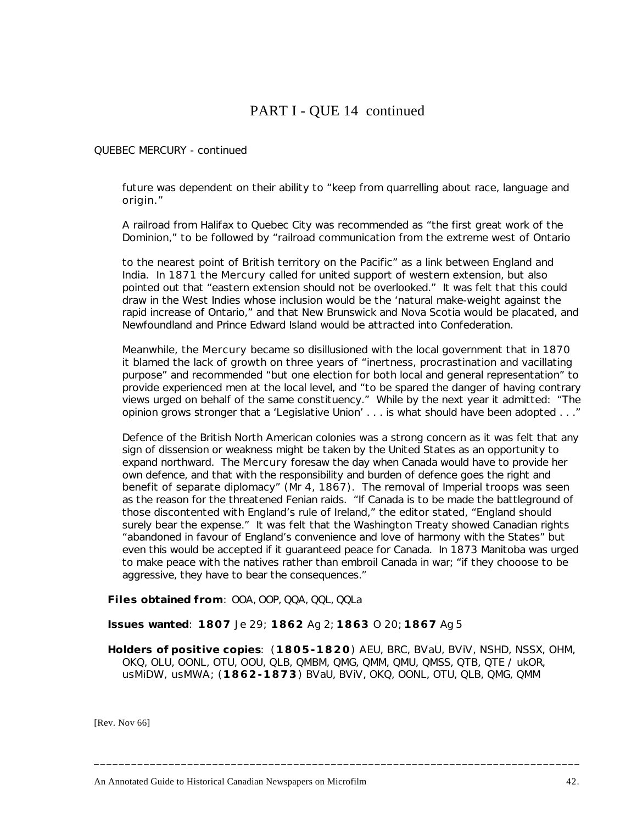# PART I - QUE 14 continued

### *QUEBEC MERCURY* - continued

future was dependent on their ability to "keep from quarrelling about race, language and origin."

A railroad from Halifax to Quebec City was recommended as "the first great work of the Dominion," to be followed by "railroad communication from the extreme west of Ontario

to the nearest point of British territory on the Pacific" as a link between England and India. In 1871 the *Mercury* called for united support of western extension, but also pointed out that "eastern extension should not be overlooked." It was felt that this could draw in the West Indies whose inclusion would be the 'natural make-weight against the rapid increase of Ontario," and that New Brunswick and Nova Scotia would be placated, and Newfoundland and Prince Edward Island would be attracted into Confederation.

Meanwhile, the *Mercury* became so disillusioned with the local government that in 1870 it blamed the lack of growth on three years of "inertness, procrastination and vacillating purpose" and recommended "but one election for both local and general representation" to provide experienced men at the local level, and "to be spared the danger of having contrary views urged on behalf of the same constituency." While by the next year it admitted: "The opinion grows stronger that a 'Legislative Union' . . . is what should have been adopted . . ."

Defence of the British North American colonies was a strong concern as it was felt that any sign of dissension or weakness might be taken by the United States as an opportunity to expand northward. The *Mercury* foresaw the day when Canada would have to provide her own defence, and that with the responsibility and burden of defence goes the right and benefit of separate diplomacy" (Mr 4, 1867). The removal of Imperial troops was seen as the reason for the threatened Fenian raids. "If Canada is to be made the battleground of those discontented with England's rule of Ireland," the editor stated, "England should surely bear the expense." It was felt that the Washington Treaty showed Canadian rights "abandoned in favour of England's convenience and love of harmony with the States" but even this would be accepted if it guaranteed peace for Canada. In 1873 Manitoba was urged to make peace with the natives rather than embroil Canada in war; "if they chooose to be aggressive, they have to bear the consequences."

**Files obtained from**: OOA, OOP, QQA, QQL, QQLa

**Issues wanted**: **1807** Je 29; **1862** Ag 2; **1863** O 20; **1867** Ag 5

**Holders of positive copies**: (**1805-1820**) AEU, BRC, BVaU, BViV, NSHD, NSSX, OHM, OKQ, OLU, OONL, OTU, OOU, QLB, QMBM, QMG, QMM, QMU, QMSS, QTB, QTE / ukOR, usMiDW, usMWA; (**1862-1873**) BVaU, BViV, OKQ, OONL, OTU, QLB, QMG, QMM

**\_\_\_\_\_\_\_\_\_\_\_\_\_\_\_\_\_\_\_\_\_\_\_\_\_\_\_\_\_\_\_\_\_\_\_\_\_\_\_\_\_\_\_\_\_\_\_\_\_\_\_\_\_\_\_\_\_\_\_\_\_\_\_\_\_\_\_\_\_\_\_\_\_\_\_\_\_\_**

[Rev. Nov 66]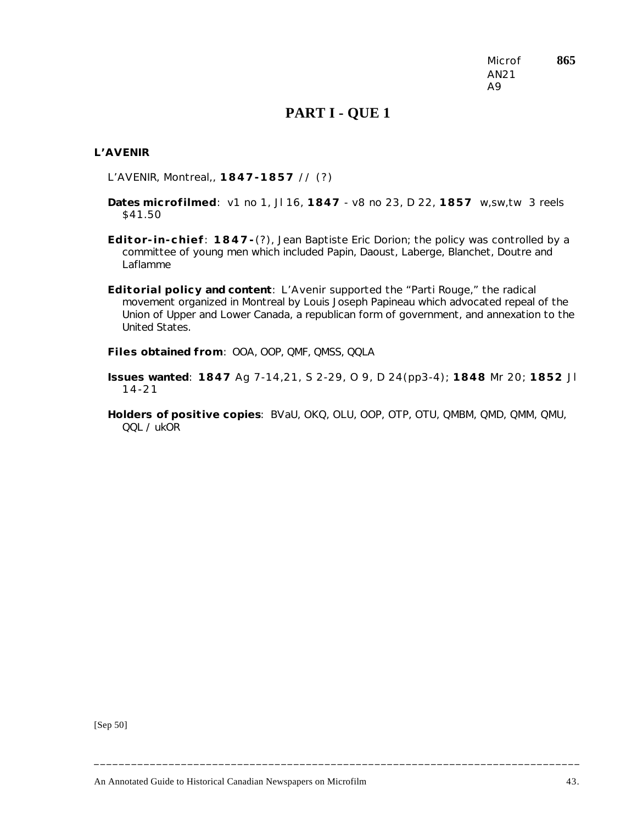Microf **865** AN21 A9

### **PART I - QUE 1**

### *L'AVENIR*

L'AVENIR, Montreal,, **1847-1857** // (?)

- **Dates microfilmed**: v1 no 1, Jl 16, **1847** v8 no 23, D 22, **1857** w,sw,tw 3 reels \$41.50
- **Editor-in-chief**: **1847-**(?), Jean Baptiste Eric Dorion; the policy was controlled by a committee of young men which included Papin, Daoust, Laberge, Blanchet, Doutre and Laflamme
- **Editorial policy and content**: *L'Avenir* supported the "Parti Rouge," the radical movement organized in Montreal by Louis Joseph Papineau which advocated repeal of the Union of Upper and Lower Canada, a republican form of government, and annexation to the United States.
- **Files obtained from**: OOA, OOP, QMF, QMSS, QQLA
- **Issues wanted**: **1847** Ag 7-14,21, S 2-29, O 9, D 24(pp3-4); **1848** Mr 20; **1852** Jl 14-21
- **Holders of positive copies**: BVaU, OKQ, OLU, OOP, OTP, OTU, QMBM, QMD, QMM, QMU, QQL / ukOR

**\_\_\_\_\_\_\_\_\_\_\_\_\_\_\_\_\_\_\_\_\_\_\_\_\_\_\_\_\_\_\_\_\_\_\_\_\_\_\_\_\_\_\_\_\_\_\_\_\_\_\_\_\_\_\_\_\_\_\_\_\_\_\_\_\_\_\_\_\_\_\_\_\_\_\_\_\_\_**

[Sep 50]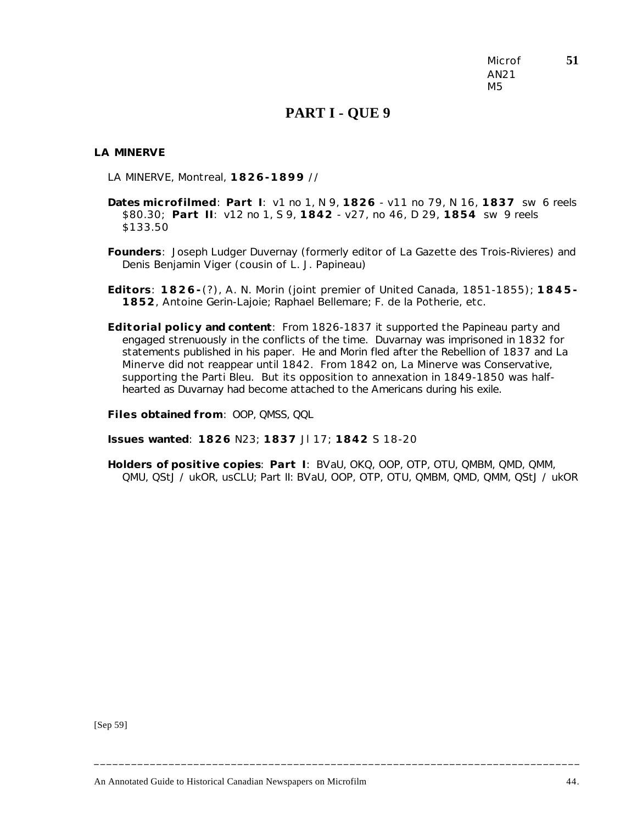Microf **51** AN21 M5

### **PART I - QUE 9**

#### *LA MINERVE*

LA MINERVE, Montreal, **1826-1899** //

- **Dates microfilmed**: **Part I**: v1 no 1, N 9, **1826** v11 no 79, N 16, **1837** sw 6 reels \$80.30; **Part II**: v12 no 1, S 9, **1842** - v27, no 46, D 29, **1854** sw 9 reels \$133.50
- **Founders**: Joseph Ludger Duvernay (formerly editor of *La Gazette des Trois-Rivieres*) and Denis Benjamin Viger (cousin of L. J. Papineau)
- **Editors**: **1826-**(?), A. N. Morin (joint premier of United Canada, 1851-1855); **1845- 1852**, Antoine Gerin-Lajoie; Raphael Bellemare; F. de la Potherie, etc.
- **Editorial policy and content**: From 1826-1837 it supported the Papineau party and engaged strenuously in the conflicts of the time. Duvarnay was imprisoned in 1832 for statements published in his paper. He and Morin fled after the Rebellion of 1837 and *La Minerve* did not reappear until 1842. From 1842 on, *La Minerve* was Conservative, supporting the Parti Bleu. But its opposition to annexation in 1849-1850 was halfhearted as Duvarnay had become attached to the Americans during his exile.

**Files obtained from**: OOP, QMSS, QQL

**Issues wanted**: **1826** N23; **1837** Jl 17; **1842** S 18-20

**Holders of positive copies**: **Part I**: BVaU, OKQ, OOP, OTP, OTU, QMBM, QMD, QMM, QMU, QStJ / ukOR, usCLU; Part II: BVaU, OOP, OTP, OTU, QMBM, QMD, QMM, QStJ / ukOR

**\_\_\_\_\_\_\_\_\_\_\_\_\_\_\_\_\_\_\_\_\_\_\_\_\_\_\_\_\_\_\_\_\_\_\_\_\_\_\_\_\_\_\_\_\_\_\_\_\_\_\_\_\_\_\_\_\_\_\_\_\_\_\_\_\_\_\_\_\_\_\_\_\_\_\_\_\_\_**

[Sep 59]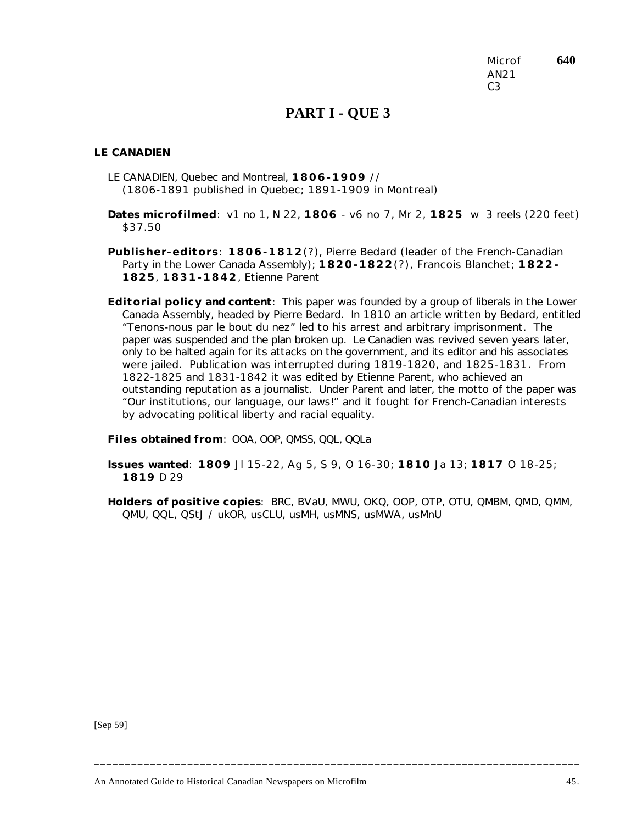Microf **640** AN21  $C<sub>3</sub>$ 

## **PART I - QUE 3**

#### *LE CANADIEN*

- LE CANADIEN, Quebec and Montreal, **1806-1909** // (1806-1891 published in Quebec; 1891-1909 in Montreal)
- **Dates microfilmed**: v1 no 1, N 22, **1806** v6 no 7, Mr 2, **1825** w 3 reels (220 feet) \$37.50
- **Publisher-editors**: **1806-1812**(?), Pierre Bedard (leader of the French-Canadian Party in the Lower Canada Assembly); **1820-1822**(?), Francois Blanchet; **1822- 1825**, **1831-1842**, Etienne Parent
- **Editorial policy and content**: This paper was founded by a group of liberals in the Lower Canada Assembly, headed by Pierre Bedard. In 1810 an article written by Bedard, entitled "Tenons-nous par le bout du nez" led to his arrest and arbitrary imprisonment. The paper was suspended and the plan broken up. *Le Canadien* was revived seven years later, only to be halted again for its attacks on the government, and its editor and his associates were jailed. Publication was interrupted during 1819-1820, and 1825-1831. From 1822-1825 and 1831-1842 it was edited by Etienne Parent, who achieved an outstanding reputation as a journalist. Under Parent and later, the motto of the paper was "Our institutions, our language, our laws!" and it fought for French-Canadian interests by advocating political liberty and racial equality.

**Files obtained from**: OOA, OOP, QMSS, QQL, QQLa

**Issues wanted**: **1809** Jl 15-22, Ag 5, S 9, O 16-30; **1810** Ja 13; **1817** O 18-25; **1819** D 29

**Holders of positive copies**: BRC, BVaU, MWU, OKQ, OOP, OTP, OTU, QMBM, QMD, QMM, QMU, QQL, QStJ / ukOR, usCLU, usMH, usMNS, usMWA, usMnU

**\_\_\_\_\_\_\_\_\_\_\_\_\_\_\_\_\_\_\_\_\_\_\_\_\_\_\_\_\_\_\_\_\_\_\_\_\_\_\_\_\_\_\_\_\_\_\_\_\_\_\_\_\_\_\_\_\_\_\_\_\_\_\_\_\_\_\_\_\_\_\_\_\_\_\_\_\_\_**

[Sep 59]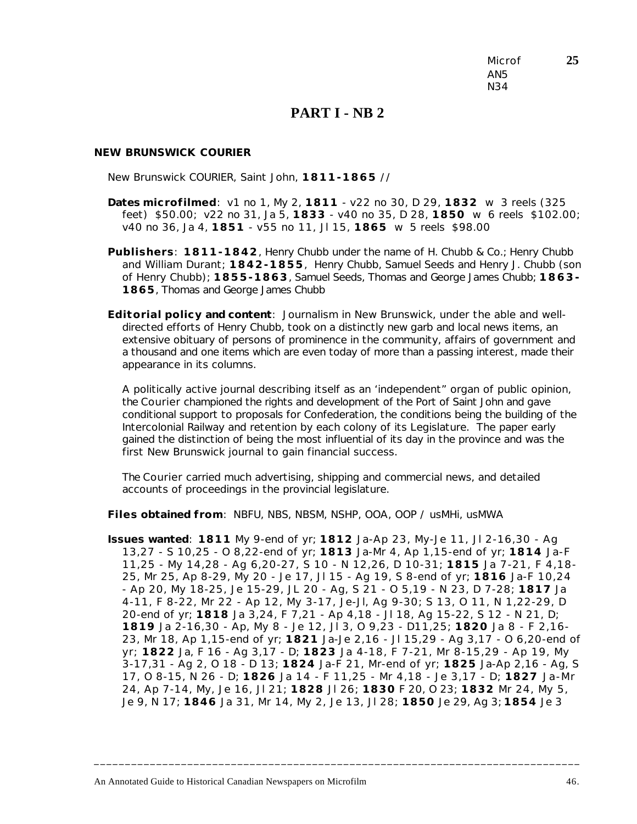Microf **25** AN5 N34

### **PART I - NB 2**

#### *NEW BRUNSWICK COURIER*

New Brunswick COURIER, Saint John, **1811-1865** //

- **Dates microfilmed**: v1 no 1, My 2, **1811** v22 no 30, D 29, **1832** w 3 reels (325 feet) \$50.00; v22 no 31, Ja 5, **1833** - v40 no 35, D 28, **1850** w 6 reels \$102.00; v40 no 36, Ja 4, **1851** - v55 no 11, Jl 15, **1865** w 5 reels \$98.00
- **Publishers**: **1811-1842**, Henry Chubb under the name of H. Chubb & Co.; Henry Chubb and William Durant; **1842-1855**, Henry Chubb, Samuel Seeds and Henry J. Chubb (son of Henry Chubb); **1855-1863**, Samuel Seeds, Thomas and George James Chubb; **1863- 1865**, Thomas and George James Chubb
- **Editorial policy and content**: Journalism in New Brunswick, under the able and welldirected efforts of Henry Chubb, took on a distinctly new garb and local news items, an extensive obituary of persons of prominence in the community, affairs of government and a thousand and one items which are even today of more than a passing interest, made their appearance in its columns.

A politically active journal describing itself as an 'independent" organ of public opinion, the *Courier* championed the rights and development of the Port of Saint John and gave conditional support to proposals for Confederation, the conditions being the building of the Intercolonial Railway and retention by each colony of its Legislature. The paper early gained the distinction of being the most influential of its day in the province and was the first New Brunswick journal to gain financial success.

The *Courier* carried much advertising, shipping and commercial news, and detailed accounts of proceedings in the provincial legislature.

**Files obtained from**: NBFU, NBS, NBSM, NSHP, OOA, OOP / usMHi, usMWA

**Issues wanted**: **1811** My 9-end of yr; **1812** Ja-Ap 23, My-Je 11, Jl 2-16,30 - Ag 13,27 - S 10,25 - O 8,22-end of yr; **1813** Ja-Mr 4, Ap 1,15-end of yr; **1814** Ja-F 11,25 - My 14,28 - Ag 6,20-27, S 10 - N 12,26, D 10-31; **1815** Ja 7-21, F 4,18- 25, Mr 25, Ap 8-29, My 20 - Je 17, Jl 15 - Ag 19, S 8-end of yr; **1816** Ja-F 10,24 - Ap 20, My 18-25, Je 15-29, JL 20 - Ag, S 21 - O 5,19 - N 23, D 7-28; **1817** Ja 4-11, F 8-22, Mr 22 - Ap 12, My 3-17, Je-Jl, Ag 9-30; S 13, O 11, N 1,22-29, D 20-end of yr; **1818** Ja 3,24, F 7,21 - Ap 4,18 - Jl 18, Ag 15-22, S 12 - N 21, D; **1819** Ja 2-16,30 - Ap, My 8 - Je 12, Jl 3, O 9,23 - D11,25; **1820** Ja 8 - F 2,16- 23, Mr 18, Ap 1,15-end of yr; **1821** Ja-Je 2,16 - Jl 15,29 - Ag 3,17 - O 6,20-end of yr; **1822** Ja, F 16 - Ag 3,17 - D; **1823** Ja 4-18, F 7-21, Mr 8-15,29 - Ap 19, My 3-17,31 - Ag 2, O 18 - D 13; **1824** Ja-F 21, Mr-end of yr; **1825** Ja-Ap 2,16 - Ag, S 17, O 8-15, N 26 - D; **1826** Ja 14 - F 11,25 - Mr 4,18 - Je 3,17 - D; **1827** Ja-Mr 24, Ap 7-14, My, Je 16, Jl 21; **1828** Jl 26; **1830** F 20, O 23; **1832** Mr 24, My 5, Je 9, N 17; **1846** Ja 31, Mr 14, My 2, Je 13, Jl 28; **1850** Je 29, Ag 3; **1854** Je 3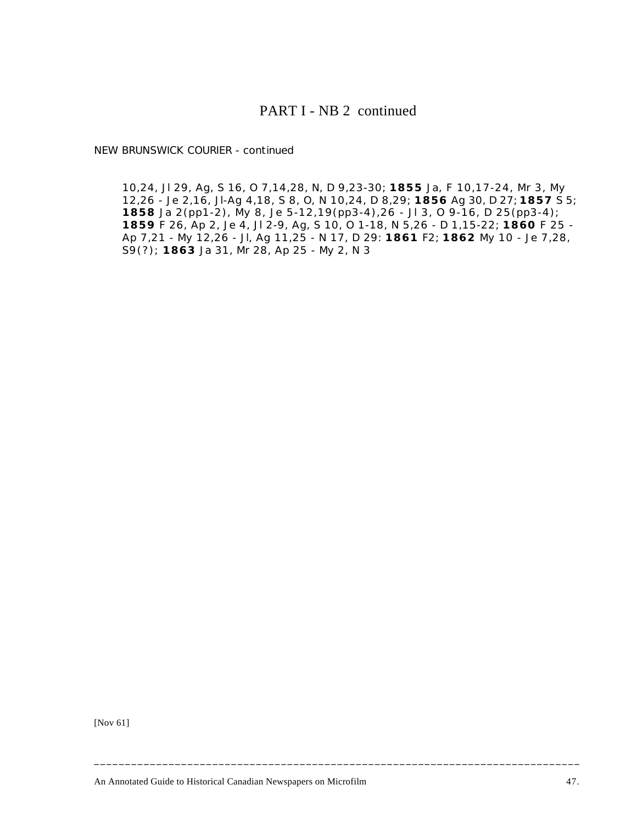### PART I - NB 2 continued

*NEW BRUNSWICK COURIER* - continued

10,24, Jl 29, Ag, S 16, O 7,14,28, N, D 9,23-30; **1855** Ja, F 10,17-24, Mr 3, My 12,26 - Je 2,16, Jl-Ag 4,18, S 8, O, N 10,24, D 8,29; **1856** Ag 30, D 27; **1857** S 5; **1858** Ja 2(pp1-2), My 8, Je 5-12,19(pp3-4),26 - Jl 3, O 9-16, D 25(pp3-4); **1859** F 26, Ap 2, Je 4, Jl 2-9, Ag, S 10, O 1-18, N 5,26 - D 1,15-22; **1860** F 25 - Ap 7,21 - My 12,26 - Jl, Ag 11,25 - N 17, D 29: **1861** F2; **1862** My 10 - Je 7,28, S9(?); **1863** Ja 31, Mr 28, Ap 25 - My 2, N 3

[Nov 61]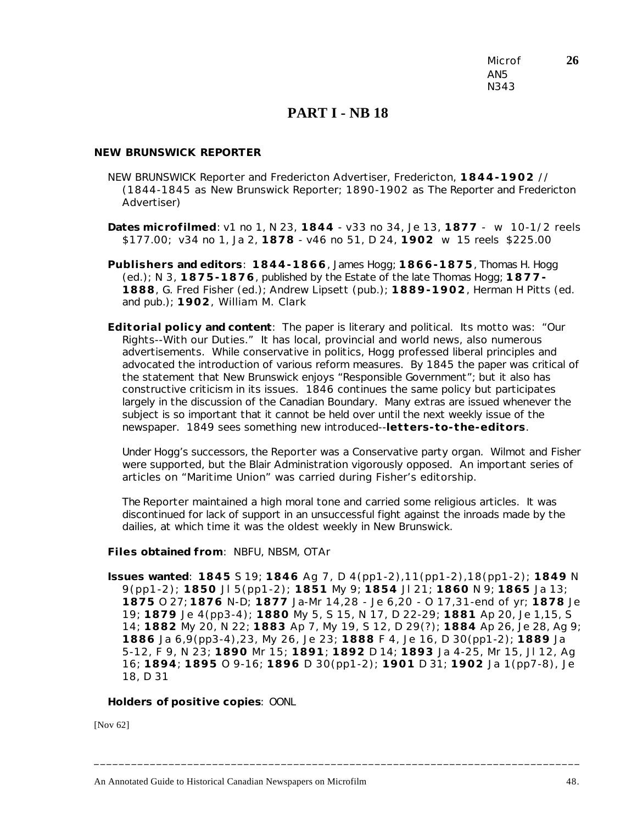Microf **26** AN5 N343

## **PART I - NB 18**

### *NEW BRUNSWICK REPORTER*

NEW BRUNSWICK Reporter and Fredericton Advertiser, Fredericton, **1844-1902** // (1844-1845 as *New Brunswick Reporter*; 1890-1902 as *The Reporter and Fredericton Advertiser*)

**Dates microfilmed**: v1 no 1, N 23, **1844** - v33 no 34, Je 13, **1877** - w 10-1/2 reels \$177.00; v34 no 1, Ja 2, **1878** - v46 no 51, D 24, **1902** w 15 reels \$225.00

- **Publishers and editors**: **1844-1866**, James Hogg; **1866-1875**, Thomas H. Hogg (ed.); N 3, **1875-1876**, published by the Estate of the late Thomas Hogg; **1877- 1888**, G. Fred Fisher (ed.); Andrew Lipsett (pub.); **1889-1902**, Herman H Pitts (ed. and pub.); **1902**, William M. Clark
- **Editorial policy and content**: The paper is literary and political. Its motto was: "Our Rights--With our Duties." It has local, provincial and world news, also numerous advertisements. While conservative in politics, Hogg professed liberal principles and advocated the introduction of various reform measures. By 1845 the paper was critical of the statement that New Brunswick enjoys "Responsible Government"; but it also has constructive criticism in its issues. 1846 continues the same policy but participates largely in the discussion of the Canadian Boundary. Many extras are issued whenever the subject is so important that it cannot be held over until the next weekly issue of the newspaper. 1849 sees something new introduced--**letters-to-the-editors**.

Under Hogg's successors, the *Reporter* was a Conservative party organ. Wilmot and Fisher were supported, but the Blair Administration vigorously opposed. An important series of articles on "Maritime Union" was carried during Fisher's editorship.

The *Reporter* maintained a high moral tone and carried some religious articles. It was discontinued for lack of support in an unsuccessful fight against the inroads made by the dailies, at which time it was the oldest weekly in New Brunswick.

**Files obtained from**: NBFU, NBSM, OTAr

**Issues wanted**: **1845** S 19; **1846** Ag 7, D 4(pp1-2),11(pp1-2),18(pp1-2); **1849** N 9(pp1-2); **1850** Jl 5(pp1-2); **1851** My 9; **1854** Jl 21; **1860** N 9; **1865** Ja 13; **1875** O 27; **1876** N-D; **1877** Ja-Mr 14,28 - Je 6,20 - O 17,31-end of yr; **1878** Je 19; **1879** Je 4(pp3-4); **1880** My 5, S 15, N 17, D 22-29; **1881** Ap 20, Je 1,15, S 14; **1882** My 20, N 22; **1883** Ap 7, My 19, S 12, D 29(?); **1884** Ap 26, Je 28, Ag 9; **1886** Ja 6,9(pp3-4),23, My 26, Je 23; **1888** F 4, Je 16, D 30(pp1-2); **1889** Ja 5-12, F 9, N 23; **1890** Mr 15; **1891**; **1892** D 14; **1893** Ja 4-25, Mr 15, Jl 12, Ag 16; **1894**; **1895** O 9-16; **1896** D 30(pp1-2); **1901** D 31; **1902** Ja 1(pp7-8), Je 18, D 31

**\_\_\_\_\_\_\_\_\_\_\_\_\_\_\_\_\_\_\_\_\_\_\_\_\_\_\_\_\_\_\_\_\_\_\_\_\_\_\_\_\_\_\_\_\_\_\_\_\_\_\_\_\_\_\_\_\_\_\_\_\_\_\_\_\_\_\_\_\_\_\_\_\_\_\_\_\_\_**

**Holders of positive copies**: OONL

[Nov 62]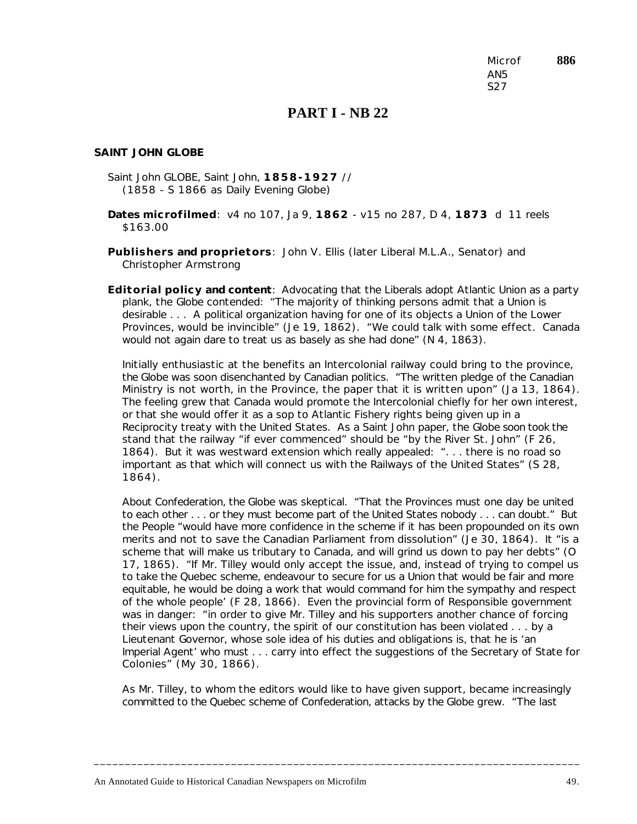Microf **886** AN5 S27

### **PART I - NB 22**

#### *SAINT JOHN GLOBE*

- Saint John GLOBE, Saint John, **1858-1927** // (1858 - S 1866 as *Daily Evening Globe*)
- **Dates microfilmed**: v4 no 107, Ja 9, **1862** v15 no 287, D 4, **1873** d 11 reels \$163.00
- **Publishers and proprietors**: John V. Ellis (later Liberal M.L.A., Senator) and Christopher Armstrong
- **Editorial policy and content**: Advocating that the Liberals adopt Atlantic Union as a party plank, the *Globe* contended: "The majority of thinking persons admit that a Union is desirable . . . A political organization having for one of its objects a Union of the Lower Provinces, would be invincible" (Je 19, 1862). "We could talk with some effect. Canada would not again dare to treat us as basely as she had done" (N 4, 1863).

Initially enthusiastic at the benefits an Intercolonial railway could bring to the province, the *Globe* was soon disenchanted by Canadian politics. "The written pledge of the Canadian Ministry is not worth, in the Province, the paper that it is written upon" (Ja 13, 1864). The feeling grew that Canada would promote the Intercolonial chiefly for her own interest, or that she would offer it as a sop to Atlantic Fishery rights being given up in a Reciprocity treaty with the United States. As a Saint John paper, the *Globe* soon took the stand that the railway "if ever commenced" should be "by the River St. John" (F 26, 1864). But it was westward extension which really appealed: ". . . there is no road so important as that which will connect us with the Railways of the United States" (S 28, 1864).

About Confederation, the *Globe* was skeptical. "That the Provinces must one day be united to each other . . . or they must become part of the United States nobody . . . can doubt." But the People "would have more confidence in the scheme if it has been propounded on its own merits and not to save the Canadian Parliament from dissolution" (Je 30, 1864). It "is a scheme that will make us tributary to Canada, and will grind us down to pay her debts" (O 17, 1865). "If Mr. Tilley would only accept the issue, and, instead of trying to compel us to take the Quebec scheme, endeavour to secure for us a Union that would be fair and more equitable, he would be doing a work that would command for him the sympathy and respect of the whole people' (F 28, 1866). Even the provincial form of Responsible government was in danger: "in order to give Mr. Tilley and his supporters another chance of forcing their views upon the country, the spirit of our constitution has been violated . . . by a Lieutenant Governor, whose sole idea of his duties and obligations is, that he is 'an Imperial Agent' who must . . . carry into effect the suggestions of the Secretary of State for Colonies" (My 30, 1866).

As Mr. Tilley, to whom the editors would like to have given support, became increasingly committed to the Quebec scheme of Confederation, attacks by the *Globe* grew. "The last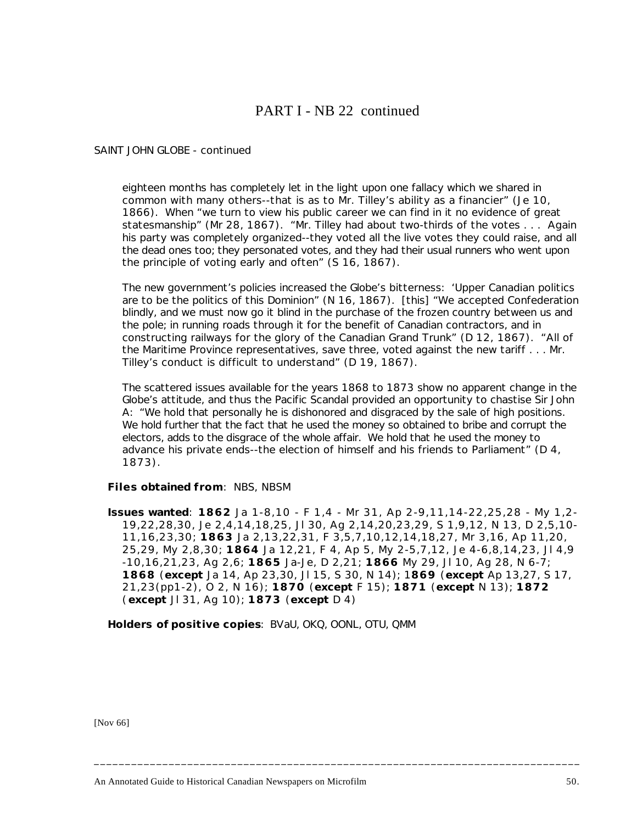# PART I - NB 22 continued

### *SAINT JOHN GLOBE* - continued

eighteen months has completely let in the light upon one fallacy which we shared in common with many others--that is as to Mr. Tilley's ability as a financier" (Je 10, 1866). When "we turn to view his public career we can find in it no evidence of great statesmanship" (Mr 28, 1867). "Mr. Tilley had about two-thirds of the votes . . . Again his party was completely organized--they voted all the live votes they could raise, and all the dead ones too; they personated votes, and they had their usual runners who went upon the principle of voting early and often" (S 16, 1867).

The new government's policies increased the *Globe*'s bitterness: 'Upper Canadian politics are to be the politics of this Dominion" (N 16, 1867). [this] "We accepted Confederation blindly, and we must now go it blind in the purchase of the frozen country between us and the pole; in running roads through it for the benefit of Canadian contractors, and in constructing railways for the glory of the Canadian Grand Trunk" (D 12, 1867). "All of the Maritime Province representatives, save three, voted against the new tariff . . . Mr. Tilley's conduct is difficult to understand" (D 19, 1867).

The scattered issues available for the years 1868 to 1873 show no apparent change in the *Globe*'s attitude, and thus the Pacific Scandal provided an opportunity to chastise Sir John A: "We hold that personally he is dishonored and disgraced by the sale of high positions. We hold further that the fact that he used the money so obtained to bribe and corrupt the electors, adds to the disgrace of the whole affair. We hold that he used the money to advance his private ends--the election of himself and his friends to Parliament" (D 4, 1873).

### **Files obtained from**: NBS, NBSM

**Issues wanted**: **1862** Ja 1-8,10 - F 1,4 - Mr 31, Ap 2-9,11,14-22,25,28 - My 1,2- 19,22,28,30, Je 2,4,14,18,25, Jl 30, Ag 2,14,20,23,29, S 1,9,12, N 13, D 2,5,10- 11,16,23,30; **1863** Ja 2,13,22,31, F 3,5,7,10,12,14,18,27, Mr 3,16, Ap 11,20, 25,29, My 2,8,30; **1864** Ja 12,21, F 4, Ap 5, My 2-5,7,12, Je 4-6,8,14,23, Jl 4,9 -10,16,21,23, Ag 2,6; **1865** Ja-Je, D 2,21; **1866** My 29, Jl 10, Ag 28, N 6-7; **1868** (**except** Ja 14, Ap 23,30, Jl 15, S 30, N 14); 1**869** (**except** Ap 13,27, S 17, 21,23(pp1-2), O 2, N 16); **1870** (**except** F 15); **1871** (**except** N 13); **1872** (**except** Jl 31, Ag 10); **1873** (**except** D 4)

**\_\_\_\_\_\_\_\_\_\_\_\_\_\_\_\_\_\_\_\_\_\_\_\_\_\_\_\_\_\_\_\_\_\_\_\_\_\_\_\_\_\_\_\_\_\_\_\_\_\_\_\_\_\_\_\_\_\_\_\_\_\_\_\_\_\_\_\_\_\_\_\_\_\_\_\_\_\_**

**Holders of positive copies**: BVaU, OKQ, OONL, OTU, QMM

[Nov 66]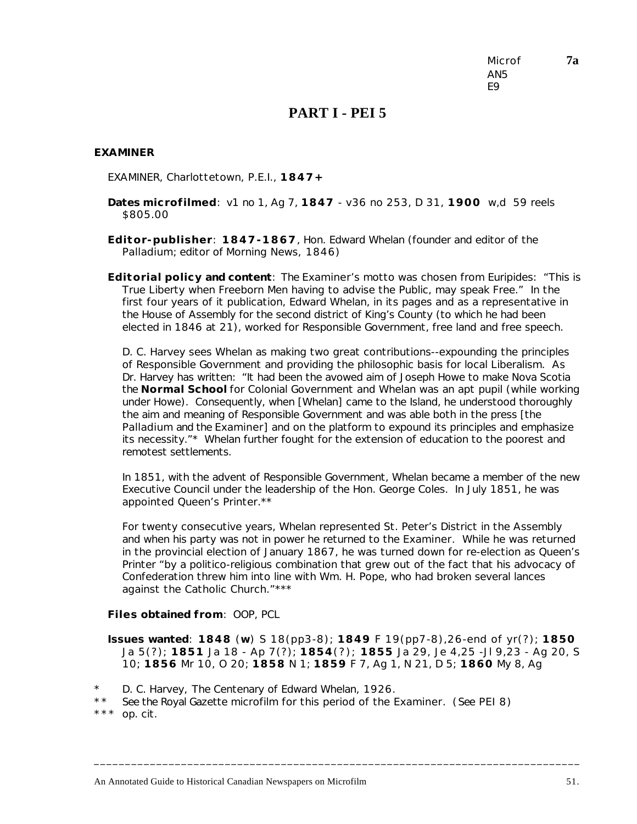Microf **7a** AN5 E9

### **PART I - PEI 5**

### *EXAMINER*

EXAMINER, Charlottetown, P.E.I., **1847+**

- **Dates microfilmed**: v1 no 1, Ag 7, **1847** v36 no 253, D 31, **1900** w,d 59 reels \$805.00
- **Editor-publisher**: **1847-1867**, Hon. Edward Whelan (founder and editor of the *Palladium*; editor of *Morning News*, 1846)
- **Editorial policy and content**: The *Examiner*'s motto was chosen from Euripides: "This is True Liberty when Freeborn Men having to advise the Public, may speak Free." In the first four years of it publication, Edward Whelan, in its pages and as a representative in the House of Assembly for the second district of King's County (to which he had been elected in 1846 at 21), worked for Responsible Government, free land and free speech.

D. C. Harvey sees Whelan as making two great contributions--expounding the principles of Responsible Government and providing the philosophic basis for local Liberalism. As Dr. Harvey has written: "It had been the avowed aim of Joseph Howe to make Nova Scotia the **Normal School** for Colonial Government and Whelan was an apt pupil (while working under Howe). Consequently, when [Whelan] came to the Island, he understood thoroughly the aim and meaning of Responsible Government and was able both in the press [the *Palladium* and the *Examiner*] and on the platform to expound its principles and emphasize its necessity."\* Whelan further fought for the extension of education to the poorest and remotest settlements.

In 1851, with the advent of Responsible Government, Whelan became a member of the new Executive Council under the leadership of the Hon. George Coles. In July 1851, he was appointed Queen's Printer.\*\*

For twenty consecutive years, Whelan represented St. Peter's District in the Assembly and when his party was not in power he returned to the *Examiner*. While he was returned in the provincial election of January 1867, he was turned down for re-election as Queen's Printer "by a politico-religious combination that grew out of the fact that his advocacy of Confederation threw him into line with Wm. H. Pope, who had broken several lances against the Catholic Church."\*\*\*

#### **Files obtained from**: OOP, PCL

**Issues wanted**: **1848** (**w**) S 18(pp3-8); **1849** F 19(pp7-8),26-end of yr(?); **1850** Ja 5(?); **1851** Ja 18 - Ap 7(?); **1854**(?); **1855** Ja 29, Je 4,25 -Jl 9,23 - Ag 20, S 10; **1856** Mr 10, O 20; **1858** N 1; **1859** F 7, Ag 1, N 21, D 5; **1860** My 8, Ag

- \* D. C. Harvey, *The Centenary of Edward Whelan*, 1926.
- \* \* *See* the *Royal Gazette* microfilm for this period of the *Examiner*. (*See* PEI 8)
- \*\*\* op. cit.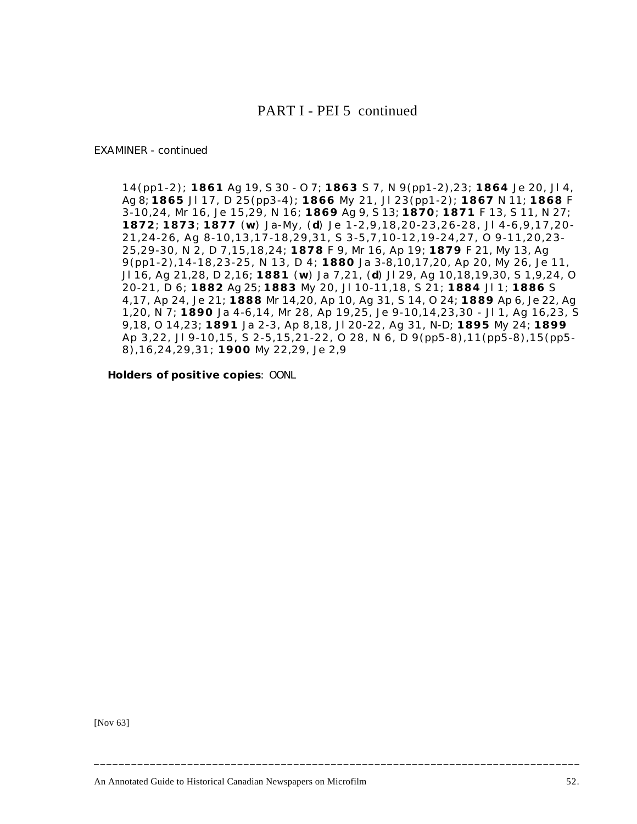### PART I - PEI 5 continued

#### *EXAMINER* - continued

14(pp1-2); **1861** Ag 19, S 30 - O 7; **1863** S 7, N 9(pp1-2),23; **1864** Je 20, Jl 4, Ag 8; **1865** Jl 17, D 25(pp3-4); **1866** My 21, Jl 23(pp1-2); **1867** N 11; **1868** F 3-10,24, Mr 16, Je 15,29, N 16; **1869** Ag 9, S 13; **1870**; **1871** F 13, S 11, N 27; **1872**; **1873**; **1877** (**w**) Ja-My, (**d**) Je 1-2,9,18,20-23,26-28, Jl 4-6,9,17,20- 21,24-26, Ag 8-10,13,17-18,29,31, S 3-5,7,10-12,19-24,27, O 9-11,20,23- 25,29-30, N 2, D 7,15,18,24; **1878** F 9, Mr 16, Ap 19; **1879** F 21, My 13, Ag 9(pp1-2),14-18,23-25, N 13, D 4; **1880** Ja 3-8,10,17,20, Ap 20, My 26, Je 11, Jl 16, Ag 21,28, D 2,16; **1881** (**w**) Ja 7,21, (**d**) Jl 29, Ag 10,18,19,30, S 1,9,24, O 20-21, D 6; **1882** Ag 25; **1883** My 20, Jl 10-11,18, S 21; **1884** Jl 1; **1886** S 4,17, Ap 24, Je 21; **1888** Mr 14,20, Ap 10, Ag 31, S 14, O 24; **1889** Ap 6, Je 22, Ag 1,20, N 7; **1890** Ja 4-6,14, Mr 28, Ap 19,25, Je 9-10,14,23,30 - Jl 1, Ag 16,23, S 9,18, O 14,23; **1891** Ja 2-3, Ap 8,18, Jl 20-22, Ag 31, N-D; **1895** My 24; **1899** Ap 3,22, Jl 9-10,15, S 2-5,15,21-22, O 28, N 6, D 9(pp5-8),11(pp5-8),15(pp5- 8),16,24,29,31; **1900** My 22,29, Je 2,9

**Holders of positive copies**: OONL

[Nov 63]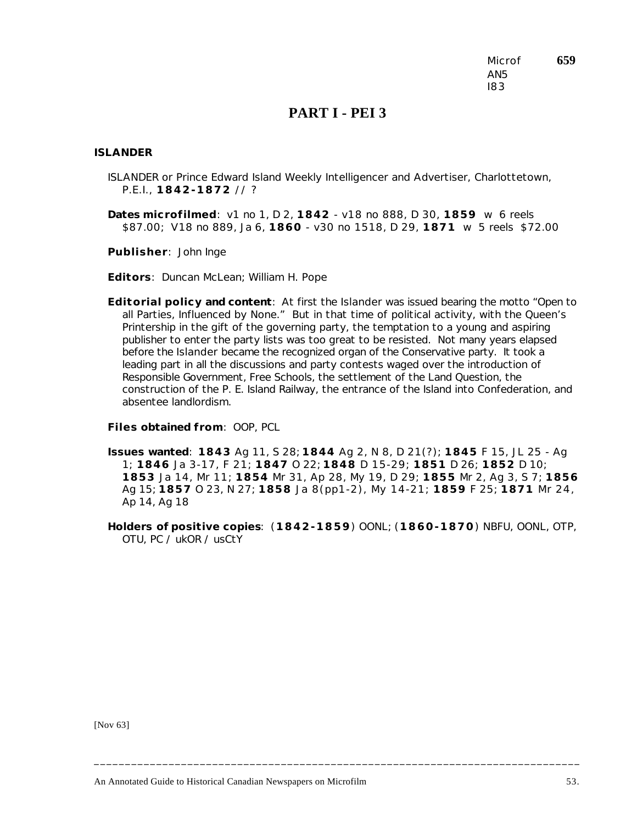Microf **659** AN5 I83

## **PART I - PEI 3**

#### *ISLANDER*

- ISLANDER or Prince Edward Island Weekly Intelligencer and Advertiser, Charlottetown, P.E.I., **1842-1872** // ?
- **Dates microfilmed**: v1 no 1, D 2, **1842** v18 no 888, D 30, **1859** w 6 reels \$87.00; V18 no 889, Ja 6, **1860** - v30 no 1518, D 29, **1871** w 5 reels \$72.00

**Publisher**: John Inge

**Editors**: Duncan McLean; William H. Pope

**Editorial policy and content**: At first the *Islander* was issued bearing the motto "Open to all Parties, Influenced by None." But in that time of political activity, with the Queen's Printership in the gift of the governing party, the temptation to a young and aspiring publisher to enter the party lists was too great to be resisted. Not many years elapsed before the *Islander* became the recognized organ of the Conservative party. It took a leading part in all the discussions and party contests waged over the introduction of Responsible Government, Free Schools, the settlement of the Land Question, the construction of the P. E. Island Railway, the entrance of the Island into Confederation, and absentee landlordism.

**Files obtained from**: OOP, PCL

- **Issues wanted**: **1843** Ag 11, S 28; **1844** Ag 2, N 8, D 21(?); **1845** F 15, JL 25 Ag 1; **1846** Ja 3-17, F 21; **1847** O 22; **1848** D 15-29; **1851** D 26; **1852** D 10; **1853** Ja 14, Mr 11; **1854** Mr 31, Ap 28, My 19, D 29; **1855** Mr 2, Ag 3, S 7; **1856** Ag 15; **1857** O 23, N 27; **1858** Ja 8(pp1-2), My 14-21; **1859** F 25; **1871** Mr 24, Ap 14, Ag 18
- **Holders of positive copies**: (**1842-1859**) OONL; (**1860-1870**) NBFU, OONL, OTP, OTU, PC / ukOR / usCtY

**\_\_\_\_\_\_\_\_\_\_\_\_\_\_\_\_\_\_\_\_\_\_\_\_\_\_\_\_\_\_\_\_\_\_\_\_\_\_\_\_\_\_\_\_\_\_\_\_\_\_\_\_\_\_\_\_\_\_\_\_\_\_\_\_\_\_\_\_\_\_\_\_\_\_\_\_\_\_**

[Nov 63]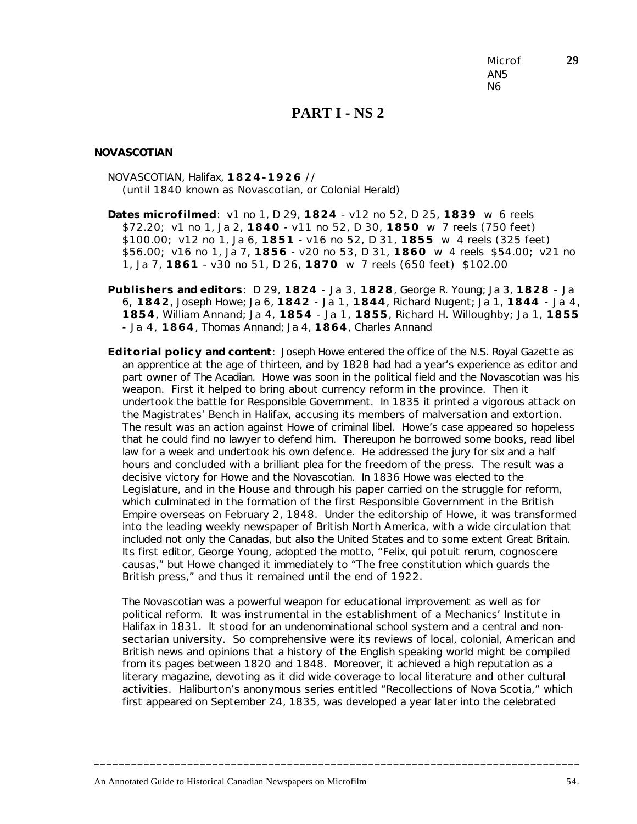Microf **29** AN5 N6

### **PART I - NS 2**

#### *NOVASCOTIAN*

NOVASCOTIAN, Halifax, **1824-1926** // (until 1840 known as *Novascotian, or Colonial Herald*)

- **Dates microfilmed**: v1 no 1, D 29, **1824** v12 no 52, D 25, **1839** w 6 reels \$72.20; v1 no 1, Ja 2, **1840** - v11 no 52, D 30, **1850** w 7 reels (750 feet) \$100.00; v12 no 1, Ja 6, **1851** - v16 no 52, D 31, **1855** w 4 reels (325 feet) \$56.00; v16 no 1, Ja 7, **1856** - v20 no 53, D 31, **1860** w 4 reels \$54.00; v21 no 1, Ja 7, **1861** - v30 no 51, D 26, **1870** w 7 reels (650 feet) \$102.00
- **Publishers and editors**: D 29, **1824** Ja 3, **1828**, George R. Young; Ja 3, **1828** Ja 6, **1842**, Joseph Howe; Ja 6, **1842** - Ja 1, **1844**, Richard Nugent; Ja 1, **1844** - Ja 4, **1854**, William Annand; Ja 4, **1854** - Ja 1, **1855**, Richard H. Willoughby; Ja 1, **1855** - Ja 4, **1864**, Thomas Annand; Ja 4, **1864**, Charles Annand
- **Editorial policy and content**: Joseph Howe entered the office of the *N.S. Royal Gazette* as an apprentice at the age of thirteen, and by 1828 had had a year's experience as editor and part owner of *The Acadian*. Howe was soon in the political field and the *Novascotian* was his weapon. First it helped to bring about currency reform in the province. Then it undertook the battle for Responsible Government. In 1835 it printed a vigorous attack on the Magistrates' Bench in Halifax, accusing its members of malversation and extortion. The result was an action against Howe of criminal libel. Howe's case appeared so hopeless that he could find no lawyer to defend him. Thereupon he borrowed some books, read libel law for a week and undertook his own defence. He addressed the jury for six and a half hours and concluded with a brilliant plea for the freedom of the press. The result was a decisive victory for Howe and the *Novascotian*. In 1836 Howe was elected to the Legislature, and in the House and through his paper carried on the struggle for reform, which culminated in the formation of the first Responsible Government in the British Empire overseas on February 2, 1848. Under the editorship of Howe, it was transformed into the leading weekly newspaper of British North America, with a wide circulation that included not only the Canadas, but also the United States and to some extent Great Britain. Its first editor, George Young, adopted the motto, "Felix, qui potuit rerum, cognoscere causas," but Howe changed it immediately to "The free constitution which guards the British press," and thus it remained until the end of 1922.

The *Novascotian* was a powerful weapon for educational improvement as well as for political reform. It was instrumental in the establishment of a Mechanics' Institute in Halifax in 1831. It stood for an undenominational school system and a central and nonsectarian university. So comprehensive were its reviews of local, colonial, American and British news and opinions that a history of the English speaking world might be compiled from its pages between 1820 and 1848. Moreover, it achieved a high reputation as a literary magazine, devoting as it did wide coverage to local literature and other cultural activities. Haliburton's anonymous series entitled "Recollections of Nova Scotia," which first appeared on September 24, 1835, was developed a year later into the celebrated

**\_\_\_\_\_\_\_\_\_\_\_\_\_\_\_\_\_\_\_\_\_\_\_\_\_\_\_\_\_\_\_\_\_\_\_\_\_\_\_\_\_\_\_\_\_\_\_\_\_\_\_\_\_\_\_\_\_\_\_\_\_\_\_\_\_\_\_\_\_\_\_\_\_\_\_\_\_\_**

An Annotated Guide to Historical Canadian Newspapers on Microfilm 54.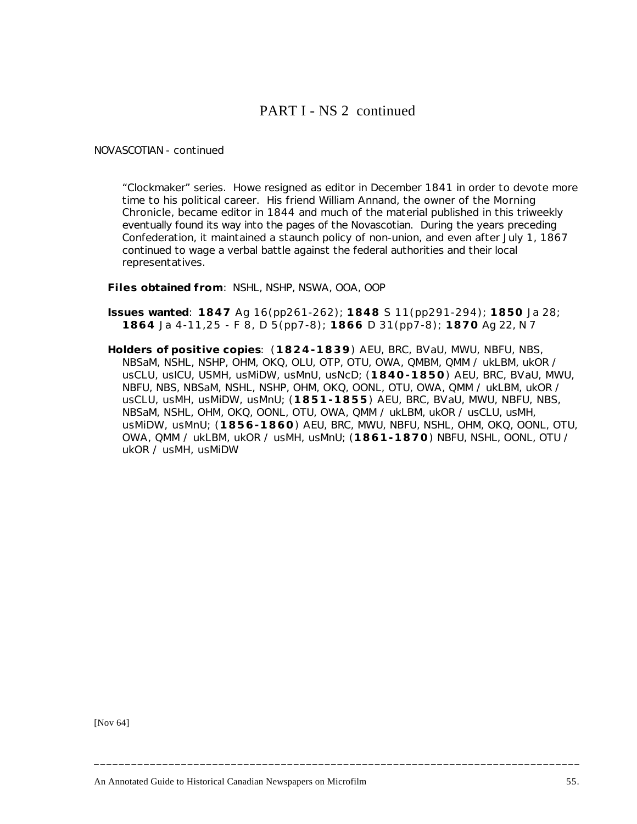## PART I - NS 2 continued

*NOVASCOTIAN* - continued

"Clockmaker" series. Howe resigned as editor in December 1841 in order to devote more time to his political career. His friend William Annand, the owner of the *Morning Chronicle*, became editor in 1844 and much of the material published in this triweekly eventually found its way into the pages of the *Novascotian*. During the years preceding Confederation, it maintained a staunch policy of non-union, and even after July 1, 1867 continued to wage a verbal battle against the federal authorities and their local representatives.

**Files obtained from**: NSHL, NSHP, NSWA, OOA, OOP

- **Issues wanted**: **1847** Ag 16(pp261-262); **1848** S 11(pp291-294); **1850** Ja 28; **1864** Ja 4-11,25 - F 8, D 5(pp7-8); **1866** D 31(pp7-8); **1870** Ag 22, N 7
- **Holders of positive copies**: (**1824-1839**) AEU, BRC, BVaU, MWU, NBFU, NBS, NBSaM, NSHL, NSHP, OHM, OKQ, OLU, OTP, OTU, OWA, QMBM, QMM / ukLBM, ukOR / usCLU, usICU, USMH, usMiDW, usMnU, usNcD; (**1840-1850**) AEU, BRC, BVaU, MWU, NBFU, NBS, NBSaM, NSHL, NSHP, OHM, OKQ, OONL, OTU, OWA, QMM / ukLBM, ukOR / usCLU, usMH, usMiDW, usMnU; (**1851-1855**) AEU, BRC, BVaU, MWU, NBFU, NBS, NBSaM, NSHL, OHM, OKQ, OONL, OTU, OWA, QMM / ukLBM, ukOR / usCLU, usMH, usMiDW, usMnU; (**1856-1860**) AEU, BRC, MWU, NBFU, NSHL, OHM, OKQ, OONL, OTU, OWA, QMM / ukLBM, ukOR / usMH, usMnU; (**1861-1870**) NBFU, NSHL, OONL, OTU / ukOR / usMH, usMiDW

**\_\_\_\_\_\_\_\_\_\_\_\_\_\_\_\_\_\_\_\_\_\_\_\_\_\_\_\_\_\_\_\_\_\_\_\_\_\_\_\_\_\_\_\_\_\_\_\_\_\_\_\_\_\_\_\_\_\_\_\_\_\_\_\_\_\_\_\_\_\_\_\_\_\_\_\_\_\_**

[Nov 64]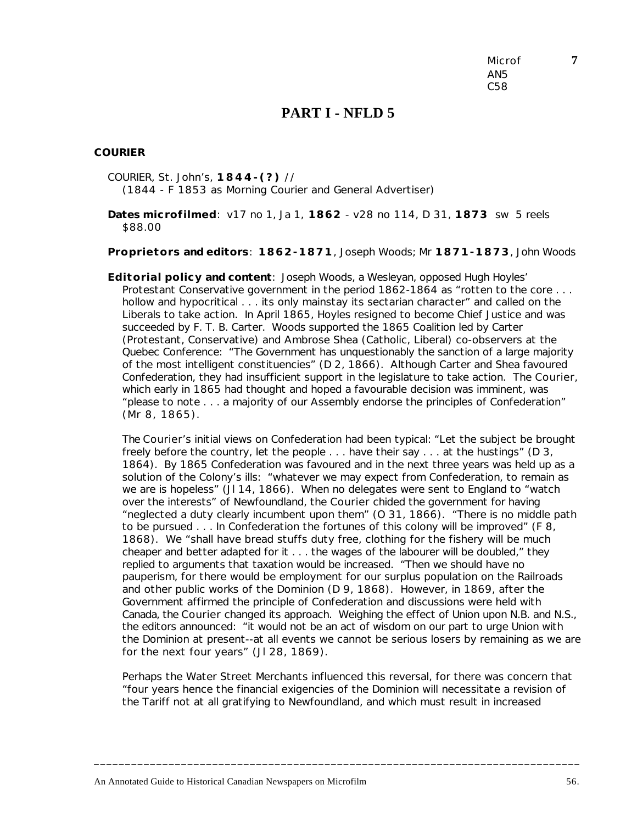Microf **7** AN5 C58

### **PART I - NFLD 5**

#### *COURIER*

COURIER, St. John's, **1844-(?)** // (1844 - F 1853 as *Morning Courier and General Advertiser*)

**Dates microfilmed**: v17 no 1, Ja 1, **1862** - v28 no 114, D 31, **1873** sw 5 reels \$88.00

**Proprietors and editors**: **1862-1871**, Joseph Woods; Mr **1871-1873**, John Woods

**Editorial policy and content**: Joseph Woods, a Wesleyan, opposed Hugh Hoyles' Protestant Conservative government in the period 1862-1864 as "rotten to the core . . . hollow and hypocritical . . . its only mainstay its sectarian character" and called on the Liberals to take action. In April 1865, Hoyles resigned to become Chief Justice and was succeeded by F. T. B. Carter. Woods supported the 1865 Coalition led by Carter (Protestant, Conservative) and Ambrose Shea (Catholic, Liberal) co-observers at the Quebec Conference: "The Government has unquestionably the sanction of a large majority of the most intelligent constituencies" (D 2, 1866). Although Carter and Shea favoured Confederation, they had insufficient support in the legislature to take action. The *Courier*, which early in 1865 had thought and hoped a favourable decision was imminent, was "please to note . . . a majority of our Assembly endorse the principles of Confederation" (Mr 8, 1865).

The *Courier*'s initial views on Confederation had been typical: "Let the subject be brought freely before the country, let the people . . . have their say . . . at the hustings" (D 3, 1864). By 1865 Confederation was favoured and in the next three years was held up as a solution of the Colony's ills: "whatever we may expect from Confederation, to remain as we are is hopeless" (JI 14, 1866). When no delegates were sent to England to "watch over the interests" of Newfoundland, the *Courier* chided the government for having "neglected a duty clearly incumbent upon them" (O 31, 1866). "There is no middle path to be pursued . . . In Confederation the fortunes of this colony will be improved" (F 8, 1868). We "shall have bread stuffs duty free, clothing for the fishery will be much cheaper and better adapted for it . . . the wages of the labourer will be doubled," they replied to arguments that taxation would be increased. "Then we should have no pauperism, for there would be employment for our surplus population on the Railroads and other public works of the Dominion (D 9, 1868). However, in 1869, after the Government affirmed the principle of Confederation and discussions were held with Canada, the *Courier* changed its approach. Weighing the effect of Union upon N.B. and N.S., the editors announced: "it would not be an act of wisdom on our part to urge Union with the Dominion at present--at all events we cannot be serious losers by remaining as we are for the next four years" (JI 28, 1869).

Perhaps the Water Street Merchants influenced this reversal, for there was concern that "four years hence the financial exigencies of the Dominion will necessitate a revision of the Tariff not at all gratifying to Newfoundland, and which must result in increased

**\_\_\_\_\_\_\_\_\_\_\_\_\_\_\_\_\_\_\_\_\_\_\_\_\_\_\_\_\_\_\_\_\_\_\_\_\_\_\_\_\_\_\_\_\_\_\_\_\_\_\_\_\_\_\_\_\_\_\_\_\_\_\_\_\_\_\_\_\_\_\_\_\_\_\_\_\_\_**

An Annotated Guide to Historical Canadian Newspapers on Microfilm 56.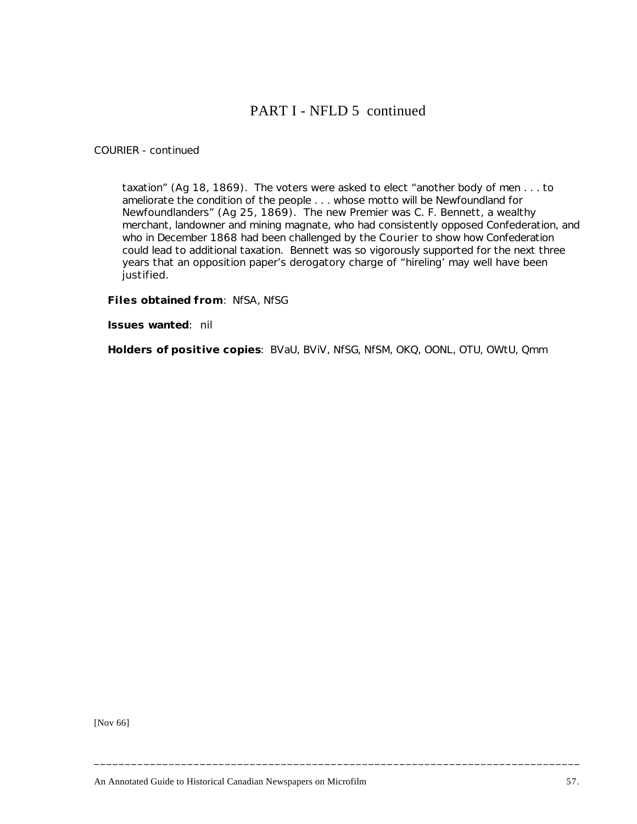# PART I - NFLD 5 continued

### *COURIER* - continued

taxation" (Ag 18, 1869). The voters were asked to elect "another body of men . . . to ameliorate the condition of the people . . . whose motto will be Newfoundland for Newfoundlanders" (Ag 25, 1869). The new Premier was C. F. Bennett, a wealthy merchant, landowner and mining magnate, who had consistently opposed Confederation, and who in December 1868 had been challenged by the *Courier* to show how Confederation could lead to additional taxation. Bennett was so vigorously supported for the next three years that an opposition paper's derogatory charge of "hireling' may well have been justified.

**Files obtained from**: NfSA, NfSG

**Issues wanted**: nil

**Holders of positive copies**: BVaU, BViV, NfSG, NfSM, OKQ, OONL, OTU, OWtU, Qmm

**\_\_\_\_\_\_\_\_\_\_\_\_\_\_\_\_\_\_\_\_\_\_\_\_\_\_\_\_\_\_\_\_\_\_\_\_\_\_\_\_\_\_\_\_\_\_\_\_\_\_\_\_\_\_\_\_\_\_\_\_\_\_\_\_\_\_\_\_\_\_\_\_\_\_\_\_\_\_**

[Nov 66]